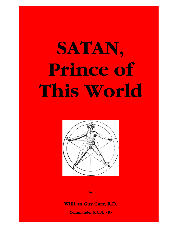## **SATAN, Prince of This World**



**by**

### **William Guy Carr, R.D.**

**Commander R.C.N. (R)**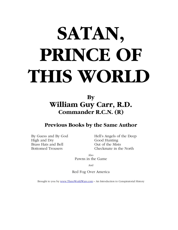# **SATAN, PRINCE OF THIS WORLD**

## **By William Guy Carr, R.D. Commander R.C.N. (R)**

## **Previous Books by the Same Author**

By Guess and By God High and Dry Brass Hats and Bell Bottomed Trousers

Hell's Angels of the Deep Good Hunting Out of the Mists Checkmate in the North

Also Pawns in the Game

And

Red Fog Over America

Brought to you by www.ThreeWorldWars.com – An Introduction to Conspiratorial History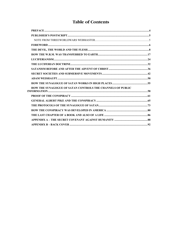### **Table of Contents**

| HOW THE SYNAGOGUE OF SATAN CONTROLS THE CHANNELS OF PUBLIC |  |
|------------------------------------------------------------|--|
|                                                            |  |
|                                                            |  |
|                                                            |  |
|                                                            |  |
|                                                            |  |
|                                                            |  |
|                                                            |  |
|                                                            |  |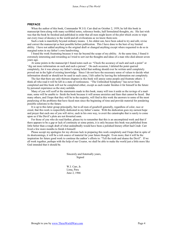#### **PREFACE**

When the author of this book, Commander W.J.G. Carr died on October 2, 1959, he left this book in manuscript form along with many scribbled notes, reference books, half formulated thoughts, etc. His last wish was that the book be finished and published in order that all men might know of the plot which exists to wipe out every trace of decency in the world and all civilizations as we know them now.

Such a task is manifestly beyond ordinary means. I, his oldest son, have been asked to try and edit, revise and correct the manuscript as best possible before publication. This I have done to the best of my limited ability. I have not added anything to the original draft or changed anything except where requested to do so in marginal notes in my father's own handwriting.

I found the work frustrating because it was far beyond the scope of my ability. At the same time, I found it extremely interesting and rewarding as I tried to sort out the thoughts and ideas of a man who died almost seven years ago.

At some points in the manuscript I found notes such as: "Check the accuracy of such and such a point" or "dig out more information on such and such a person". On each occasion, I deleted the point queried completely, for it was always my father's strong belief that nothing should ever be written until completely proved out in the light of existing knowledge. Since I do not have the necessary sense of values to decide what information should or should not be used in such cases, I felt safest by leaving the information out completely.

The fact that there are only thirteen chapters in this book will annoy some people and frustrate others: I think all who read it will be left in a state of restlessness. "The Unfinished Symphony" has never been completed and this book will not be completed either, except as each reader finishes it for himself in the future by personal experience as the story unfolds.

Many of you will scoff at the statements made in this book; many will toss it aside as the ravings of a madman; some will be unable to finish the book because it will arouse anxieties and fears that cannot be faced. But many others, and I hope that they will be in the majority, will find in this work the answers to some of the most perplexing of the problems that have faced men since the beginning of time and provide material for pondering possible solutions to the future.

It is up to this latter group principally, but to all men of goodwill generally, regardless of color, race or creed, that this work is respectfully dedicated in my father's name. With the dedication goes my earnest hope and prayer that each one of you will strive, each in his own way, to avert the catastrophe that is surely to come upon us if the Devil's plots are not thwarted soon.

For those of you who do read further, please try to remember that this is an uncompleted work and that if there appears to be a gap or lack of continuity at some points, it is only because this book was published from little better than a rough draft of what undoubtedly would have been a polished literary effort had Cmdr. Carr lived a few more months to finish it himself.

Please accept my apologies for my obvious lack in preparing this work completely and I hope that in spite of its shortcomings, it will be a rich source of material for your future thought. Even more, that it will be the inspiration for future good work to continue the author's efforts to: "Tell the truth and shame the Devil". If we all work together, perhaps with the help of our Creator, we shall be able to make the world just a little more like God intended that it should be.

> Sincerely and fraternally yours, Signed

 W.J. Carr, Jr. Lima, Peru June 2, 1966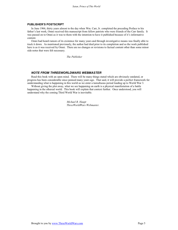#### **PUBLISHER'S POSTSCRIPT**

In June 1966, thirty years almost to the day when Wm. Carr, Jr. completed the preceding Preface to his father's last work, Omni received this manuscript from fellow patriots who were friends of the Carr family. It was passed on to Omni as it was to them with the intention to have it published because of it's informative content.

Omni had heard rumors of its existence for many years and through investigative means was finally able to track it down. As mentioned previously, the author had died prior to its completion and so the work published here is as it was received by Omni. There are no changes or revisions to factual content other than some minor side notes that were felt necessary.

*The Publisher* 

#### *NOTE FROM THREEWORLDWARS WEBMASTER*

Read this book with an open mind. There will be many things stated which are obviously outdated, or progress has been considerable since penned many years ago. That said, it will provide a perfect framework for understanding what is happening in this world as we enter a tumultuous period leading up to World War 3.

Without giving the plot away, what we see happening on earth is a physical manifestation of a battle happening in the ethereal world. This book will explain that context further. Once understood, you will understand why the coming Third World War is inevitable.

> *Michael B. Haupt ThreeWorldWars Webmaster.*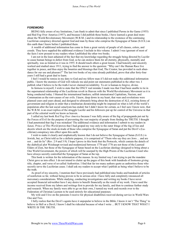#### **FOREWORD**

BEING fully aware of my limitations, I am frank to admit that since I published Pawns in the Game (1955) and Red Fog Over America (1957), and because I did publish these books, I have learned a great deal more about the World Revolutionary Movement (W.R.M..) and its relationship to the existence of the continuing Luciferian conspiracy directed against God and man by those who comprise the Synagogue of Satan (S.O.S.) on this earth than I knew before I published them.

A wealth of additional information has come in from a great variety of people of all classes, colors, and creeds. They have supplied the additional evidence I include in this volume. I admit I was ignorant of most of the facts I now present to my readers when I published the other two books. .

I am not in the least ashamed of the fact that my knowledge regarding the struggle being directed by Lucifer to cause human beings to defect from God, so he can enslave them for all eternity, physically, mentally and spiritually, was as limited as it was in 1955. It should teach others a great lesson. I had honestly and sincerely worked and studied since 1911, trying to find the answer to the question: "Why can't the Human Race live together in peace, and thus enjoy the bounties and blessings that God, The Creator, has provided in such abundance for our use and pleasure?" The last two books of my nine already published, prove that after forty-four years I still had a great deal to learn.

I feel I would be remiss in my duty to God and my fellow man if I did not make this additional information public. I know the enemies of God will ridicule me and point out statements published in the other two. I publish what I believe to be the truth-I never claimed inviolability. To err is human-to forgive, divine.

In fairness to myself, I wish to state that the ONLY real mistake I made was that I had been unable to tie in the supernatural relationship of the Luciferian revolt in Heaven with the World Revolutionary Movement as it is being conducted today. I blamed the international bankers; selfish international Capitalism, Nazism, and Communism as the root-causes of our evils. I knew, deep down in my heart, that wars and revolutions were planned years and years ahead, and designed to ultimately bring about the destruction of ALL existing forms of government and religion in order that a totalitarian dictatorship might be imposed on what is left of the world's population after the last social cataclysm has ended; but I didn't know for certain, as I feel sure I know now, that the W.R.M. is an exact replica of the struggle Lucifer and his followers put up for control of the Universe in that part of the celestial world we know as heaven.

I called my last book *Red Fog Over America* because I was fully aware of the fog of propaganda put out by the Forces of Evil for the purpose of preventing the vast majority of people from finding the TRUTH. I thought I had penetrated that fog-I was mistaken! The additional evidence and information I submit to my readers in *Satan, Prince of This World* proves that I had groped my way only to the outer fringe of the fog of lies and deceits which are the stock-in-trade of those who comprise the Synagogue of Satan and put the Devil's (Luciferian) conspiracy into effect upon this earth.

I wish to make it clearly and emphatically known that I do not believe the Synagogue of Satan (S.O.S.) is Jewish, but, as Christ told us for a definite purpose, it is comprised of "Them who say they are Jews ... and are not ... and do lie" (Rev. 2:9 and 3:9). I hope I prove in this book that the Protocols, which contain the details of the diabolical plot Weishaupt revised and modernized between 1770 and 1776 are not those of the Learned Elders of Zion, but those of the Synagogue of Satan based on the Luciferian ideology designed to bring about a One World Government, the powers of which will be usurped by the High Priests of the Luciferian Creed who have always secretly controlled the Synagogue of Satan at the top.

This book is written for the information of the masses. In my limited way I am trying to put the mandate Christ gave us into effect. I do not intend to clutter up the pages of this book with hundreds of footnotes giving title, chapter, and verse of so-called Authorities. I find that far too many authors quote as authorities those who secretly serve the Luciferian cause. I shall ask my readers to accept what I publish as being what I believe to be the truth.

As proof of my sincerity, I mention that I have previously had published nine books and hundreds of articles of nonfiction so far, without being proven to be in serious error. I have fully and completely renounced all mercenary considerations. While studying, conducting investigations and writing my books I have never accepted financial aid-neither have I any desire to benefit financially as the result of my work. I have used the income received from my labors and writings first to provide for my family, and then to continue further study and research. When my family were able to go on their own, I turned my work and records over to the Federation of Christian Laymen to be used entirely for educational purposes.

My wife and I live on the pensions I receive for physical disabilities received during service in World Wars One and Two.

I fully realize that the Devil's agents have it unpopular to believe in the Bible; I know it isn't "The Thing" to believe in Hell or a Devil; I know I shall be ridiculed because of what I write ... BUT I KNOW THAT WHAT I WRITE IS THE TRUTH.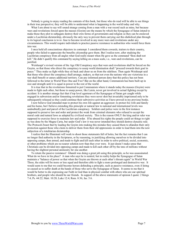Nobody is going to enjoy reading the contents of this book, but those who do read will be able to see things in their true perspective; they will be able to understand what is happening in the world today and why.

What I am about to say will sound strange coming from a man with a war record such as mine, but because wars and revolutions forced upon the masses (Goyim) are the means by which the Synagogue of Satan intend to make those they plot to subjugate destroy their own forms of governments and religion so they can be enslaved under a Luciferian dictatorship, obviously the only way to prevent them carrying out this diabolical plan through to its logical conclusion is to re- fuse to become involved in any more wars and revolutions under any circumstances. This would require individuals to practice passive resistance to authorities who would force them into war.

I once held all conscientious objectors in contempt. I considered them cowards, traitors to their country, people who failed to appreciate the benefits citizenship gave them. But I realize now, after studying the Luciferian conspiracy from all angles what God really meant when He gave us the command "thou shalt not kill." He didn't qualify this command by saying killing on a mass scale, i.e., wars and revolutions, can be justified.

Weishaupt's revised version of the Age Old Conspiracy says that wars and revolutions shall be forced on the Goyim, so that those who direct the conspiracy to usurp world domination shall "proceed towards their goal in peace." They make us fight while they sit back and cheer us on from the sidelines. Then again Weishaupt said that those who direct the conspiracy shall arrange, makers, so that not even the nations who are victorious in a war shall benefit or annex additional territory. Can any informed person deny that this policy has not been followed to the letter in World Wars One and Two? But on the other hand, Communism has been built up in size and strength until it is equal in power to the rest of the world.

It is true that in the revolutions fomented to put Communism where it stands today the masses (Goyim) were made to fight each other, but those to usurp power, like Lenin, never got involved in actual fighting except by accident. It is another strange fact that if top level agenteurs of the Synagogue of Satan got caught while engaged in subversion and/or fomenting revolutions they were never shot but invariably imprisoned only to be subsequently released so they could continue their subversive activities as I have proved in my previous books.

I now believe God intended man to protect his own life against an aggressor; to protect his wife and family and his home, but I believe extending this principle or natural law to national and international levels was undoubtedly part and parcel of the Luciferian conspiracy. Soldiers and police were in the first instance supposed to preserve law and order and protect the weak from criminal elements who refused to accept the moral code and natural laws as adopted by civilized society. This is the reason ONLY the king and/or ruler was supposed to exercise force to maintain law and order. If he abused his rights the people could set things to right as was done by the Magna Carta, but under God's law it was never intended they should destroy dynastic rule. The Protocols boast that by leading the Goyim into making this mistake they caused them to abandon their only protection against those who claim to deliver them from their old oppressions in order to lead them into the new subjection of a totalitarian dictatorship.

I realize that the Illuminati will work to shoot those statements full of holes, but the fact remains that I can no longer find authority in the Scriptures, or by reasoning, to justifying allowing ourselves to be divided into opposing camps, then armed, and made to fight and kill each other in order to solve political, social, economic, or other problems which are no nearer solution now than they ever were. It just doesn't make sense that Christians can be divided into opposing camps and made to kill each other off by the tens of millions without having the slightest personal animosity for one another.

To return the passive resistance! Ghandi was doing a great job using this principle, so he was assassinated. What do we have in his place? A man who says he is neutral, but in reality helps the Synagogue of Satan maintain a "balance of power so that when the Goyim are thrown at each other's throats again" in World War Three, the sides will be more or less equal and therefore able to fight a more prolonged and destructive war. It would seem to me that we could become heroes defending a principle, such as passive resistance, even if doing so caused us to suffer death at the hands of those who serve the Synagogue of Satan. It seems to me that it would be better to die expressing our Faith in God than in physical combat with others who are our spiritual brothers, and people who should be our friends. In support of the above statements of opinion I quote: 2 Kings 7:4; Ps. 44:22; Matt. 10:28; Luke 12:4; Rom. 8:36; Jas. 5:6.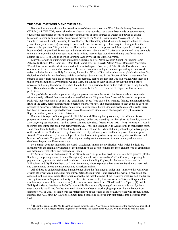#### **THE DEVIL, THE WORLD AND THE FLESH**

Because lies and deceits are the stock-in-trade of those who direct the World Revolutionary Movement (W.R.M.) AT THE TOP, never, since history began to be recorded, has a grant been made by governments, educational institutions, so-called charitable foundations or other sources of wealth and power to enable historians to compile an accurate, documented history of the World Revolutionary Movement (W.R.M.). Unable to finance the help necessary to do a thoroughly satisfactory job (which would require at least ten more years of study and research) necessary to prove to the hilt the knowledge I have acquired trying to find the answer to the question, "Why is it that the Human Race cannot live in peace, and thus enjoy the blessings and bounties God has provided for our use and pleasure in such abundance?" I offer what evidence I have been able to obtain to prove that what we term W.R.M. is nothing more or less than the continuing Luciferian revolt against the RIGHT of God to exercise Supreme Authority over the Entire Universe.

Many historians, including such outstanding students as Mrs. Nesta Webster; Count De Poncin; Copin-Albancelli; (Copon P.O. Copin C.J.) Dom Paul Benoit; Ed. Em. Eckert; Arthur Preuss; Domenico Margoitta; Witchl; His Eminence the Most Rev. Cardinal Caro Rodriguez; Don Bell, of Palm Beach, Florida, and many others seem to have been unable to connect the wars, revolutions and general chaos prevailing in this world today, with the fact that the Holy Scriptures, the inspired Word of God, tell us clearly and plainly that when God decided to inhabit this earth of ours with human beings, Satan arrived in the Garden of Eden to cause our first parents to defect from God. He accomplished his purpose, despite the fact that God had walked with them and talked with them in the early paradise we call Eden, explaining to them His plan for the rule of the entire universe, and telling them how He wished them to live for a period of time on this earth to prove they honestly loved Him and earnestly desired to serve Him voluntarily for ALL eternity out of respect for His infinite perfections.

Study of the history of comparative religions proves that even the most primitive nomads and sephardic tribes not only believed that other worlds existed before the "Supreme Being" created this world, but proves positively that what some of us call the "uncivilized" tribes (who existed by hunting, fishing, and gathering wild fruits of the earth, before human beings began to cultivate the soil and breed animals so they could be used for productive purposes), believed that at some time, in some place, before God decided to create this earth, there had been a revolution originated because one of the creatures God created challenged His right to exercise Supreme authority over the entire Universe.

Because this aspect of the origin of the W.R.M. would fill many bulky volumes, it is sufficient for our purpose to state that this basic principle of "religious" belief was shared by the aborigines. W Schmidt, author of *Der Ursprung des Gottesides*, has had seven volumes published. (Munster i.W 1912-1940). Volume VIII was in the press at the time this book was being written, i.e., 1958, and volumes IX to XIII are still in manuscript form. He is considered to be the greatest authority on this subject, and Fr. Schmidt distinguishes the primitive people of this world as the "Urkulturen," e.g., those who lived by gathering food, and hunting fowl, fish, and game from the "Primarkulturen," who developed from the former into producers by becoming tillers of the soil and breeders of animals. The people we call aboriginals today are the remnants of human society which never developed beyond the Urkulturen stage.

Fr. Schmidt does not intend that the word "Urkulturen" means the civilizations with which he deals are identical with the original civilization of the human race. He uses it to mean the most ancient type of civilization our means of investigation and research can reach.

Fr. Schmidt divides what remains of the "Urkulturen," i.e., primitive civilizations, into three groups; (1) The Southern, comprising several tribes, (Aboriginals) in southeastern Australia, (2) The Central, comprising the pygmies and pygmoids in Africa and southeastern Asia, including Ceylon, the Andaman Islands and the Philippines, and (3) The Northern, or Arctic-Americans, whose representatives are also found in northern Asia and disseminated among the Esqumaux and American Indians.

All of these so-called uncivilized human beings share the fundamental belief that (1) Before this world was created other worlds existed, (2) at some time, before the Supreme Being created this world, a revolution had occurred in the celestial world (Universe), caused by the fact that some of the Creator's creatures had challenged His right to exercise Supreme authority over the entire universe, (3) that, as a result of this revolt against the absolute supremacy of the Creator (God), the Universe was divided into "Good" and "Evil" parts, (4) that the Evil Spirits tried to interfere with God's work while He was actually engaged in creating this world, (5) that ever since this world was finished these evil forces have been at work trying to prevent human beings from doing the Will of God, (6) that it was the representative of the leader of the heavenly revolt who brought death, sickness and ALL other EVILS to the Human Race because he deceived our first parents into defecting from  $Good.<sup>1</sup>$ 

 $\frac{1}{1}$ <sup>1</sup> The author is indebted to Mr. Richard M. Passil, Poughkeepsie, NY, who sent him a copy of the book *Satan*, published by Sheed and Ward. Readers wishing to go more deeply into this aspect of the W.R.M. would do well to read this book.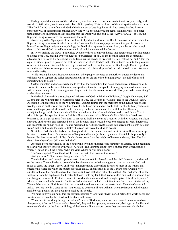Each group of descendants of the Urkulturen, who have survived without contact, until very recently, with so-called civilization, has its own particular belief regarding HOW the leader of the evil spirits, whom we term "The Devil," tried to interfere with God while in the act of creating this earth. Each group has had its own particular way of informing its children HOW and WHY the devil brought death, sickness, wars, and other tribulations to the human race. But all agree that the Devil was, and still is, the "ADVERSARY" of God, the Supreme Being who created the heavens and the earth.

According to the Algonquins of the north-central part of California, the Devil comes on the scene when the Supreme Being has almost finished the work of creation. He tries to appropriate something of the work for himself. According to Algonquin mythology the Devil often appears in human form, and because he brought death to this world God turned him into an animal which they named the Coyote.

In "News Behind the News" I published evidence which strongly indicates that Satan cursed our first parents to defect from God, causing Eve to indulge in "perversions" of sex, on the promise that if she accepted his advances and followed his advice, he would teach her the secrets of procreation, thus making her and Adam the equal of God in power. I pointed out that the Luciferian Creed teaches that Satan initiated her into the pleasures of sexual intercourse. We used the word "perversions" in the sense that what the Devil taught Eve in regard to sex and sexual behavior were practices contrary to sexual relationship as God intended should exist between a man and his wife.

While reading the book *Satan*, we found that other people, accepted as authorities, quoted evidence and opinions which support the belief that perversions of sex did enter into bringing about "the fall of man and subjecting him to death."

Certain ministers and priests wrote me to say that the assumption that Satan had physical intercourse with Eve is utter nonsense because Satan is a pure spirit and therefore incapable of indulging in sexual intercourse with a human being. As to these arguments I agree with the old woman who said, "Everyone to his own liking" as she kissed the cow.

In the book *Satan* while discussing the "Adversary of God in Primitive Religions," Joseph Henninger, S.V D. says that the Wintum tribe of California refer to God, the Creator, as "Olelbis" and to the Devil as "Sedit." According to the mythology of the Wintum tribe, Olelbis desired that the members of the human race should live together as brothers and sisters; that there should be no birth and no death, that life should be agreeable and easy, and the purpose of life should be to rejoining Olelbis in heaven and live with him for all eternity. To satisfy the hunger of the human body, Olelbis created a species of nut which has no shell and falls off the tree when it is ripe (this species of nut or fruit is still a staple item of the Wintum's diet). Olelbis ordered two brothers to build a paved road from earth to heaven to facilitate the tribe's reunion with their Creator. But Sedit appeared on the scene and persuaded one of the brothers that it would be better to engage in sexual intercourse and procreate the human species. The one persuaded by Sedit argued the other into agreement, so both defected from Olelbis and joined together to destroy the road they were building to heaven.

Sedit, horrified when he finds he has brought death to the human race and must die himself, tries to escape his fate. He makes himself a mechanism of boughs and leaves (a plane), by means of which he hopes to fly to heaven. But he crashes and is killed. Olelbis looks down from the heights of heaven and says, "See. The first death! From henceforth (all) men shall die."

According to the mythology of the Yakuts who live in the northeastern extremity of Siberia, in the beginning the earth was entirely covered with water. Ai-tojon (The Supreme Being) saw a bubble from which issued a voice. A!-tojon asked the Voice, "Who are you? Where do you come from?"

The Voice replied, "I am the devil. I live on the earth that is under the waters."

Ai-tojon says: "If that is true, bring me a bit of it."

The devil dived and brought up some earth. Ai-tojon took it, blessed it and then laid down on it, and rested on the waters. The devil tried to drown him, but the more he pulled and tugged to overturn the raft God had made of earth, the larger it grew, until to his amazement and discomfort, it covered most of the waters and became this world on which the human race lives today. The mythology of the Tartars of the Altai is very similar to that of the Yakuts, except that their legend says that after Erlik (the Wicked One) had brought up the first earth from the depths and the Creator fashions it into dry land, the Creator orders him to dive a second time and bring up more earth. Erlik determined to do what the Creator did, and brought up two lots of earth, one of which he concealed in his mouth. But it swelled in size until he had to spit it out in order to prevent his choking. The earth he spat out God formed into the mountains and marshes and the waste lands. Then the Creator told Erlik, "You are now in a state of sin. You wanted to do me an ill turn. All men who also harbour evil thoughts shall be your people; but the good men shall be my people."

We hope to prove our point that the division between "Good" and "Evil" started before this world began and was transferred here by the Devil we Christians call Satan.

When Lucifer, working through one of his Princes of Darkness, whom we have named Satan, caused our first parents, Adam and Eve, to defect from God, they and their progeny automatically belonged to Lucifer and remained children of the flesh until they, of their own will and accord, prove they desire to reestablish their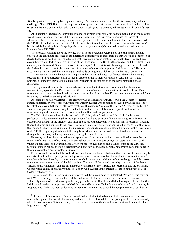friendship with God by being born again spiritually. The manner in which the Luciferian conspiracy, which challenged God's RIGHT to exercise supreme authority over the entire universe, was transferred to this earth in order that the King of Hell might add it, and its human beings, to his domain, will be dealt with in detail further on.

At this point it is necessary to produce evidence to explain what really did happen in that part of the celestial world we call heaven at the time of the Luciferian revolution. This is necessary because the Forces of Evil, which have directed the continuing Luciferian conspiracy SINCE it was transferred to this earth, have caused the TRUTH to be hidden, and made the TRUTH so difficult to obtain, that the average man-in-the-street can't be blamed for knowing little, if anything, about the truth, even though his eternal salvation may depend on knowing these TRUTHS.

The greatest stumbling block the average person has to overcome before he, or she, can understand and believe in the continuing existence of the Luciferian conspiracy is to erase from his mind the false conception of devils, because he has been taught to believe that Devils are hideous creatures, with ugly faces, horned heads, cloven hooves, and forked tails, etc. St. John of the Cross says: "The Devil is the strongest and the wiliest of our enemies, and the most difficult to unmask." St. John says: "The Devil is skillful enough to turn the world and the flesh to his own account (the possession of the souls of men) as his top most faithful acolytes." This saint says that the Devil caused the ruin of a great multitude of religions which set out on the life of perfection.<sup>2</sup>

The reason most human beings mentally picture the Devil as a hideous, deformed, abominable creature is because artists have caricatured him as such in order to bring us their conception of ALL that is evil and horrible. In doing this they did the human race (probably at the instigation of the Devil himself), a great disservice.

Theologians of the early Christian church, and those of the Catholic and Protestant Churches in more modern times, agree that the Devil is a very different type of creature from what most people believe. This misconception of what the Devil really is, must have resulted from the Devil's own cunning and guile, and from his ability to make human beings do his will.

According to the Holy Scriptures, the creature who challenged the RIGHT of God the Creator to exercise supreme authority over the entire Universe was Lucifer. Lucifer was so named because he was and still is the brightest and most intelligent of all God's creatures. His name is "Prince of the Dawn," "Holder of the Light." He is a pure spirit. As such he is ageless and indestructible. He has abilities and capabilities beyond the understanding of the human brain. He uses these for selfish and evil purposes.

The Holy Scriptures tell us that because of "pride," i.e., his inflated ego and false belief in his own perfections, he led the revolt against the supremacy of God, and because of his power and great influence, he caused ONE THIRD of the brightest and most intelligent of the heavenly host to join him in rebellion. If telling the truth shames and confounds the Devil (Lucifer), it is my own opinion, as confirmed by St. John of the Cross, that, due to the Devil's wiles, none of the numerous Christian denominations teach their congregations sufficient of the TRUTH regarding devils and fallen angels, of which there are in existence multitudes who wander through the Universe, including this planet, seeking the ruin of souls.

Humanity has been brainwashed into accepting mental restrictions in this matter until today, even the vast majority of those who profess to be Christians believe only in some sort of mythical supernatural evil spirit whom we call Satan, and a personal good spirit we call our guardian angels. Millions outside the Christian religion refuse to believe there is a celestial world, and devils, and angels. Many modernists claim that belief in the supernatural is a sure symptom of insanity.

But if we are to understand the W.R.M. we must know, and believe that even the very lowest choir of angels consists of multitudes of pure spirits, each possessing more perfections than the next in that substantial way. To complete this first hierarchy we must mount through the numerous multitudes of the Archangels, and then go on to the even greater multitudes of the Principalities. There is still the second hierarchy consisting of the Powers, Virtues, and Dominations; and the third hierarchy consisting of the Thrones, the (cherubim, and the Seraphim. Of this whole galaxy of heavenly beings created by God, Lucifer is the greatest. He stood at the very peak of God's created perfection.

There are many things God has not as yet permitted the human mind to understand. We are on this earth on trial. We have been given an intellect and free will to decide for ourselves whether we wish to love and voluntarily serve God for all eternity or literally go to the Devil. If we knew all that has happened since Lucifer led the revolt against the supremacy of God there would be no test. By Faith, the teachings of the Scriptures, the Prophets, and Christ, we must believe and accept TRUTH which are beyond the comprehension of our human

 $\frac{1}{2}$  On page 2 of *Pawns in the Game* we stated that most, if not all religions, started out on a more or less uniformly high level, in which the worship and love of God ... formed the basic principle. "I have been severely taken to task because of this statement, but from what St. John of the Cross has to say, it would seem that I am in good company".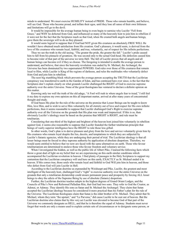minds to understand. We must exercise HUMILITY instead of PRIDE. Those who remain humble, and believe, will see God. Those who become proud, and inflate their egos, until they lose all sense of their own littleness and limitations will go to the devil.

It would be impossible for the average human being to even begin to surmise why Lucifer "Fell from Grace," and WHY he defected from God, and influenced so many of the heavenly host to join him in rebellion if it were not for the fact that the Scriptures teach us that God, when He created both angels and human beings, gave them the sovereign will to do as they pleased.

It would seem logical to suppose that if God had NOT given His creatures an absolutely FREE WILL He wouldn't have obtained much satisfaction from His creation. God's pleasure, it would seem, is derived from the love of His creatures who remain loyal, faithful, and true, voluntarily, out of respect for His infinite perfections.

Thus we see the truth in the old saying, "The greater the pride, the greater the fall." Lucifer's pride caused him to fall from his pinnacle of greatness. He was second only to the actual God-head. His defection caused him to become ruler of that part of the universe we term Hell. The fall of Lucifer proves that all angels and all human beings can become evil if they so choose. The foregoing is intended to enable the average person to understand, and believe, that since the heavenly revolution was ended by St. Michael, the Archangel, the Universe has been dominated by two supernatural POWERS. God rules over those of His creatures that remain loyal to Him, while Lucifer is King of the regions of darkness, and rules the multitudes who voluntarily defect from God and join him in rebellion.

The next big stumbling block which prevents the average person accepting the TRUTH that the Luciferian conspiracy was transferred to earth in the Garden of Eden, and has continued here ever since, is the fact that the Scriptures don't explain clearly on what grounds Lucifer challenged the RIGHT of God to exercise supreme authority over the entire Universe. None of the great theologians has ventured to declare a definite opinion on this matter.

Knowing only too well the truth of the old adage, "A Fool will rush in where angels fear to tread," I still feel it my duty to express my own opinion on this all important matter, arrived at after many years of concentrated thought and study.

If God bases His plan for the rule of the universe on the premise that Lesser Beings can be taught to know Him, love Him, and to wish to serve Him voluntarily for all eternity out of love and respect for His own infinite perfections, then it seems reasonable to suppose that Lucifer challenged God's Right to exercise supreme authority over all the Universe on the grounds that His plan was weak and impractical. If this is so, then obviously Lucifer's ideology must be based on the premise that MIGHT is RIGHT, and rule must be totalitarian.

Considering that one-third of the highest and brightest of the heaven host joined him voluntarily in rebellion against God, it seems also reasonable to suppose that Lucifer founded the further totalitarian principle that beings of vastly superior intelligence have the RIGHT to rule those less gifted.

In other words, God's plan is to derive pleasure and glory from the love and service voluntarily given him by His creatures who remain loyal despite the lies, deceits, and temptations to which they are subjected by Lucifer's Satanic agencies, while they are undergoing their period of trial. The Luciferian ideology is that all lesser beings must be forced to obey supreme authority by application of absolute despotism. Therefore, we would seem entitled to believe that we now are faced with the same alternatives on earth. Those who favour totalitarianism are determined to enslave those who favour freedom and voluntary service.

When I investigated the hidden, as well as the public life of Albert Pike, I learned the following facts which throw a great deal of light on my belief that we are experiencing on this earth similar conditions which accompanied the Luciferian revolution in heaven. I find plenty of passages in the Holy Scriptures to support my contention that the Luciferian conspiracy will end here on this earth, EXACTLY as St. Michael ended it in heaven. If this comes true, those souls who remain loyal and faithful to God Will join him in heaven, and those who defect from God will join Lucifer in Hell.

According to the Luciferian doctrine as expounded by Weishaupt and Pike, Lucifer, the greatest and most intelligent of the heavenly host, challenged God's "right" to exercise authority over the entire Universe on the grounds that only a totalitarian dictatorship could ensure permanent peace and prosperity by forcing ALL lesser beings to obey the edicts of the Supreme Being by use of absolute (Satanic) despotism.

Further, the Luciferian doctrine teaches adepts in the highest degrees of Grand Orient Lodges, and the Councils of Pike's New and Reformed Palladian Rite, that God had two sons. They refer to God the Creator, as Adonai, or Adonay. They identify His sons as Satan and St. Michael the Archangel. They claim that Satan accepted the Luciferian ideology because he considered it more practical than his Father's plan for the rule of the Universe. The Luciferian theologians claim that Satan is the elder brother of St. Michael. They admit that St. Michael, whom they term "the upstart," and "Le Parvenu," did cause Lucifer to be cast out of heaven. But the Luciferian doctrine also claims that by this very act Lucifer was elevated to become God of that part of the Universe we commonly designate as HELL, and that he is therefore the equal of Adonay. Students must never forget that words are only a means used to explain certain sets of circumstances or to designate some person, or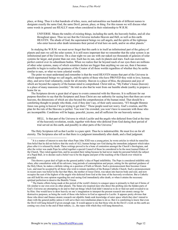place, or thing. Thus it is that hundreds of tribes, races, and nationalities use hundreds of different names to designate exactly the same God, the same Devil, person, place, or thing. For this reason we will discuss what some words in general use REALLY mean when considered in their relationship to W.R.M.

UNIVERSE. Means the totality of existing things, including the earth, the heavenly bodies, and all else throughout space. Thus we see that the Universe includes Heaven and Hell, as well as this earth. HEAVEN. The abode of God; the supernatural beings we call angels, and the spirits of the righteous who enter heaven after death terminates their period of trial here on earth, and/or on other planets.<sup>3</sup>

In studying the W.R.M. we must never forget that this earth is in itself an infinitesimal part of the galaxy of planets and stars we call the solar system. It is still more important that we remember that the solar system is an infinitesimal part of the Universe. On a clear night we can see with our naked eye thousands of galaxies of solar systems far larger, and greater than our own. Each has its sun, each its planets and stars. Each sun exercises perfect control over its subordinate bodies. When we realize that far beyond reach of our eyes there are millions of other solar systems, many of which scientists declare are bigger than anything we can see, then it becomes possible to begin to realize the greatness of the Creator of all these worlds regardless of whether they be earths similar to ours, or what we term celestial worlds.

The point we must understand and remember is that the word HEAVEN means that part of the Universe in which supernatural beings we call angels, and the spirits of these who have PROVED they wish to love, honour, obey, and serve God voluntarily, reside for all eternity. Heaven is a place of bliss, the pleasures and joys of which are beyond the capacity of the human mind to comprehend. Christ told us, "My Father's house (heaven) is a place of many mansions (worlds)." He told us also that he went from our humble abode (earth), to prepare a home for us.

The Scriptures devote a great deal of space to events connected with the Heavens. It is sufficient for our purpose therefore to say that the Scriptures and Jesus Christ are our authority for saying here that there are seven heavens, the dimensions of which are also beyond the comprehension of the human mind. That should be a comforting thought to people who think, even if they don't say, of their early associates, "If I thought Himmie Jones was going to heaven I'd quit trying to get there." These people need not worry. God's creation, and His plan for the rule of the Heavens is perfect. You won't be crowded; you won't have to associate with those who are incompatible. Conditions will be happy, peaceful, joyous, and all sufficient for our heavenly natures.

HELL. Is that part of the Universe in which Lucifer and the angels who defected from God at the time of the heavenly revolution, reside, together with those who defected from God during their period of trial served on this earth, and possibly in other parts of the Universe.<sup>4</sup>

The Holy Scriptures tell us that Lucifer is a pure spirit. Thus he is indestructible. He must live on for all eternity. The Scriptures also tell us that there is a judgment immediately after death, and a final judgment.

 $\frac{1}{3}$  $3$  It is a matter of interest to note that when Pope John XXII was a young priest, he wrote articles in which he stated his firm belief that he did not believe that the souls of ALL human beings saw God during the immediate judgment which takes place after it is released by death. These writings proved to be a bone of contention amongst the Church's theologians, and after the writer was made Pope he called together a special Council of those he considered to be the most learned Elders of the Church. They ruled against him, and he accepted their ruling because he had never made his personal beliefs the subject of a Papal Bull, or to declare such a belief was to be the dogma and part of the teaching of the Church over which he presided.

This throws a great deal of light on the general public's idea of Papal infallibility. The Pope is considered infallible only when, after consultation with all his advisors, long periods of contemplation and prayer, asking for the spiritual guidance of the Holy Ghost, he makes a definite ruling on a question of Faith or Morals. Such a pronouncement then becomes Canon Law, and must be accepted by all those who wish to remain members of the Roman Catholic Church. Such a pronouncement in recent years was belief in the fact that Mary, the mother of Jesus Christ, was taken into heaven body and soul, and now occupies the seat of the highest of the angels who defected from God at the time of the heavenly revolution. But a Catholic can still hold his own opinion regarding his soul seeing God immediately after death, or when it attains the necessary spiritual perfection to deserve the Beatific Vision. 4

The frantic efforts being made at this period of the world's history to conquer space is primarily to find out if forms of life similar to our own exist on other planets. The Satan icly-inspired men who direct this probing into the hidden parts of God's Universe are attempting to do and to find out things which God didn't intend us to do or find out until revealed to us by Him. One would have to draw heavily on one's imagination to interpret the present research into atomic energy for destructive purposes, as being the work of those who believe in God as opposed to Lucifer. It appears pretty obvious that those who direct and finance atomic research out ofpublic funds seek knowledge of outer space which they don't intend to share with the general public unless it will serve their own totalitarian plans to do so. But it is comforting to know that even the Devil will hang himself if given enough rope. It would appear to me that those who do the Devil's work on this earth are coming very close to the end of their tethers, i.e., the ropes with which they will hang themselves.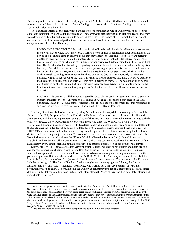According to Revelations it is after the Final judgment that ALL the creatures God has made will be separated into two camps. Those referred to as the "Sheep," will go to Heaven, while "The Goats" will go to Hell where Lucifer will reign for all eternity.

The Scriptures inform us that Hell will be a place where the totalitarian rule of Lucifer will be one of utter chaos and confusion. We are told that everyone will hate everyone else, because all in Hell will realize that they were deceived by Lucifer and his agents into defecting from God. The flames of Hell, which burn but do not consume, consist of the knowledge that those who are damned have lost the love and benefits, the joys and companionship of God for all eternity.

LIMBO AND PURGATORY. Many who profess the Christian religion don't believe that there are any in-between places where souls may serve a further period of trial or purification after termination of the period of trial on this earth in order to prove that they deserve the Beatific Vision. They are perfectly entitled to their own opinions on this matter. My personal opinion is that the Scriptures indicate that there are other worlds on which spirits undergo further periods of trial to decide their ultimate and final fate. The fact that absolute knowledge regarding this matter has not been revealed to human beings is a blessing. If we all knew that there were intermediary stopping off places before we arrive in heaven or hell as our final destination, we might not try hard enough to earn our eternal reward while on this earth. It would seem logical to suppose that those who serve God as nearly perfectly as is humanly possible, will go to heaven when they die. It is just as logical to suppose that those who serve Lucifer to the best of their ability while on earth will join him in hell when they die. The vast majority of people don't seem to be able to realize that upon this earth there are considerably more people who serve the Luciferian Cause than there are trying to put God's plan for the rule of the Universe into effect upon this earth.

LUCIFER This greatest of all the angels, created by God, challenged his Creator's RIGHT to exercise supreme authority over the Universe and all on and in it, yet he is mentioned only once in the Holy Scriptures. Isaiah 14:12 (King James Version). There are two other places where it seems reasonable to suppose the words used refer to Lucifer. Those are Luke 10:18 and Rev. 9:1-11.

The Holy Scriptures' lack of revelation regarding WHY Lucifer challenged the supremacy of God, and the fact that in the Holy Scriptures Lucifer is identified with Satan, makes most people believe that Lucifer and Satan are one and the same supernatural being. Study of the secret writings of men, who have at various periods of history directed the W.R.M., definitely prove that those who direct the W.R.M. AT THE TOP are Luciferians. Letters of instruction dealing with Luciferian doctrine and dogma have from time to time fallen into the hands other than intended while being circulated for instructional purposes, between those who direct AT THE TOP and their immediate subordinates. In my humble opinion, the revelations concerning the Luciferian doctrine and conspiracy are just as much "Acts of God" as are the revelations and inspirations which make the Holy Scriptures the inspired and revealed Word of God. I believe that because God (Adonay) is just and Merciful, He intended that all His creatures on this earth, whom He put here to work out their own eternal fate, should know every detail regarding both sides involved in obtaining possession of our souls for all eternity.<sup>5</sup>

Study of the W.R.M. indicates that it is very important to decide whether or not Lucifer and Satan are one and the same supernatural being. Search of the Holy Scriptures will not reveal a definite ruling. The most famous theologians who have lived since Christ, have shied clear of making a definite pronouncement on this particular question. But men who have directed the W.R.M. AT THE TOP are very definite in their belief that Lucifer is God, the equal of our God (whom the Luciferians refer to as Adonay). They claim that Lucifer is the "Holder of the light," "The God of Goodness," who struggles for humanity against Adonay, the God of Darkness and Evil and ALL wickedness. Albert Pike, who worked out a military blueprint of wars and revolutions which he calculated would bring the Luciferian conspiracy into its final stage upon this earth, stated definitely in his letters to fellow conspirators, that Satan, although Prince of this world, is definitely inferior and subordinate to Lucifer.<sup>6</sup>

 $\frac{1}{5}$ <sup>5</sup> While we recognize the truth that the Devil (Lucifer) is the "Father of Lies," as told to us by Jesus Christ; and the Synagogue of Satan (S.O.S.), who direct the Luciferian conspiracy here on this earth, are sons of the Devil, and masters in the art of deception, I still maintain, however, that a great deal of truth can be learned from the secret writings of men who were the High Priests of the Luciferian Religion in their day, because they never intended that their pronouncements on this all important subject should fall into hands other than intended. As will be proved in other chapters, many men have directed the ceremonial and dogmatic executives of the Synagogue of Satan and the Luciferian religion since Weishaupt died in 1830. They include Moses Hofbrook and Albert Pike of the United States of America; Mazzini and Lemmi of Italy, and, most recently, Alister Crowley of England. 6

 $6$  Pike and his direction of the Luciferian conspiracy are dealt with fully in other chapters.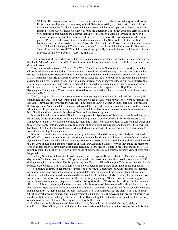SATAN. The Scriptures use the word Satan quite often and tell us about his evil purpose and works. He is, as the word implies, the adversary of God. Satan is invariably associated with Lucifer. Most Christians accept the fact that Lucifer and Satan are one and the same supernatural being commonly referred to as the Devil. Those who have directed the Luciferian Conspiracy upon this earth have been very definite in pronouncing the doctrine that Lucifer is God, and Satan his "Prince of the World." There is Scriptural support for the belief that there are five or more other worlds over which Lucifer placed "Princes," and several others, in addition to claiming that Satan is the eldest son of God (Adonay), and the older brother of Jesus Christ, also claim that Jesus Christ is one and the same person as St. Michael the Archangel. They claim that when God decided to inhabit this earth Lucifer made Satan "Prince of this world." This claim is confirmed partially by the Scriptures, which refer to Satan as Prince of this world. John 14:30,16:11, Eph. 2:2.

The Luciferian doctrine teaches that Satan, using human agents, developed the Luciferian conspiracy so well that God (Adonay) decided to send St. Michael to earth in the form of Jesus Christ, to halt the conspiracy as he done in heaven.

Those who worship Satan as "Prince of the World," and Lucifer as God of the celestial world, claim that Christ failed in His earthly mission. They claim that when Christ refused to accept the overtures of Satan, his betrayal and death were arranged in such a manner that the Romans acted as judge and executioners for the S.O.S., while the High Priests used mob psychology to make the Jews reject Christ as the Messiah and then to assume the guilt for His crucifixion. Study of history indicates very strongly that those who have directed the Luciferian conspiracy upon this earth have made it their special business to make as many Jews as possible defect from God, reject Jesus Christ, and have used them to serve the purposes of the High Priests of the Synagogue of Satan, which Christ Himself informed us, is composed of "Them who say they are Jews, but are not, and do lie."

The Synagogue of Satan have hated the Jews from their beginning because God wished them to carry His banner here on earth. The S.O.S. warped the Jews' knowledge of God's wishes while they were in captivity in Babylon. They have since warped the Gentiles' knowledge of Christ's wishes in this regard also. It is because the Synagogue of Satan hated the Jews, and had treated them so badly in trying to obtain control of their minds while they enslaved their bodies in captivity, that Christ told us His mission here on this earth was to release both Gentiles and Jews from the bondage of Satan and his Satanic agencies.

In my opinion the agentur of the Illuminati who put out the Synagogue of Sataris propaganda and lies, have deliberately hidden from general knowledge many things which would prove that it was the members of the Synagogue of Satan who caused the prophesies regarding Christ's betrayal and death to come to pass. Judas and the Jews were only instruments they used to accomplish their diabolical purpose, and then cover their own guilt by placing it on the shoulders of the Jews who, unfortunately, because of lies and deceits, have been made to wear that cloak of guilt ever since.

It must be admitted that the betrayal of Jesus by Judas was real and disastrous, particularly as it affected Christ's efforts to convert the Jews and release them from the bonds with which they have been bound by the Synagogue of Satan. But why is it that so many ordained ministers of Christ's religion preach that God intended that the Jews should bring about the death of His Son, our Lord and Saviour? Why do they make the members of their congregation believe that Christ surrendered himself meekly to His fate in order that the prophesies of Scripture might be fulfilled? My study of this phase of history gives me an entirely different view of what really happened.

The Holy Scriptures tell me that Christ knew what was to happen. He went about His Father's business by day because He knew that because of His popularity with the masses the authorities would not dare arrest Him during the daylight or in public. The Scriptures say that Christ hid Himself at night. This proves that, despite His prophetic knowledge of what was to come, he in no way acted to bring about fulfillment of the prophecies.

The absolute contrary to general belief appears to be the truth. Christ exposed Judas' treacherous intentions, obviously in the hope that such denunciation would defer him from committing such an abominable crime which would lead him to suicide and eternal damnation. Christ condemned Judas precisely because his betrayal was to prove disastrous. His career was cut short at the very beginning of His mission. It is interesting to speculate on what might have happened regarding history since then if Christ had been allowed to live another fifty years. It is a strange thing that those who serve the Synagogue of Satan seem to live almost invariably into their eighties. Here we have the most outstanding example of those who direct the Luciferian conspiracy making human beings serve their diabolical purpose; God knew what would happen, but He didn't want it to happen. Christ knew what would happen, but He didn't want it to happen. He even prayed to His heavenly Father in the Garden of Gethsemane, and begged to be saved from His pending fate, but at the same time Christ did as many of us have done since. He said, "Not my will, but Thy Will be done."

I believe it was the Synagogue of Satan who plotted, financed, and directed the betrayal, trial, and crucifixion of Jesus Christ, and used Judas as their tool, and caused the Jewish mob to assume the guilt for their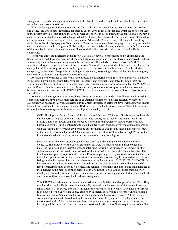sin against God, and crime against humanity, in order that they could retain the hold which Christ Himself told us He had come to earth to break.

What the Synagogue of Satan, those who, as Christ told us, "are them who say they are Jews, but are not, and do lie," did was to make it possible for them to use the Jews as tools, agents, and whipping boys from then to the present day. Tell this truth to the Jews as well as to the Gentiles, and perhaps the course of history may be changed sooner instead of later. What happened to Christ nearly two thousand years ago has been celebrated as a Luciferian and Satanic victory in every Black and/or Adonaicide Mass ever since. The horrible, revolting ritual claims that the Synagogue of Satan defeated Christ's mission to earth by bringing it to an early and sudden end, when they were able to engineer His betrayal, conviction on false charges, and death. I can find no mention of this as a Jewish victory in the documents I have studied which deal with this aspect of the Luciferian conspiracy.

Those who direct the Luciferian conspiracy AT THE TOP have also encouraged and even financed anti-Semitism, and used it to serve their secret plans and diabolical ambitions. But they have also deceived Gentiles into serving their diabolical purposes in exactly the same way. It is utterly ludicrous to say the W.R.M. is a Jewish plot designed to give the Jews ultimate control of the world, because study of the Luciferian plot proves clearly that ALL forms of government and religion are to be destroyed in the final stage of the Luciferian conspiracy, so that when "No power or cunning can prevent us, we (the high priests of the Luciferian religion) shall crown our leader King-Despot of the entire world."

According to the writings of those who have directed the Luciferian conspiracy, their purpose is to enslave ALL Lesser human beings absolutely, physically, mentally, and spiritually, and force them to accept the Luciferian ideology by application of Satanic despotism. This being a fact, those who claim that the W.R.M. is a Jewish, Roman Catholic, Communist, Nazi, Masonic, or any other kind of conspiracy, talk utter nonsense, because evidence in this book will PROVE HOW the conspirators intend to destroy all forms of government and religion.

As far as our investigations have gone, the evidence indicates that those who have directed the Luciferian conspiracy secretly, have always masqueraded as champions of another established religion. We have the Luciferian who headed the Jewish Sanhedrin during Christ's mission on earth; we have Weishaupt, who taught Canon Law by which the Christian missionary efforts were governed in his day; we have Albert Pike-who was head of the Masonic religion (for Masonry is a religion), in his day, etc., etc.

GOD. The Supreme Being, Creator of the heavens and the earth (Universe). God is known as Jehovah, but this form of address dates only since 1518. The name given to God by the human race in pre-Mosaic times was Jahweh, sometimes spelled Yahweh, meaning Creator. God the Creator is also known as Elohim. But it is interesting to note that after Moses had been given the Commandments by God the fact that they forbade any person to take the name of God in vain caused the religious leaders of the Jews to substitute the word Adonai or Adonay. This is the word used by the high Priests of the Luciferian Creed when making any pronouncement or defining any dogma.

PROTOCOLS. The word means original written draft of a plan designed to achieve a definite objective. The protocols of the Luciferian conspiracy were written as soon as human beings had mastered the art of putting their thought and intentions regarding the future, on parchment, or other suitable material, so they could be preserved for the information of those who came after them. The Luciferian conspiracy (to prevent the Human Race from putting God's plan for the rule of the Universe into effect upon this earth so that a totalitarian Luciferian dictatorship may be imposed on ALL Lesser Beings in the final stages) has constantly been revised and modernized, BUT NEVER CHANGED. It has been revised and modernized so that those directing the conspiracy can take full advantage of rapidly changing social, economic, political, and religious conditions, and also to take full advantage of the advances being made in applied science. Men who refuse to give God credit for their superior intelligence invariably become Satanists, and as such, serve the secret plans, and further the diabolical ambitions, of those who direct the Luciferian conspiracy.

This TRUTH is made abundantly clear in the writings of both Adam Weishaupt and Albert Pike. They say that when the Luciferian conspiracy is finally imposed on what remains of the Human Race, the King-Despot will be served by a FEW millionaires, economists, and scientists, who have been proven to be devoted to the Luciferian Cause, assisted by sufficient soldiers and police (the United Nation's International Police?) to enforce the will of the dictator upon the masses (Goyim). All the Goyim, without exception, are to be reduced to the state of human cattle by a process of integration on an international scale. After the human race has been turned into a vast conglomeration of humanity, breeding will be limited to types and numbers considered sufficient to fill the requirements of the State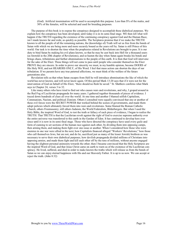(God). Artificial insemination will be used to accomplish this purpose. Less than \$% of the males, and 30% of the females, will be selected and used for breeding purposes.

The purpose of this book is to expose the conspiracy designed to accomplish these diabolical purposes. We explain how the conspiracy has been developed, until today it is in its semi-final stage. WE then tell what will happen if the TRUTH regarding the existence of the continuing conspiracy against God and the Human Race, isn't made known far and wide, as quickly as possible. The Scriptures promise that if we make the TRUTH known to all the people of all the remaining nations, the (knowledge of) Truth will set us free from the bonds of Satan with which we are being more and more securely bound as the years roll by. Satan is still Prince of this world. Our task is to shorten the time when the prophesies related in Revelations are brought to pass. It is our duty to bind Satan by making his evil plans known, so that he may be cast back into Hell for a thousand years (as foretold in the 20th chapter of Revelations), and so hasten the day when Satan again breaks his bonds and brings chaos, tribulations and further abominations to the people of this earth. It is then that God will intervene for the sake of the Elect. These things will not come to pass until people who consider themselves the Elect PROVE they are sincere. In order to prove our sincerity we must, in my humble opinion, become DOERS of His Holy Will, and not HEARERS ONLY, of His Word. I feel that mass action can shorten the days of our tribulation. If we parents have any true paternal affections, we must think of the welfare of the future generations also.

Revelation tells us that when Satan escapes from Hell he will introduce abominations the like of which the world has never known, and will never know again. Of this period Mark 13:20 says that if it were not for the intervention of God on behalf of His Elect, "there should no flesh be saved." St. Matthew confirms what Mark says in Chapter 24, verses 3 to 32.

Like many others who have tried to find out who causes wars and revolutions, and why, I groped around in the Red Fog of Luciferian propaganda for many years. I gathered together thousands of pieces of evidence. I traced down hundreds of clues all over the world. At one time and another I blamed selfish Capitalism, Communism, Nazism, and political Zionism. Others I consulted were equally convinced that one or another of these evil forces were the SECRET POWER that worked behind the scenes of governments, and made them adopt policies which ultimately forced them into wars and revolutions. Some blamed the Roman Catholic Church; others Freemasonry; still others Judaism, the World Federalists, Bilderbergers. But when I used the Holy Bible, the inspired Word of God, to test the truth or fallacy of each piece of evidence, I began to realize the TRUTH. That TRUTH is that the Luciferian revolt against the right of God to exercise supreme authority over the entire universe was transferred to this earth in the Garden of Eden. It has continued to develop here ever since until it is now in its semi-final stage. Those who have directed the conspiracy have used every guile and form of cunning to set sections of the human race against each other, by dividing them into opposing camps, then arming them, and making them fight over one issue or another. When I considered how those who were enemies in one war were allied in the next; how Capitalists financed alleged "Workers' Revolutions;" how those who call themselves Jews, but are not, and do lie, sacrificed just as many of the lesser Jewish) brethren as was necessary to serve their own diabolical purposes; how devilish propaganda divided millions of Christians into opposing armies, and made them fight and kill each other off by the tens of millions, without anyone engaged having the slightest personal animosity towards the other; then I became convinced that the Holy Scriptures are the inspired Word of God, and that Jesus Christ carne on earth to warn us of the existence of the Luciferian conspiracy. He lived, suffered, and died in order to make known the truths which will release us from the bonds of Satan so we can enjoy eternal happiness with His and our Heavenly Father. It is up to us now. We can accept or reject the truth. (John 8:32)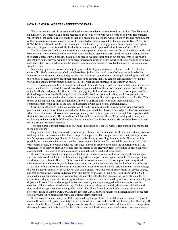#### **HOW THE W.R.M. WAS TRANSFERRED TO EARTH**

We have seen that primitive people believed in a supreme being whom we refer to as God. They believed in an evil adversary whom we call Satan because he tried to interfere with God's creation and with His creatures which inhabit the earth. The Bible tells us that, at a much later date in the world's history, the Hebrews thought of the Heavens as concave, above a flat earth, supported on pillars, erected on foundations. (2 Sam. 22:8, Prov. 8:27-29) They believed that there are seven heavens inhabited by varying grades of superhumans, the highest Aravoth, being reserved for God. St. Paul tells us he was caught up into the third heaven. (2 Cor. 12:2)

The Scriptures don't tell us much regarding what happened in heaven after Lucifer and his fellow rebels had been cast out; nor are we told definitely WHY God decided to create this earth on which human beings decide their eternal fate. But God did give us an intelligence so we can reason things out for ourselves. If He hadn't done things in this way we wouldn't have been subjected to much of a test, which is obviously designed to make each individual *prove* whether or not he honestly and sincerely desires to love God and serve Him *voluntarily* for all eternity.

Interesting light is thrown on this subject by several theologians who make reference to the fact that the cause of Lucifer's revolt against God could have been jealously aroused when God announced it to be His intention to create human beings and give them the chance and opportunity to develop into the highest ranks of the celestial beings. But it would appear more logical to assume that God came to His decision to create this world and populate it with human beings AFTER St. Michael had suppressed the Luciferian revolt.

This reasoning opens a line of thought which could lead us to believe that God is infinitely merciful, as well as just, and therefore created the world (worlds) and populated it, or them, with human beings because He did not hold all who had joined Lucifer in revolt equally guilty. It doesn't seem unreasonable to suppose that God decided to give those angels He judged to have been deceived into joining Lucifer, another opportunity to decide for themselves whether they wished to accept Him as their God and supreme authority, or Lucifer. This theory could explain why there is a definite affinity of a spiritual entity with each individual body. We commonly refer to this entity as the soul, and associate it with our personal guardian angel.

Carrying this theory to its logical conclusion, it would seem reasonable to suppose that God intended to place human beings on earth by a method of birth that prevented their having knowledge of other worlds beyond what He decided to reveal to our first parents personally, and to future generations through His prophets and the Scriptures. We are told that He did walk with Adam and Eve in the Garden of Eden, talking with them, and explaining to them His Holy Will and His plan for the rule of the Universe which He wanted to be established on this earth, as related in Genesis.

This being true, our first parents had first hand knowledge of God; His wishes; His plans and intentions for them in the future.

He promised that if they respected His wishes and obeyed His commandments, they would, after a period of trial, rejoin Him in Heaven and live forever in perfect happiness. The Scriptures confirm that part of primitive man's mythology which says God made living easy for them by providing for their needs. Then again, it is possible, as some theologians claim, that the correct explanation is that God created this world and inhabited it with human beings, into whose bodies He "breathed" a soul, in order to give them the opportunity to fill the vacancies left in Heaven after Lucifer and those members of the Heavenly Host who joined in his revolt, were cast into Hell. They teach that God creates an individual soul for each individual body.

If this is the case, then it is also probable that there are as many worlds as there are many choirs of angels, and that each world is inhabited with human beings which compare in intelligence with the fallen angels they are designed to replace in Heaven. If this is so, it does not seem unreasonable to suppose that our spiritual advancement, or deterioration, could be progressive as well as immediate, after the death of our mortal bodies.

Millions of human beings believe in reincarnation. It could be that this belief originates with the knowledge that God's heaven consists of seven levels; that God's angels were made up of many choirs of varying degree, and that angels of lesser degree advance from one heaven to another. If this is so, it would appear that God intended human beings to exist in various degrees, and also intended that those on the lower plane could, by application, diligence, and attention to spiritual matters, advance themselves to higher levels on earth and higher degrees in heaven. This is what rugged individualism really means, and rugged individualism is what the enemies of God are determined to destroy. Obviously human beings can, and do, deteriorate spiritually until they reach the stage when they are engulfed in Hell. This line of thought would offer some explanation to references made to Limbo, Purgatory, and the fact that Christ, after His resurrection, descended into some part of Hell, where He released souls who were waiting their redemption.

If God created human beings to fill the gaps made by the apostasies of the fallen spirits, then it is logical to assume He wants us to prove definitely that we wish to know, love, and serve Him voluntarily for all eternity. If we develop this line of thought to its logical conclusion, then it is our spiritual condition, when we emerge from the struggle going on in this world for the souls of men, which will determine whether or not we are considered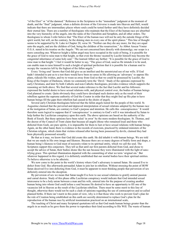"of the Elect" or "of the damned." Reference in the Scriptures to the "immediate" judgment at the moment of death, and the "final" judgment, when a definite division of the Universe is made into Heaven and Hell, would indicate that there are intermediary places where souls could be tested further until they have definitely decided their eternal fate. There are a number of theologians who maintain that the Elect of the human race are absorbed into the very hierarchy of the angels, into the ranks of the Cherubim and Seraphim, and all other orders. The theologians to whom I refer believe that "The Elect of the human race will not be only the outside fringe of the spirit world, but will, on the contrary, be the shining stars in every one of the spirit planes." This line of thought seems to be supported by St. Luke in Chapter 20, verse 36: "Neither can they die any more; for they are equal unto the angels, and are the children of God, being the children of the resurrection." As Abbot Anscar Vonier O.S.A. stated in his treatise on the Angels: "We are not concerned here directly with demonolgy; our scope is a more consoling one. Whatever height a fallen angel may have occupied in the scale of being, it is possible for the grace of God to raise man to that height, so that even the throne vacated by Lucifer himself may become the congenital inheritance of some holy soul." The learned Abbot say further: "It is possible for the grace of God to raise man to that height." I feel it would be better to say, "The grace of God, used as He intends it to be used, can enable man to raise himself to such a height of spiritual perfection that it is possible for a human soul to occupy the vacancies left by the highest of the fallen angels."

Every 'living soul' knows that God did give us an intellect and the unrestricted use of our wills. If God hadn't intended to put us to a test there would have been no sense in His allowing an 'adversary' to oppose His plans, ridicule His wishes, and try to wean us away from God so that we could be possessed by Lucifer, the King of the Empire of Darkness, whom we commonly term the 'Devil.' Study of the opinions expressed by early Christians, and later by both Catholic and non-Catholic theologians, provides evidence which supports the reasoning set forth above. We find that several make reference to the fact that Lucifer and his followers expressed the lustful desire to have sexual relations with, and physical control over, the bodies of human beings God planned to create. Quite obviously they could have developed such desires only as the result of their rebellion against the supreme authority of God the Creator in order that they might foul up His plan to have human beings fill the gaps their rebellion had caused in the choirs of angels.

Several early Christian theologians believed that the fallen angels lusted for the people of this world. St. Augustine claimed that the perverted and depraved interpretation of sexual relations adopted by the human race at the instigation of Satan, are contrary to God's purpose and intention. He calls this conscupiscence.' It would therefore seem logical to suppose that if 'concupiscence' is contrary to God's will it was introduced by Satan to help further the Luciferian conspiracy upon this earth. The above opinions are based on the authority of the Book of Enoch. But these opinions have been ruled 'in error' by the more modern theologians. St. Thomas, and the decree of the Council of Trent claim that because all angels (those who remained loyal and those who defected from God), are pure spirits, it is impossible for them to lust or have sexual relations with human beings. Again, on the other hand, there is evidence in the records of exorcism, practiced by ordained ministers of the Christian religion, which claim that victims released after having been possessed by devils, claimed they had been physically possessed sexually.

Be that as it may, we know that God did create this earth. He did inhabit it with human beings. We are told that we are made in His own image and likeness. Because there are so many degrees of bodily form and shape, a human being's likeness to God must of necessity relate to its spiritual entity, which we call the soul. The Scriptures support this conjecture. They tell us that until our first parents defected from God, and chose to accept the advice of Satan, their bodies shone like the sun because they were illuminated with the light of sanctifying grace. This spiritual illumination departed with the committing of what we term 'original sin.' But whatever happened in this regard, it is definitely established that our mortal bodies have their spiritual entities. To believe otherwise is to be atheistic.

We now come to the point in the world's history where God's adversary is named Satan. He caused Eve to defect from God. She afterwards persuaded Adam to join her in rebellion. Without stressing the point of HOW Satan deceived Eve into defecting from God, it must be apparent to most thinking people that perversion of sex definitely entered into the deception.

By perversion of sex we mean that Satan taught Eve how to use sexual relations to gratify animal passion and carnal desires. Study of this phase ofthe Luciferian conspiracy would indicate that God intended sexual intercourse to be a holy union between a man and his wife, entered into for the purpose of creating another human being into whom God could infuse a soul because He desired to have an opportunity to fill one of the vacancies left in Heaven as the result of the Luciferian rebellion. There must be some merit to this line of thought, otherwise there would not be such a clash of opinions regarding the use of contraceptives and so-called planned births. If there isn't merit in this point of view, why is it that those who work to prevent God's plan for the rule of Creation being established on this earth are secretly determined to replace God's plan for the reproduction of the human race by artificial insemination practiced on an international scale,

The teaching of Christ and many Scriptural quotations tell us that God made human beings greater than the angels in as much as he gave them the power to reproduce their kind according to His Will. The waste of human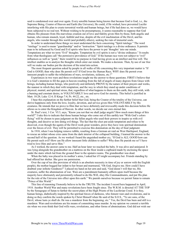seed is condemned over and over again. Every sensible human being knows that because God is God, i.e., the Supreme Being, Creator of Heaven and Earth (the Universe), He could, if He wished, have prevented Lucifer interfering with His plan to create terrestrial worlds and human beings, but if He had done so, we would have been subjected to no real test. Without wishing to be presumptuous, it seems reasonable to suppose that God obtains His pleasure from His marvelous creation out of love and fidelity given Him by those, both angelic and human, who remain staunch, loyal, faithful and true, despite all the evil machination of the Devil, and his angels, who wander through this world (and probably others), seeking the ruin of immortal souls.

In order to understand these things we must understand the facts concerning "Spirit tutelage." The word "tutelage" is used to mean "guardianship" and/or "instruction." Spirit tutelage is a divine ordinance. It permits man to be influenced by Good and Evil spirits who have the power to put 'thoughts' into our minds. Temptations are what we term "Evil" thoughts. Temptation by evil spirits is not a "divine ordinance." It results from what theologians call "the permissive providence of God." If the human race were not subject to "evil" influences as well as "good," there would be no purpose in God having given us an intellect and free will. The intellect enables us to analyze the thoughts which enter our minds. We make a decision. Then, by use of our free will we make our bodies put the decision of the mind into action.

The most frequent question asked by people in all walks of life concerning this very important matter is "If God is GOOD, then why does He permit evil? If God loves the Human Race, WHY does He permit even innocent people to suffer the tribulations of wars, revolutions, sickness, etc.?"

Experiences in two wars and three revolutions taught me the answer to these questions. FIRST-I believe that it is God's intention to fill the gaps in heaven resulting from the fall of angels of many degrees from Grace with beings, including human beings, who positively and definitely PROVE by the nature of their prayers and works, the manner in which they deal with temptation; and the way in which they stand up under conditions of physical, mental, and spiritual stress, that, regardless of what happens to them on this earth, they still wish, with a burning and constant desire, to VOLUNTARILY love and serve God for eternity. This belief is justified in Matt. 10:28; Luke 12:4; II Kings 7:4; Ps. 44:22, etc., etc.

I base this explanation on the further belief that God, being the Creator of the totality of the Universe, can derive happiness only from the love, loyalty, devotion, and service given Him VOLUNTARILY by His creatures. He intends that we prove to Him that we have definitely and irrevocably made this decision before He allows us to enter the Kingdom of Heaven. In other words, we decide our own eternal fate.

St. Paul's text, 1 Cor. VI:3, says, "Know you not that we shall judge angels? How much more things of this world?" I take this to indicate that those human beings who come out of this earthly test "With God's colors flying" will be chosen to pass judgment on the fallen angels who used their powers to inspire us with evil thoughts, and deceive us into doing evil things. The fact that the elect put aside temptation and refuse to be deceived, even though the agents of the Devil work great wonders, prove they have won spiritual domination over the forces of evil. They will be permitted to exercise this domination on the day of final judgment.

In 1918, when I was helping remove rubble, resulting from a German air raid on West Hartlepool, England, to rescue an infant whose cries came from the dark interior of the collapsed building, I learned the answer to the second half of the question. As we worked I heard the anguished mother cry, "If God is ALL GOOD how can He permit such evil?-How can He allow innocent little children to suffer? Why does He punish me so? I have tried to love Him and serve Him."

As I worked, the answer came to me. Half an hour later we reached the baby. It was alive and uninjured. It was lying alongside the grandmother on a mattress on the floor inside a cupboard made by enclosing the space under the stairs which led from the ground floor to the upstairs rooms. The grandmother was dead.

When the baby was placed in its mother's arms, I asked her if I might accompany her. Friends standing by had offered her shelter. She gave me permission.

Over the cup of tea (the provision of which is an absolute necessity in time of joy or sorrow with the English people), the mother hugged her infant to her breast and murmured, "Oh God, forgive me. How could I have doubted your infinite Goodness?" I placed my hand on her arm and said, "God doesn't will that we, His creatures, suffer the abomination of war. Wars are a punishment humanity afflicts upon itself because the majority have obstinately and persistently refused to do His Will, obey His Commandments, and put His plan for the rule of the Universe into effect upon this earth." We punish ourselves because we permit Satan to remain "Prince of this World."

This line of reasoning I honestly believe to be the TRUTH. The incident I record here happened in April, 1918. Another World War and many revolutions have been fought since. The W.R.M. is directed AT THE TOP by the Synagogue of Satan to further the secret plans of the High Priests of the Luciferian Creed. It is they, human beings, diabolically inspired by the spiritual forces of darkness, who foment wars and revolutions, and in doing so they confirm the words spoken by Christ Himself when He said of the S.O.S., "Ye are sons, of the Devil, whose lusts ye shall do. He was a murderer from the beginning; etc." Yes, the Devil has been and still is a murderer. Wars and revolutions are his means of committing mass murder. In my opinion we commit a terrible sin when we even think that God wills wars, revolutions, and other forms of abominations. God did not wish our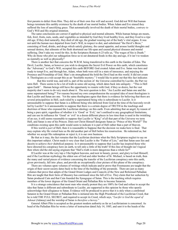first parents to defect from Him. They did so of their own free will and accord. God did not Will that human beings terminate this earthly existence by the death of our mortal bodies. When Adam and Eve sinned they suffered the loss of sanctifying grace. That automatically involved the death of their mortal bodies, *contrary to* God's Will and His original intention.

The same conclusions are correct if applied to physical and mental ailments. While human beings ate meats, fish, fowl, fruits, nuts, seeds,-and vegetables as intended by God they lived healthy lives, and they lived to a ripe old age. If they died naturally, they died of old age, the gradual wearing out of the body's vital organs. It was not until the human race departed from God's Will, in respect to diet, and substituted "the Devil's Brew," consisting of food, drinks, and drugs which satisfy gluttony, the carnal appetite, and arouse lustful thoughts and sensual desires, that ailments of the flesh shortened our life-span and caused physical diseases and mental suffering. Don't take my word for this. In the Scriptures Romans 6:23 tells us, "The wages of Sin is Death." Why do those who plot our subjugation force us to eat denatured foods in this day and age, if it isn't to weaken us mentally as well as physically?

There is another fact that concerns the W.R.M. being transferred to this earth in the Garden of Eden. The Devil, Lucifer, Satan, or however you wish to designate the Secret Evil Power on this earth, which constitutes the "Adversary" to God's Will, occupied this earth BEFORE God created Adam and Eve. Satan was here and ready to tempt Eve, and through her, Adam, when both were still in a state of innocence, and enjoying the Presence and Friendship of God. Man's sin strengthened the hold the Devil had on this world. It did not create it. Theologians as a rule accept this as an "Insoluble mystery." I would like to point out that this fact indicates

 that this world was, and still is, part of the section of the Universe controlled by Lucifer, the Part we term Hell. There seems to be a lot of truth in some old saying, which dates back into antiquity – "This is Hell upon Earth". Human beings still have the opportunity to reunite with God, if they so desire, but the vast majority don't seem to do very much about it. The next question is this: "Are Lucifer and Satan one and the same supernatural being?" For reasons beyond my own comprehension the accepted idea of most theologians is that Lucifer and Satan are one. Yet the same theologians agree that there is evidence for believing that there are several principalities in Hell, each ruled by a supernatural being who is subordinate to Lucifer. Is it unreasonable to suppose that Satan is a different being who defected from God at the time of the heavenly revolt led by Lucifer? Is it unreasonable to suppose that there is a certain degree of TRUTH in the teachings and doctrines of those who expound the Luciferian ideology on this earth. Even admitting that an angel, by reason of being a pure spirit, regardless of whether it is 'Good' or 'Evil,' isn't confined to any geographical limitations, and can use its influence for 'Good' or 'evil' in a dozen different places in less time than is used in the twinkling of an eye, it still seems reasonable to suppose that Lucifer is "King" of all that part of the Universe we term Hell, and Satan is one of his Princes. Does not Christ Himself designate Satan as "Prince of this World?" The conditions existing upon this earth would seem to indicate it is part of Hell rather than a part of Heaven.

If this world is *part* of Hell, then it is reasonable to Suppose that the decision we make here is final. That may explain why He visited here as He did another part of Hell before his resurrection. He redeemed us, but whether we accept His redemption or reject it, it is our own business.

Be that as it may, the fact remains that the Luciferian doctrines what the Holy Scriptures neglect to say on this important subject. Christ made it very clear that Lucifer is the "Father of Lies," and that Satan uses lies and deceits to achieve *their* diabolical purpose. Is it unreasonable to suppose that Lucifer has inspired those who have directed his conspiracy here on earth, to tell only a little of the truth? If this line of thought isn't logical then where did the old saying originate that "Half a truth is more dangerous than a whole lie?"

If Lucifer was at the very top o f the highest heavens, and nest in beauty, power, and glory to God Himself, and if the Luciferian mythology the eldest son of God and older brother of St. Michael, is based on truth, then the many and varied pieces of evidence concerning the transfer of the Luciferian conspiracy onto this earth, given previously, fall into place, and provide an exceptionally clear picture of this phase of the conspiracy.

There are volumes upon volumes of writings which indicate and/or prove that Freemasons are taught that the origin of their secret society dates back to the time of the building of the pyramids. There are just as many volumes that prove that adepts of the Grand Orient Lodges and Councils of the New and Reformed Palladian Rite are taught that their form of Masonry has continued since the fall of Eve. They claim that her seduction by Satan produced Cain and that Cain founded the Synagogue of Satan. This is the teaching which requires members of the lower degrees of the Grand Orient and Palladian Rite to become Satanists.

It is a strange coincidence that most men who stoutly protest they are 100% for God and refuse to accept the idea that Satan is different and subordinate to Lucifer, are supported in this opinion by those who openly acknowledge their allegiance to Satan. Evidence will be produced to prove that it is only when a confirmed Satanist in the Grand Orient or Palladian Rite is initiated into the High Priesthood of the Luciferian Creed, that he is told THE FULL SECRET, and required to accept its Creed, which says, "*Lucifer is God the equal of Adonai* (Adonay) and the worship of Satan is *therefore a heresy*."

General Albert Pike is accepted as the greatest modern authority as far as Luciferianism is concerned. As head of the Palladian Rite he wrote a letter of instruction dated July 14, 1885, and sent it to the heads of the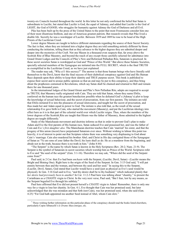twenty-six Councils located throughout the world. In this letter he not only confirmed the belief that Satan is subordinate to Lucifer, but stated that Lucifer is God, the equal of Adonay, and added that Lucifer is the God of LIGHT, the God of GOOD, who struggles for humanity against Adonay the God of Darkness and all Evil.

Pike has been built up by the press of the United States to the point that most Freemasons consider him one of their most illustrious brethren, and one of Americas greatest patriots. But research reveals that Pike lived a double life. Secretly he was a worshipper of Lucifer. Between 1859 and 1889 he rose to be head of the High Priests of the Luciferian Creed.

Lower degree Masons are taught to believe different statements regarding the source of their Secret Society. The fact is that, when they are initiated into a higher degree they are told something entirely different by those conducting the initiation, telling them that as they advance to the higher degrees they are admitted deeper and deeper into the mysteries of the Craft. Not one Mason in a thousand even suspects that, far away above the Scottish Rite of Blue Masonry, and beyond the reach of any except those carefully selected for admittance into Grand Orient Lodges and the Councils of Pike's New and Reformed Palladian Rite, Satanism is practiced. In these secret societies Satan is worshipped as God and "Prince of this World." But above these Satanic Societies, specially selected members of the Synagogue are initiated into the FULL SECRET, which is the final TRUTH as exemplified in the Luciferian Creed, as we have just explained.

The reader may ask, "Why a11 this secrecy?" The answer is that those human beings who have literally sold themselves to the Devil, know that the final success of their diabolical conspiracy against God and His Human Race depends upon their ability to keep their identity and TRUE purpose secret. This book is published to expose their secret and to arouse public opinion so that an end may be put to this conspiracy, and thus bring about the prophesies contained in Revelations, which say Satan shall be chained and returned to Hell and remain there for one thousand years.

In the international lodges of the Grand Orient and Pike's New Palladian Rite, adepts are required to accept as TRUTH, that Masonry really originated with Cain. They are told that Satan, whom they name Ebilis, conferred on the human race the greatest benefaction possible when he defeated God's (Adonay's) plot to keep the knowledge of sexual behaviour, and the secret of procreation, from our first parents. The initiates are told that Ebilis initiated Eve into the pleasures of sexual intercourse, and taught her the secret of procreation, and thus made her and Adam equal in power to God. The initiate is also told that, as the result of the sexual relationship Eve gave birth to Cain, who started the movement (Masonry), and put the Luciferian ideology into effect here as it is in that part of the celestial world over which Lucifer reigns. Thus, where the members of the lower degrees of the Scottish Rite are taught that Hirarn was the father of Masonry, those admitted to the highest degree are taught differently.<sup>7</sup>

Study of the Manichaean movement and doctrine informs us that in order to prevent God's plan to make Adam and Eve the first parents of His human race, Satan seduced Eve and possessed her, and was the father of Cain and *Eve's first daughter also*. The Manichaean doctrine teaches that Cain 'married' his sister, and that the progeny of this union (incest) have perpetuated Satanism ever since. Without wishing to labour this point too heavily, it is of interest to point out that Scripture relates there was something very displeasing to God about Cain's 'marriage. Cain also murdered his brother Abel; and Christ in His day castigated those of the Synagogue of Satan as "Ye are sons of your father the Devil; his lusts shall ye do. He as a murderer from the beginning, and abode not in the truth, because there is no truth in him." (John 8:44)

"The Serpent" is the name by which Satan is known in the Holy Scriptures (Rev. 20:2; Num. 21:9). The Serpent is the symbol of Satanism in secret societies which worship him as Prince of the World. Scriptures refer to Eve and "the seed of the serpent" (Gen. 3:1-16). Therefore we may ask, "Where did the seed of the Serpent come from?"

Paul said, in 2 Cor. that *Eve* had been *unchaste* with the Serpent, (Lucifer, Devil, Satan) - (Lucifer means the Bright and Shining One). Right here is the origin of the Seed of the Serpent. In Gen. 3:15 God said, "I will put enmity between thee and the woman, and between thy seed and her seed." In saying this to the Serpent, (Lucifer, Devil, Satan), God stated that Lucifer would have a seed (just as physical as Eve's seed would be physical). In Gen. 3:16 God said to Eve, "and thy desire shall be to thy husband," which indicated plainly that *her desire had previously been to another*! In Cor. 11:2-3 Paul here was talking about "chastity," to present the Corinthians as a CHASTE virgin to Christ. In the very next verse, Paul said, "But I fear, lest by any means, as the Serpent beguiled Eve through his subtlety."

Paul here affirmed that Eve did not present herself a *CHASTE* virgin to Adam! Remember, there is only one way for a virgin to lose her chastity. In Gen. 4:1, Eve thought that Cain was her promised seed, but later acknowledged that she was mistaken and that Seth (not Cain), was her promised seed, when she said (Gen. 4:25) "For God hath appointed me another Seed instead of Abel, whom Cain slew."

 $\frac{1}{7}$  $\frac{7}{7}$  Those wishing further information on this particular phase of the conspiracy should read the books listed elsewhere, particularly Copin-Albancelli's *le Drame Masconnique*, etc.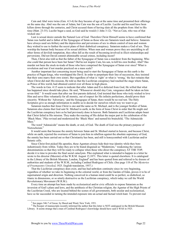Cain and Abel were twins (Gen. 4:3-4) for they became of age at the same time and presented their offerings on the same day. Abel was the son of Adam, but Cain was the son of Lucifer. Lucifer and his seed have been killers down through the centuries, and Christ accused them of having slain all the prophets from Abel to His time (Matt. 23:35). Lucifer begat a seed, as God said he would (1 John 3:12). "Not as Cain, who was of that wicked one."

Lust is sexual desire outside the Natural Law of God. Therefore Christ Himself seems to have confirmed that Satan was lustful and is father of the Synagogue of Satan as those who are Satanists teach and believe. Satanists have always used sex-bribery and the depravities and perversions of sex to obtain control of men and women they wished to use to further the secret plans of their diabolical conspiracy. Satanism makes a God of sex. They worship the human body because of its sexual abilities. When men and women prove they are unyielding to all other forms of devilish temptation, they often fall as the result of becoming involved in illicit relationships and perversions. Did not David commit abominable sexual crimes, including incest?

Then, Christ also told us that the father of the Synagogue of Satan was a murderer from the beginning. Who else could that person have been but Satan? Did he not inspire Cain, his son, to kill his own brother, Abel? Has murder not been the stock-in-trade of those who have comprised the Synagogue of Satan ever since? What is revolution and war if not murder practiced on a mass scale?

Another important fact concerning incest being used to start the Synagogue of Satan on this earth is the practice of Pagan kings, who worshipped the Devil. In order to perpetuate their line of succession, they insisted that their sons marry their own sisters. But regardless of what is 'right' or what is 'wrong,' the fact remains that when Christ did start His mission, He told us that the Luciferian conspiracy had reached the stage where Satan, as Prince of this world, had obtained control over all those in high places.

The words in Gen. 4:15 seem to indicate that after Adam and Eve defected from God, He willed that what has happened since should take place. He said, "Whosoever should slay Cain, vengeance shall be taken on him seven-fold." It would seem that after our first parents defected, God insisted that those who truly wished to love Him and serve Him voluntarily for all eternity, out of respect for His infinite perfections, should prove their sincerity. Without the 'Adversary,' and the Synagogue of Satan, there would be no real test. The Holy Scriptures give us enough information to enable us to decide for ourselves which way we want to go.

Satanism teaches that Jesus Christ is one and the same as St. Michael, and is the younger brother of Satan. Satanism also claims that God sent St. Michael to earth, in the form of Jesus Christ in order that He might end the Luciferian conspiracy here as he had previously done in heaven. Both Satanists and Luciferian adepts boast that Christ failed in His mission. They make the reacting of His defeat the major part in the celebration of the 'Black Mass.' Pike revised and modernized the 'Black Mass' and named his brainchild, "The Adonaicide Mass."

The word "Adonaicide" means the death, or end, of God. The death of God was the primary purpose of Nietzscheism.<sup>8</sup>

It would seem that because the enmity between Satan and St. Michael started in heaven, and because Christ, while on earth, rejected the overtures of Satan to join him in rebellion against the absolute supremacy of God, the enmity has been carried out so that Christianity has been, and still is honeycombed with Luciferian and/or Satanic cells.

Since Christ first picked His apostles, these Agenturs always hide their true identity while they bore industriously from within. Today they are to be found disguised as "Modernists," weakening the various denominations so that they will be ready to collapse when those who direct the conspiracy AT THE TOP, decide it is time to provoke the final social cataclysm. Pike explained what is intended to happen in a letter he wrote to his director (Mazzini) of the W.R.M. August 15,1871. This letter is quoted elsewhere. It is catalogued in the Library of the British Museum, London, England<sup>9</sup> and has been quoted from and referred to by dozens of authorities and students of the W.R.M., including Cardinal Rodriguez of Chile. (See page 118 of *The Mysteries of Freemasonry Unveiled*, 1925. English translation, 1957.)

That the Luciferian conspiracy does exist, and has had unbroken continuity since its very beginning, regardless of whether we take its beginning in the celestial world, or from the Garden of Eden, proves it to be of supernatural origin and direction. Nothing conceived in a human mind could be so perfect, so diabolical, so titanic in dimensions, or so utterly destructive as the Luciferian conspiracy, which today we call the World Revolutionary Movement (W.R.M.).

Every time an attempt has been made by ecclesiastical and/or civic officials to expose Satanism as the inversion of God's plans and laws, and the antithesis of the Christian religion, the Agentur of the High Priests of the Luciferian Creed, who are located behind the scenes of all governments, both secular and ecclesiastical, have so far succeeded in turning the intended exposure into an actual and factual witch hunt. To prevent real

 $\frac{1}{\sqrt{8}}$ <sup>8</sup> See pages 346-7 of *Satan*, by Sheed and Ward, New York, 1951.

<sup>&</sup>lt;sup>9</sup> The Keeper of manuscripts recently informed the author that this letter is NOT catalogued in the British Museum Library. It seems strange that a man of Cardinal Rodriguez's knowledge should have said it WAS in 1925.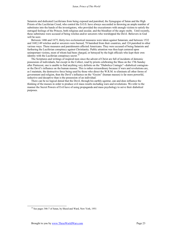Satanists and dedicated Luciferians from being exposed and punished, the Synagogue of Satan and the High Priests of the Luciferian Creed, who control the S.O.S. have always succeeded in throwing an ample number of substitutes into the hands of the investigators, who provided the executioners with enough victims to satisfy the outraged feelings of the Princes, both religious and secular, and the bloodlust of the angry mobs. Until recently, these substitutes were accused of being witches and/or sorcerers who worshipped the Devil. Believers in God will be next.

Between 1486 and 1675, thirty-two ecclesiastical measures were taken against Satanism; and between 1532 and 1682,149 witches and/or sorcerers were burned, 78 banished from their countries, and 124 punished in other various ways. These measures and punishments affected Americans. They were accused of being Satanists and furthering the Luciferian conspiracy against Christianity. Public attention was thus kept centered upon unimportant victims, most of whom had been charged, or betrayed by the high officials who kept their own identity with the Luciferian conspiracy secret.<sup>10</sup>

The Scriptures and writings of inspired men since the advent of Christ are full of incidents of demonic possession of individuals, but except in the Collect, read by priests celebrating the Mass on the 17th Sunday after Pentecost, one is unable to find anything very definite on the "Diabolica Contagis"--diabolical contagionor the Devil's influence on the human masses. This is rather extraordinary because if wars and revolutions are, as I maintain, the destructive force being used by those who direct the W.R.M. to eliminate all other forms of government and religion, then the Devil's influence on the "Goyim" (human masses) is far more powerful, seductive and deceptive than is the possession of an individual.

There can be no logical denial that the Devil, through his earthly agentur, can and does influence the thinking of the masses in order to produce evil mass results including wars and revolutions. We refer to the manner the Secret Powers of Evil have of using propaganda and mass psychology to serve their diabolical purposes.

 $10$  See pages 346-7 of Satan, by Sheed and Ward, New York, 1951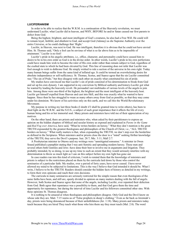#### **LUCIFERIANISM**

In order to be able to realize that the W.R.M. is a continuation of the Heavenly revolution, we must understand Lucifer; what Lucifer did in heaven, and WHY, BEFORE he and/or Satan caused our first parents to defect from God.

Being the highest, brightest, and most intelligent of God's creatures, he also had a Free Will. He could will to remain loyal, faithful, and obedient to God, and accept God (Adonay) as die Supreme Authority over the entire Universe, or he could challenge that 'Right.'

Lucifer, in Heaven, was next to God. He was intelligent, therefore it is obvious that he could not have envied Him. St. Thomas said, "Only a fool can be envious of what is so far above him as to be impossible of attainment." Lucifer is no fool!

Lucifer's pride in his angelic attributes, i.e., office, character, and personality could have caused him to desire to be in his own order as God is in the divine order. In other words, Lucifer's pride in his own perfections could have made him wish to become the ruler of His own order rather than remain subject to God, regardless of the exalted state to which he had been elevated by God. This line of reasoning does not infer that Lucifer was fool enough to wish to dethrone God. He simply wished to rule a section of the universe in his own right. Today many human beings suffer from the same kind of inflated ego. It could be termed an overwhelming desire for absolute independence or self-sufficiency. St. Thomas, Scotus, and Suarez agree that the sin Lucifer committed was "The sin of Pride," but they disagree with each other on exactly what constituted his sin of pride.

My studies have convinced me that Lucifer's sin of pride consisted of his determination to break from God and set up his own dynasty. I am supported in my conviction by Biblical authority and history-Lucifer got what he wanted by leading the heavenly revolt. He persuaded vast multitudes of various levels of the angels to join him. Among these were one-third of the highest, the brightest and the most intelligent of the heavenly host. Lucifer got himself expelled from Heaven and cast into Hell, and this was exactly what he wanted to have happen. Since then he has struggled to wean as many others away from God as possible, so that they may come under his dominion. We know of his activities only on this earth, and we call this the World Revolutionary Movement.

My purpose in writing my last three books (I doubt if I shall be granted time to write others), has been to shed light on the W.R.M.. and the S.O.S., a subject of such great importance that it affects the life of every human being and his or her immortal soul. Many priests and ministers have told me of their appreciation of my motives.

On the other hand, there are priests and ministers who, when asked by their parishioners to express an opinion on the hidden chapters of biblical and secular history as exposed and explained in *Pawns in the Game* and *Red Fog over America*, have said, "What he writes borders on heresy." What they don't mention is the great TRUTH expounded by the greatest theologians and philosophers of the Church of Christ, i.e., "ALL TRUTH borders on heresy." What really matters is that, when expounding the TRUTH, we don't step over the borderline as defined in the Scriptures. When ministers and/or priests close the door to a "mind" seeking fiirther knowledge of the TRUTH, they serve the Devil's purpose. Isai. 28:7; Mic. 3:11; Mall 2:7.

A Presbyterian minister in Ottawa said my writings were "unmitigated nonsense." A minister in Owen Sound published a pamphlet stating that I was anti-Semitic and spreading modern heresy. These men and several others both Gentiles and Jews -have done their best to involve me in arguments and litigation. They probably intended, by so doing, to use up my time to such an extent that they would seriously interfere with my determination to throw as much light as I can on this subject before my own light has gone out.

In case readers run into this kind of criticism, I wish to remind them that the knowledge of ministers and priests is subject to the restrictions placed on them by the curricula laid down by those who control the seminaries of a particular faith. My studies, over a period of forty years, have never ceased. I have never allowed my mind to be subjected to limitations. This is the way I believe that God intended it should be. What I write, I believe to be the TRUTH. Readers should consider the hidden facts of history as detailed in my writings, to form their own opinions and reach their own decisions.

The curricula in many seminaries are seriously restricted for the simple reason that even theologians of the same faiths have been, and still are, openly divided in opinion on many matters dealing with the fall of angels. However, both Scotus and Suarez agree that none of the angels, including Lucifer, ever repented their defection from God. Both agree that repentance was a possibility to them, and that God gave them the time and opportunity for repentance, but during the interval of time Lucifer and his followers committed other sins. With these opinions St. Thomas disagrees.

It is nothing to be amazed at when theologians and philosophers disagree. Only God and the Devil know on whose side they are. Matt. 7:15 warns us of "False prophets in sheep's clothing." Even as far back as Jeremiah's day, priests were being denounced because of their unfaithfulness (Jer. 1:18). Many priests and ministers today teach because they are hired They teach what those who hire them say they must teach (Mal. 2:8). The word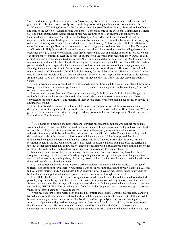"hire" used in this regard can mean more than "to obtain pay for services." It can mean to render service and give unlimited obedience to an earthly power in the hope of obtaining earthly and supernatural rewards.

When, as Staff Training Officer for the Canadian Naval Reserve Division 1943-4, I lectured to the officers and men on the subject of "Discipline and Obedience." I shocked some of the Divisional Commanding Officers by telling their subordinates that no officer or man was required to obey an order that is contrary to the Commandments of God, i.e., Natural Law or the Dignity of Man. Many of the most horrible atrocities committed in the name of God against the human race by Satanists, were committed by innocent men carrying out orders. How very convenient! If subordinates are required to obey ALL orders, then all the S.O.S. (who control all those in High Places) need do is see that orders are given to do things that serve the Devil's purpose.

Christians in Holy Orders should never forget that regardless of any consideration, including the oath of obedience they give to superior authority their first allegiance, like that of a soldier or sailor, is to God. No oath can bind them to commit sin. Keeping silence, or failure to tell the whole truth regarding the W.R.M.., is a sin against God and a crime against God's creatures. "Tell the Truth and shame (confound) the Devil" should be the motto of every militant Christian. This truth was repeatedly emphasized by the late Pope Pius XII, when he told parish priests they are responsible for the secular as well as the spiritual welfare of their congregations, and should guide the members of their flocks on social, economic and political matters. He showed his will in this regard when, in 1957 he asked all faithful Catholics to pray for the "Silent Church." The word "Church" as he used it, means the "Whole body of Christian believers; the ecclesiastical organization or power as distinguished from the State." Don't let anyone tell you differently. If they do, they lie. If they lie, they serve the Devil's Cause.

The Luciferian conspiracy could not have developed since our Lord died, to its semi-final stage if those who have pretended to be Christian clergy, dedicated to God, had not sinned against Him by maintaining "Silence" on this all important subject.

Let me remind my readers that NO ecclesiastical authority, Catholic or non-Catholic, has challenged the truth of what I say on this subject. Hundreds of ordained priests and ministers have admitted that I have convinced them of the TRUTH. The majority of them excuse themselves from helping me openly by saying "I am under discipline."

I am afraid God does not accept that as a valid excuse. God dispensed with all forms of compulsory discipline. Under God's plan for the rule of the Universe we are free to love and serve Him of our own Will, or go to Hell in our own way. It is time we stopped making excuses and proceeded to prove to God that we wish to love and serve Him for eternity.<sup>11</sup>

 $11$  I feel justified in making one further remark to protect my readers from those who slander me and my work. In addition to being mentally restricted by the curriculum of their schools and colleges, those who slander me were brought up in an atmosphere of social security. In the majority of cases their education, or indoctrination, was paid for by multi-millionaires who set up so-called Charitable Foundations so they could dictate the curricula of the educational institutions which they endowed. It has been proved that these millionaires belong to the international financial cartels who have financed BOTH sides in every war and revolution fought in the last two hundred years. It is logical to assume that this being the case, the curricula of the educational institutions they endow are not directed to making God's truth known, but to limiting knowledge regarding the truth, so that the Luciferian conspiracy can be developed to its final objectives.

My slanderers have never had to worry about where their next meal came from. They have been babied along and encouraged to develop an inflated ego regarding their knowledge and importance. They may have suffered a few hardships, but they always knew they would be looked after provided they remained obedient to those their benefactors placed over them.

My life has been entirely different. Due to a serious accident, my father died in his forties. At the age of thirteen I was left to shift for myself. When fifteen I was at sea, working an average of twelve hours a day. I rose to be a Master Mariner, and a Commander in the Canadian Navy. I have written enough sense to have had ten books of non-fiction published and incorporated in reference libraries throughout the world.

I did all this by the Grace of God and my application to a dedicated cause. I was determined to find out, if possible, why human beings can't live in peace. It is only fair to mention that I rejected offers of fame and fortune, because such offers always had strings attached which would have prevented me continuing to see after, and publish, THE TRUTH. The only thing I ask from God is that He permit me to live long enough to pass on what I have learned about the WR.M. to others.

While my traducers slept in warm beds and lived in comfort and security, carefully guarded from danger, I battled my way on the stormy seas and lived a life which brought me in intimate contact with all that is evil. I became intimately associated with Bolsheviks, Nihilists, and Nazi proselytes. But, notwithstanding that, I wanted to help the underdog, and had the urge to be a 'Do-gooder.' By the Grace of God, I never was convinced that by joining any so-called reform organization, I would be doing the will of God. It is beyond my comprehension how the hierarchy of many religions embrace men who have worked openly in the W.R.M. for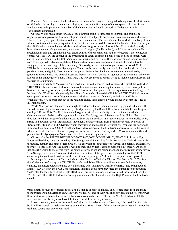Because of its very nature, the Luciferian revolt must of necessity be designed to bring about the destruction of ALL other forms of government and religion, so that, in the final stage of the conspiracy, the Luciferian ideology may be imposed on what is left of the human race by Satanic despotism. Today we term this "Totalitarian dictatorship."

Obviously, it is much easier for a small but powerful group to subjugate one person, one group, one organization, one government, or one religion, than it is to subjugate dozens and even hundreds of individuals. Therefore the Synagogue of Satan introduced 'Internationalism.' The late William Lyon Mackenzie King, Prime Minister of Canada for nearly a quarter of the twentieth century, sold the Rockefeller family on this idea early in the 1900's, when he was Labour Minister in the Canadian government. Just as Albert Pike worked secretly to bring about a one world government, and a one world religion (Luciferianism), so did Mackenzie King. He specialized in bringing organized labour under control of the international authority because if those placed in control AT THE TOP are agentur of the Synagogue of Satan, organized labour could be used to foment wars and revolutions leading to the destruction of governments and religions. Then, after organized labour had been used to stir up strife between capital and labour and cause economic chaos and turmoil, it could in turn be subjugated in the final stage of the conspiracy. Obviously, an international organization controlled AT THE TOP by the secret agents of the Synagogue of Satan can be more easily controlled, than can hundreds of independent unions and guilds. Does any thinking person believe that the thugs, ex-convicts, and university graduates in economics who control organized labour AT THE TOP are not agentur of the Illuminati, otherwise known as the Synagogue of Satan, If this were true why are those in control trying to make it compulsory for all workers to join unions?

The same principle as Mackenzie King used in organized labour is used by those who direct the W.R.M. AT THE TOP to obtain control of all other fields of human endeavor including the sciences, professions, politics, business, industry, governments, and religions. Thus we see that, previous to the organization of the League of Nations (after World War One ended) the policy of those who directed the W.R.M. AT THE TOP had been to split up and destroy all powerful governments, religions, industrial, financial, capitalistic, and labour organizations, etc., in order that out of the resulting chaos, those affected would gradually accept the 'idea of Internationalism.

World War Two was fomented, and fought to further soften up nationalism and rugged individualism. The United Nations Organization was set up (on land provided by the Rockefellers, by whom Mackenzie King was employed 1914-1919). The U.N. is intended to give an air of respectability to Internationalism which Communism and Nazism had brought into disrepute. The Synagogue of Satan control the United Nations as they controlled the League of Nations. Looking back we can see how this "Secret Power" has controlled every strong and powerful group, organization, movement, and government from behind the scenes, by means of 'Specialists,' 'Experts,' and Advisors,' whom they trained and placed in key positions, by using the power and influence their control of GOLD gave them. Every development of the Luciferian conspiracy led to the stage in which the world finds itself today. Its progress can be traced back to the days when Christ told us bluntly and plainly that the Synagogue of Satan controlled ALL those in high places.

Christ spoke the TRUTH. BUT HE DID NOT SAY, NOR DID HE IMPLY, THAT ALL those in High Places realized they were controlled by 'The Synagogue of Satan.' It is for this reason that Christ showed us by the nature, manner, and place of His birth; by His early life of subjection to the lawful and parental authority; by the way He chose His Apostles-humble working men, and by His teachings during the last three years of His life, that if we wish to break free from the bonds with which we are bound more and more strongly every day by 'The Synagogue of Satan,' we must start at the very bottom, at the grass roots, to make known the TRUTH concerning the continued existence of the Luciferian conspiracy, to ALL nations, as quickly as is possible.

It is the perfect wisdom of Christ which justifies Christians' belief in Him as "The Son of God." The fact that Christians don't accept the TRUTH He taught, and follow His advice, illustrates exactly how clever, cunning, and unscrupulous are those devils incarnate who, inspired by Lucifer, comprise 'The Synagogue of Satan,' (S.O.S.). Only the S.O.S., supernaturally inspired, could have prevented the human race from putting God's plan for the rule of Creation into effect upon this earth. Instead, we have allowed those who direct the W.R.M. AT THE TOP to further the secret plans and diabolical ambitions of the High Priests of the Luciferian Creed.

 $\overline{a}$ 

years simply because they profess to have had a change of heart and mind. They lionize these men and make them professors in universities. But, to my knowledge, not one of them has shed any light on the "Secret Power" they must know is behind the various subversive movements which make up the WR.M. If Mazzini felt that secret control, surely they must have felt it also. But if they do, they never say.

I do not name my traducers because I don't think it charitable to do so. However, I feel confident that this book will be brought to their attention by some of my readers. Then, if they have any sense they will accept the truth and square themselves with God.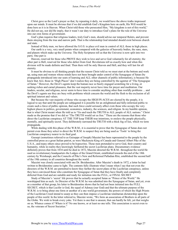Christ gave us the Lord's prayer so that, by repeating it daily, we would have the above truths impressed upon our minds. It must be obvious that if we did establish God's Kingdom here on earth, His Will would be done here as it is in Heaven. When Christ told those who persecuted Him, "My kingdom is not of this world," He did not say, nor did He imply, that it wasn't our duty to introduce God's plans for the rule of the Universe into our own forms of government.

God's plan requires that religious leaders, truly God's men, should advise our temporal Rulers, and prevent them straying from the true and narrow path. That is the relationship God intended should exist between church and state.

Instead of Holy men, we have allowed the S.O.S. to place evil men in control of ALL those in high places. Our earth is a very, very small potato when compared with the galaxies of heavenly bodies, the suns, stars, and planets which make up the Universe. The Holy Scriptures tell us that the Universe is now split into two

Heaven, reserved for those who PROVE they wish to love and serve God voluntarily for all eternity; the other part is Hell, reserved for those who defect from God. Revelations tell us exactly how and when this division will be made definite and final. Then there will be only Heaven and Hell, and they will last for all eternity.

parts. One part is

It must be obvious to all thinking people that the reason Christ told us we must start at the bottom and work up, using men and women whose minds have not been brought under control of the Synagogue of Satan (by propaganda introduced into our seats of learning and ALL other channels of public information), is because He knew that ALL those in "High Places" don't realize they are being controlled by the agentur of "The Synagogue of Satan." However, the Devil's agents keep the human race so busily engaged scratching for a living, or seeking riches and carnal pleasures, that the vast majority never have time for prayer and meditation. Our leaders, secular, and religious, never seem to have time to consider anything other than worldly problems ... and the Devil's agents see they are busy with problems which concern the world and the flesh to the exclusion of all spiritual interest and values.

But because the vast majority of those who occupy the HIGH PI-ACES are elected by the people, it is logical to say that until the people are subjugated it is possible for an enlightened and fully-informed public to create such a force of public opinion, that such force could seriously affect even those who occupy the very highest places in politics, government, economics, industry, the sciences, and religion. In my humble opinion, that is what Christ meant when He told us to "Go and teach the TRUTH to ALL people of ALL nations." Christ made us the promise that if we did so "The TRUTH would set us free." These are the reasons that those who direct the Luciferian conspiracy AT THE TOP keep THEIR true intentions, to enslave the people physically, mentally, and spiritually secret. They deliberately surround the TRUTH with a thick fog of lies, which we term propaganda.

While dealing with this phase of the W.R.M., it is essential to prove that the Synagogue of Satan does not permit even those they select to direct the W.R.M. to suspect they are being used as 'Tools' to bring the Luciferian conspiracy nearer to its final goal.

Gussepi (sometimes referred to as Guiseppe of Joseph) Mazzini has been represented to the people by the controlled press as a great Italian patriot, as were Mackenzie King of Canada and General Albert Pike of the U.S.A., and many others since proved to be hypocrites. These men pretended to serve God, their country and humanity, while in reality they knowingly furthered the secret Luciferian plans. Documentary evidence definitely proves that from 1834 until he died in 1872, Mazzini directed the W.R.M.. throughout the world He used as revolutionary headquarters the Lodges of the Grand Orient, established towards the end of the 18th century by Weishaupt, and the Councils of Pike's New and Reformed Palladian Rite, established the second half of the 19th century in all countries throughout the world.

Mazzini was closely associated with one Dr. Breidenstine. After Mazzini's death in 1872, a letter he had written to Breidenstine came to light. The contents fully illustrate what I mean when I say that not even the directors of the W.R.M. are permitted to know they further the secret plans of the Luciferian conspiracy, unless they have convinced those who constitute the Synagogue of Satan that they have finally and completely defected from God and are suitable and ready for initiation into the FULL, or FINAL SECRET

Study of Mazzini's 'secret' life proves that he actually accepted Satan as "Prince of the World." He worshipped him as such. As Director of the W.R.M. he was admitted into the Synagogue of Satan, and yet, even as a member of that group, his letter to Breidenstine shows that he had not been initiated into the FULL SECRET, which is that Lucifer is God, the equal of Adonay (our God) and that the ultimate purpose of the W.R.M. is to bring about one form or another of a one world government, the powers of which the High Priests of the Luciferian Creed intend to usurp so they can then impose a Luciferian totalitarian dictatorship upon the people of this world. In the letter referred to, Mazzini wrote, "We form an association of Brothers in all parts of the Globe. We wish to break every yoke. Yet there is one that is unseen; that can hardly be felt, yet that weighs on us. Whence comes it? Where is it? No one knows, or at least no one tells. This association is secret even to us, the veterans of Secret Societies."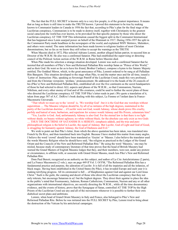The fact that the FULL SECRET is known only to a very few people, is of the greatest importance. It means that as long as there is still time to make the TRUTH known. I proved this statement to be true by making known to Communist leaders in Canada in 1956 the fact that, according to Pike's plan for the final stage of the Luciferian conspiracy, Communism is to be made to destroy itself, together with Christianity in the greatest social cataclysm the world has ever known, to be provoked for that specific purpose by those who direct the Luciferian conspiracy AT THE TOP This information caused the biggest split in the Communist International that has happened since Lenin usurped power on behalf of the Illuminati in 1917. During 1956-1957 the split in the Communist Party made headlines in the newspapers of the world, and explained WHY Molotov, Malenkov, and others were ousted. The same information has been made known to religious leaders of most Christian denominations, but so fax as we know they still refuse to accept the warnings as the TRUTH.

When Mazzini died in 1872, Pike selected Adriano Lemmi, another alleged Italian patriot, to succeed him as Director of the W.R.M. He also was a confirmed Satanist. Pike had established the supervising or directing council of the Political Action section of the W.R.M. in Rome before Mazzini died.

When Pike made his selection a strange situation developed. Lemmi was such a confirmed Satanist that he insisted that all members of Pike's New and Reformed Palladian Rite worship Satan as "Prince of this World," and as their God. He went so far as to have his friend, Brother Carducci, compose a hymn to his Satanic Majesty entitled, The Goddeal Mirror, which, to the great annoyance of Pike, Lemmit ordered to be sung at all Palladian Rite Banquets. This situation developed to the stage when Pike, to end the matter once and for all time, issued a 'Letter of .Instruction: Pike, speaking as Sovereign Pontiff of the Luciferian Creed, made this very profound, and from the Christian viewpoint, 'profane,' pronouncement. He addressed it to the heads of the 26 councils of his (Pike's) New and Reformed Palladian Rite, established all over the five continents as the secret headquarters of those he had selected to direct ALL aspects and phases of the W.R.M.., so that Communism, Nazism, Nihilism, and every other enemy of God and of His creatures, could be used to further the secret plans of those who directed the Luciferian conspiracy AT THE TOP Pike's letter reads in part: (We quote a translation of it, taken from page 587 of A.C. DeRive's book dealing with this subject, La Femme et l'enfant dans la France-Maconnerie Universale.

"That which we must say to the 'crowd' is, 'We worship God' -but it is the God that one worships without superstition .... The Masonic religion should be, by all of us initiates of the high degrees, maintained in the purity of the Luciferian doctrine ... if Lucifer were not God, would Adonay, whose deeds prove His cruelty, perfidy and hatred of men, barbarism, and repulsion for science would Adonay and His Priests, calumniate him?

"Yes, Lucifer is God. And, unfortunately Adonay is also God. For the eternal law is that there is no light without shade; no beauty without ugliness; no white without black; for the absolute can only exist as two Gods .... THUS THE DOCTRINE OF SATANISM IS A HERESY; (emphasis added), and the true and pure philosophical religion is the belief in Lucifer, the equal of Adonay. But Lucifer, God of Light and God of Good, is struggling for humanity against Adonay, the God of Darkness and Evil."

We wish to point out that Pike's letter, from which the above quotation has been taken, was translated into French by De Rive, and then translated back into English. Because I have studied this matter from many angles, I believe the word 'crowd' should have been translated as 'Goyim' or 'Masses. I also believe the translator used the words Masonic Religion when he should have said, "the religion as practiced in the Lodges of the Grand Orient and the Councils of the New and Reformed Palladian Rite." By using the word 'Masonic,' one may be misled, because study of contemporary literature of that time proves that the head of British Masonry had warned the Grand Masters of English Masonic lodges that they, and their members, were not, under any pretext or circumstance, to affiliate with, or associate with Grand Orient Masons, much less Pike's New and Reformed Palladian Rite.

Dom Paul Benoit, recognized as an authority on this subject, and author of La Cite Antichristienne (2 parts), and La France Maconnerie (2 vols.), says on page 449 ff Vol. I. Of FM, "The Reformed Palladian Rite has a fundamental practice and purpose, the adoration of Lucifer. It is full of all the impieties and all the infamies, of black magic. Having been established in the United States (by Pike), it has invaded Europe and each year it is making terrifying progress. All its ceremonial is full ... of blasphemies against God and against our Lord Jesus Christ." Such is the guile, the cunning and deceit of those who direct the Luciferian conspiracy that they not only tolerate, but encourage Satanism in a(1 but the highest degrees. They direct their agentur to place the idea in the public's mind that Freemasonry, Judaism, Roman Catholicism, Communism, Nazism and any or all other organizations with international objectives, are secretly directing the W.R.M.., while all the time documentary evidence, and the events of history, prove that the Synagogue of Satan, controlled AT THE TOP by the High Priests of the Luciferian Creed use any and all of the movements whenever it is possible to further their own diabolical secret plans and ambitions.

Lemmi, when head of Grand Orient Masonry in Italy and France, also belonged to Pike's New and Reformed Palladian Rite. Before he was initiated into the FULL SECRET by Pike, Lemmi tried to bring about the destruction of the Vatican by his anticlerical campaigns.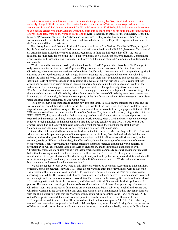After his initiation, which is said to have been conducted personally by Pike, his attitude and activities suddenly changed. While he outwardly remained anti-clerical and anti-Vatican, he no longer advocated the violent overthrow of the Vatican by force. Pike did with Lemmi what Karl Rothschild had had to do little more than a decade earlier with other Satanists when they stirred up so much anti-Vatican hatred that the governments of France and Italy were on the verge of destroying it. Karl Rothschild, an initiate of the Full Secret, stepped in to act as "Peacemaker" between the Vatican and her enemies. History relates how his intervention 'saved' the Vatican and made Karl Rothschild the 'friend' and 'trusted adviser' of the Pope. He reorganized the affairs of the Treasury and State Departments.

But history has proved that Karl Rothschild was no true friend of the Vatican. Two World Wars, instigated by his family of moneylenders, and their international affiliates who direct the W.R.M.., have seen Christians of all denominations divided into opposing camps, been made to fight and kill each other off by the tens of millions. This has been done to bring Pike's plan for the final social cataclysm nearer to fruition. Communism grew stronger as Christianity was weakened, until today, as Pike's plan required, Communism has darkened the entire earth.

While it would be inaccurate to deny that there have been 'bad' Popes, as there have been 'bad' Kings, it is only proper to point out that the 'bad' Popes and Kings were no worse than some of the other leaders of Christianity, when they became presidents of republics. Luciferianism demands that ALL temporal and spiritual authority be destroyed because of their alleged badness. Because the struggle in which we are involved, is against the spiritual forces of darkness, it stands to reason that there must be good and bad people in all walks of life; in all levels of government and in all religions. It is typical of all who serve the Devil's cause that they always use destructive criticism aimed at those in authority, to undermine the confidence and loyalty of the individual in the remaining governmental and religious institutions. This policy helps those who direct the W.R.M. to at first weaken, and then destroy ALL remaining governments and religions. Let us never forget that there is nothing wrong with Christianity. Many things done in the name of Christianity were done by men who, knowingly or unknowingly, furthered the secret plans of the Luciferian conspiracy. What we need to do is clean upon and strengthen Christianity as God would wish.

The above remarks are published to explain how it is that Satanists have always attacked the Popes and the Vatican, and advocated their destruction, while the High Priests of the Luciferian Creed have, to-date, always stepped in and prevented their doing so. The intervention of those who control the Synagogue of Satan AT THE TOP was not out of love or respect for the Pope of the Vatican. They intervened because, being initiated into the FULL SECRET, they knew that when their conspiracy reaches its final stage; after all temporal powers have been reduced in strength until they no longer remain World Powers; when a tired and weary people have been reduced to such a physical and mental condition that they became convinced that ONLY a One World Government can put an end to revolutions and wars, and give them peace, they must use the clash between Communism and Christianity to destroy ALL remaining religious institutions also.

Gen. Albert Pike revealed how this was to be done in the letter he wrote Mazzini August 15,1871. That part which deals with this particular phase of the conspiracy reads as follows, "We shall unleash the Nihilists and Atheists, and we shall provoke a formidable social cataclysm which in all its horror will show clearly to the nations (people of different nationalities), the effects of absolute atheism, origin of savagery and of the most bloody turmoil. Then everywhere, the citizens obliged to defend themselves against the world minority or revolutionaries, will exterminate those destroyers of civilization, and the multitude, disillusioned with Christianity, whose deistic spirits will be from that moment without compass (direction), anxious for an ideal, but without knowing where to render its adoration, will receive the TRUE LIGHT, through the universal manifestation of the pure doctrine of Lucifer, brought finally out in the public view, a manifestation which will result from the general reactionary movement which will follow the destruction of Christianity and Atheism, both conquered and exterminated at the same time."

We ask the reader to study every word of this diabolically inspired document. According to Pike's military blueprint, drawn up between 1859 and 1871, three global wars and three major revolutions were to place the High Priests of the Luciferian Creed in position to usurp world powers. Two World Wars have been fought according to schedule. The Russian and Chinese revolutions have achieved success. Communism has been built up in strength and Christendom weakened. World War Three is now in the making. If it is allowed to break out, all remaining nations will be further weakened, and Islam and political Zionism will be destroyed as world powers. The reader must not forget that the Arab world is made up of millions of people, many of whom are Christians; many are of the Jewish faith; many are Mohammedans, but all subscribe to belief in the same God Christians worship as the Creator of the Universe. The Koran of the Mohammedan faith is practically identical with the Bible, excepting only that the Mohammedan religion, while accepting Jesus Christ as the GREATEST of God's prophets before Mohammed, does not permit its members to believe in the Divinity of Christ.

The point we wish to make is this: Those who direct the Luciferian conspiracy AT THE TOP realize only too well that before they can provoke the final social cataclysm, they must first of all bring about the destruction of Islam as a world power, because if Islam were not destroyed, it would undoubtedly line up with Christianity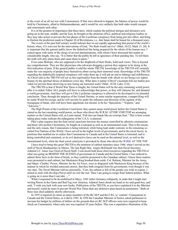in the event of an all out war with Communism. If that were allowed to happen, the balance of power would be held by Christianity, allied to Mohammedanism, and it would be very unlikely that both sides would conquer and exterminate each other.

It is of the greatest of importance that these facts, which explain the political intrigue and chicanery now going on in the near, middle, and far East, be brought to the attention ofALL political and religious leaders so they may take action to prevent the last phases of the Luciferian conspiracy from being put into effect, and bring to fruition the prediction made in Chapter 20 of Revelations, i.e., that Satan shall be bound for a thousand years.

The events of the past half century would indicate that we are rapidly approaching that period of the world's history when, if it were not for the intervention of God, "No flesh would survive" (Matt. 24:22, Mark 13: 20). It is important that the general public know the diabolical fate being prepared for the whole of the human race. I cannot agree with some of the clergy of several denominations, with whom I have discussed this matter at considerable length, who say, "It is better that the public be left in ignorance of their pending fate. To tell them the truth will only alarm them and cause them to panic."

Even some Bishops, who are supposed to be the shepherds of their flocks, hold such views. This is beyond my comprehension. They are like physicians who advocate drugging a person they suppose to be dying at the first indication of pain. If the general public is told the whole TRUTH, knowledge of the TRUTH will certainly make the vast majority of people busy themselves about saving their immortal souls. Knowledge of the TRUTH regarding the diabolically inspired conspiracy will wake them up; it will put an end to lethargy and indifference. As Christ told us the TRUTH will set us free (spiritually) from the bonds with which we are being ever tighter bound, by the spiritual forces of darkness every day. What does it matter if Devil's incarnate kill our bodies provided we prevent them deceiving us into losing our immortal souls? (Matt. 10:28; Luke 12:4).

The TRUTH is that if World War Three is fought, the United States will be the only remaining world power after it is ended. Either ALL people will have to acknowledge that power, or they will clamour for, and demand a world government. And they will get it if the Luciferian conspiracy is allowed to be developed to its intended conclusion. Then, through the auspices of the United Nations, or some similar organization, a puppet King will be made World Sovereign, and he will secretly be under the influence and direction of the agentur of the Synagogue of Satan, who will have been appointed, not elected, to be his "Specialists," "Experts," and "Advisors."

The High Priests of the Luciferian Creed know they cannot usurp world power before the United States is ruined as the last remaining world power, so those who direct the W.R.M. ATTHE VERYTOP are arranging matters so the United States will, as Lenin stated, "Fall into our hands like an overripe fruit." This is how events taking place today indicate the subjugation of the U.S.A. is planned.

Pike's plan requires that the final social cataclysm between the masses controlled by atheistic-communism and those who profess Christianity, be fought on a national as well as an international scale. That is the reason, and the only reason, that Communism is being tolerated, while being kept under restraint, in the remaining socalled Free Nations of the World. I have served in the higher levels of government, and in the naval forces, in positions that enabled me to realize that Communism in Canada and in the United States is tolerated, and is being controlled and contained, so its evil destructive force can be used on the national level, as well as the

international level, when the final social cataclysm is provoked by those who direct the W.RM. AT THE TOP

I have tried to bring this great TRUTH to the attention of cabinet ministers since 1944, when I served on the staff of Naval Headquarters in Ottawa. The late Right Hon. Angus McDonald was then Naval Secretary. Admiral J.C. Jones was Chief-of-Naval Staff. I convinced both these chief executives regarding the TRUTH of what was going on BEHIND THE SCENES of government in Canada and the United States. I was ordered to submit these facts in the form of briefs, so they could be presented to the Canadian cabinet. I know these matters were presented to said cabinet, but Mackenzie King brushed them aside. Col. Ralston, Minister for the Army, and Major 'Chubby' Power, Minister for the Air Force, were so disgusted with Mackenzie King because of the manner in which he wielded autocratic power, that they both resigned from his government, even though it was war time. The Naval Minister told me personally, "Carr, the cabinet is full of the people you wish to expose. I intend to stick with the ship (Navy) until we win the war. Then I am going to resign from federal politics. What is going on is more than I can take ...."

When I requested to be de-mobilized in Mayy, 1945 (after Germany collapsed), in order that I might start writing Pawns in the Game and Red Fog over America, Admiral Jones shook my hand as we said good-bye, and said, "I wish you luck with your new books. Publication of the TRUTH, as you have explained it to the Minister and myself, could do more to prevent World War Three than any defensive plan based on armaments." Both of these men died suddenly shortly afterwards.

In 1955 it required six times as many members of the RC.M.P and the F.B.I. to 'contain' Communism in Canada and the United States, as it did in 1945. In 1956 the Canadian Minister of Justice asked parliament to increase his budget by millions of dollars on the grounds that six RC.M.P officers were now required to keep check on Communists, where only one was required 10 years before. This was a superlative illustration of the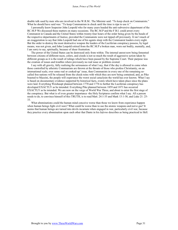double talk used by men who are involved in the W.R.M.. The Minister said: "To keep check on Communists." What he should have said was: "To keep Communism in check until the time is ripe to use it."

I personally knew Inspector John Leopold who for many years headed the anti-subversive department of the RC.M.P We discussed these matters on many occasions. The RC.M.P and the F B.I. could arrest every Communist in Canada and the United States within twenty-four hours of the order being given by the heads of the respective departments of Justice, provided the Communists were not tipped off previously. It isn't much of an exaggeration to say that John Leopold had one of his agents sleep with the Communist leaders every night. But the order to destroy the most destructive weapon the leaders of the Luciferian conspiracy possess, by legal means, was not given, and John Leopold retired from the RC.M.P a broken man, worn out bodily, mentally, and, I am sorry to say, spiritually, because of sheer frustration.

The power of the United States can be destroyed only from within. The internal unrest now being fomented between citizens of different races, colors, and creeds is not so much the result of aggressive action taken by different groups as it is the result of rulings which have been passed by the Supreme Court. Their purpose was the creation of issues and troubles where previously no real issue or problem existed.

I say with all gravity, fully realizing the seriousness of what I say, that if the day is allowed to come when those controlled by atheistic Communism are thrown at the throats of those who profess Christianity, on an international scale, over some real or cooked-up' issue, then Communists in every one of the remaining socalled free nations will be released from the check-reins with which they are now being contained, and, as Pike boasted to Mazzini, the people will experience the worst social cataclysm the world has ever known. What I say is based on documentary evidence supported by historical facts, events which have taken place since the plans were laid. Everything Weishaupt planned between 1770 and 1776 to further the Luciferian conspiracy has developed EXACTLY as he intended. Everything Pike planned between 1859 and 1871 has occurred EXACTLY as he intended. We are now on the verge of World War Three, and about to enter the first stage of the conspiracy. But what is of even greater importance -the Holy Scriptures confirm what I say. All a person needs to do, to convince himself of this TRUTH, is to read Matt. 24:1-35 and Mark 13:1-30, and Luke 21: 25- 33.

What abominations could the human mind conceive worse than those we know from experience happen when human beings fight civil wars? What could be worse than to use the atomic weapons and nerve gas? It seems that human beings are turned into devils incarnate when engaged in war, particularly civil war, because they practice every abomination upon each other that Dante in his *Inferno* describes as being practiced in Hell.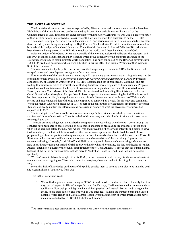#### **THE LUCIFERIAN DOCTRINE**

The Luciferian dogma and doctrines as expounded by Pike and others who at one time or another have been High Priests of the Luciferian reed can be summed up in very few words. It teaches 'inversion' of the Commandments of God. It teaches the exact opposite to what the Holy Scri;tures tell was God's plan for the rule of the Universe before Lucifer led die Heavenly revolt. How do we know this statement to be the TRUTH?

The answer is simple. At various times documents of a most serious nature have fallen into hands other than those intended, while being circulated by the High Priests of the Luciferian Creed, to those they had selected to be heads of the Lodges of the Grand Orient and Councils of the New and Reformed Palladian Rite, which have been the secret headquarters of the W.R.M.. throughout the world. I call these incidents 'acts of God.'

Raids on Lodges of the Grand Orient and Councils of the New and Reformed Palladian Rite between 1784 and 1924 produced documents and other evidence which prove conclusively the continued existence of the Luciferian conspiracy to obtain ultimate world domination. The raids conducted by the Bavarian government in 1784-1785 produced documents which were published under the title, The Original Writings of the Order and Sect of the Illuminati."

The raids conducted by the police under orders of the Hungarian government in 1919 after Bela Kun had usurped power and been deposed, are typical of what we mean.

Further evidence of the Luciferian plot to destroy ALL remaining governments and existing religions is to be found in the book, *Proofs of a Conspiracy to Destroy All Governments and Religions in Europe* by Professor John Robison, of Edinburgh University in 1797. Prof. Robison had been approached by Weishaupt and his leading Illuminists and asked to assist them infiltrating Luciferian ideas, disguised as Illuminism and Progress, into educational institutions and the Lodges of Freemasonry in England and Scotland. He was asked to tour Europe, and, as a 32nd. Mason of the Scottish Rite, he was introduced to leading Illuminists who had set up Grand Orient Lodges throughout Europe. John Robison suspected there was something behind Illuminism as it had been explained to him, but kept his suspicions to himself. He was entrusted with a copy of Weishaupt's revised and modernized edition of the age-old conspiracy as compiled by Zwack, for his study and comments. When the French Revolution broke out in 1789 as part of the conspirator's revolutionary programme, Professor Robison decided to publish the information he possessed in support of what the Bavarian government had exposed in 1786.<sup>12</sup>

The investigations of dozens of historians have turned up further evidence which they found in national archives and those of universities. There is no lack of documentary and other kinds of evidence to prove what we are going to say.

The truly amazing thing about the Luciferian conspiracy is the way those who directed it down through the centuries have been able to cause officials of both church and state to brush aside the evidence of proof even when it has been put before them by men whose lives had proved their honesty and integrity and desire to serve God voluntarily. The fact that those who direct the Luciferian conspiracy are able to hold this control over people in high places in politics and religion simply confirms the words of our Lord and Saviour Jesus Christ. It illustrates in the clearest possible manner the supernatural characteristics of the conspiracy. It proves that supernatural beings, "Angels," both 'Good' and 'Evil,' exert a great influence on human beings while we are here on earth undergoing our period of trial. It proves that the wiles, the cunning, the lies, and deceits of "Fallen Angels" often affect adversely the council (inspirations) of the "Good Angels." It proves that our human nature, because of the fall of our first parents, inclines more to 'evil' than it does to 'good,' until we are born again spiritually.

We don't want to labour this angle of the W.R.M.., but we do want to make it easy for the man-in-the-street to understand what is going on. Those who direct the conspiracy have succeeded in keeping their existence so very

secret that lack of knowledge on the part of the public enables them to develop their plot to its intended goal, and wean millions of souls away from God.

This is the Luciferian Creed:

1. Where God requires a human being to PROVE it wishes to love and serve Him voluntarily for eternity, out of respect for His infinite perfections, Lucifer says, "I will enslave the human race under a totalitarian dictatorship, and deprive them of their physical and mental liberties, and so negate their ability to use their intellect and free will as God intended." (This is the purpose behind the United Nations World Health and World Mental Health Organizations, both of which international movements were started by Dr. Brock Chisholm, of Canada.)

<sup>&</sup>lt;sup>12</sup> As these events have been dealt with in full in *Pawns in the Game*, we do not repeat the details here.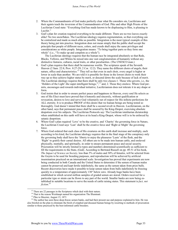- 2. Where the Commandments of God make perfectly clear what He considers sin, Luciferians and their agents teach the inversion of the Commandments of God. Pike and other High Priests of the Luciferian Creed state: "Everything God has made known to be displeasing to Him, is pleasing to Lucifer."
- 3. God's plan for creation required everything to be made different. There are no two leaves exactly alike! No two snowflakes. The Luciferian ideology requires regimentation, so that everything can be centralized and made as much alike as possible. Integration is the most typical example of this theory being put into practice. Integration does not mean simply that the public shall accept the principle that people of different races, colors, and creeds shall enjoy the same privileges and considerations as white people. Integration means: "To bring together parts so they form one whole" (i.e., "To make up and complete as a whole").

The Luciferian ideology requires that the human race be integrated absolutely so that Reds, Blacks, Yellows, and Whites be mixed into one vast conglomeration of humanity without any distinctive features, cultures, racial traits, or other peculiarities. (The UNESCO man.)

- 4. God's plan requires that there shall be numerous worlds. The scriptures speak of the Seventh Heaven (2 Sam. 22:8; Prov. 8:27-29; 2 Cor. 12:2). They name the different choirs of angels, their nature, office and characteristics.<sup>13</sup> They tell us that even in each choir, every angel is higher or lower in scale than another. We are told it is possible for those in the lowest choirs to work their way up so they achieve higher status by merit, or descend down the scale because of lack of merit. The Luciferian ideology requires that there shall be only two classes-1. Those who govern, i.e., the 'Holders of the Light'-the super-intelligent beings,<sup>14,15</sup> and, 2. Those they enslave. Where God permits, encourages and rewards individual initiative, Luciferianism does not tolerate it in any shape or form.
- 5. God insists that in order to ensure perfect peace and happiness in Heaven, every soul He selects as one of His Elect must have proved that it honestly and sincerely, without qualification or revocation, desires to love and serve God voluntarily out of respect for His infinite perfections for ALL eternity. It is to produce PROOF of this desire that we human beings are being tested so thoroughly. God doesn't intend that there shall be a second revolt in Heaven. Luciferianism, on the other hand, says that permanent peace shall be assured by the King-Despot, exercising absolute despotism over his subjects. The Luciferian Protocols say: The Luciferian totalitarian dictatorship when established on this earth will have at its head a King-Despot, whose will is to be enforced by satanic despotism.
- 6. Where God's plan required 'Love' to be the creative, and 'Charity' the governing force in Nature, the Luciferian Creed says 'Lust' shall be the creative force and 'Right or Might' the governing force.
- 7. Where God ordered that each class of His creatures on this earth shall increase and multiply, each according to his kind, the Luciferian ideology requires that in the final stage of the conspiracy only the governing body shall have the 'liberty to enjoy the pleasures-'Lusts' of the flesh, and the 'Right' to gratify their carnal desires. All others are to be made into human cattle, and enslaved physically, mentally, and spiritually, in order to ensure permanent peace and social security. Procreation will be strictly limited to types and numbers determined scientifically as sufficient to fill the requirements to the State, (God). According to Bertrand Russell on pp. 49-51 of his book, *The Impact of Science on Society,* less than 5% of males and 30% of females, will be selected from the Goyim to be used for breeding purposes, and reproduction will be achieved by artificial insemination practiced on an international scale. Investigation has proved that experiments are now being conducted in both Canada and the United States to determine if the semen of human males cannot be preserved and kept fertile indefinitely, the same as the semen taken from prize bulls. Recent discoveries have made it possible to keep semen taken from bulls indefinitely be freezing quickly to a temperature of approximately 130° below zero. Already huge banks have been established in which several million samples of graded semen are stored. Orders received for a particular type or strain can be flown to any part of the world. Smaller banks are now being established in suitable locations to serve the needs of cattle raising states. This statement is *fact, not fiction*. 16

<sup>&</sup>lt;sup>13</sup> There are 22 passages in the Scriptures which deal with their nature.

<sup>&</sup>lt;sup>14</sup> That is the reason Weishaupt named his organization The Illuminati.

<sup>&</sup>lt;sup>15</sup> Pike to Mazzini, August 15, 1871

<sup>&</sup>lt;sup>16</sup> The author has seen these deep-freeze semen banks, and had their present use and purpose explained to him. He was also briefed on the plan to eliminate the birch of crippled and diseased human beings by resorting to methods of procreation similar to those practiced by the best-informed cattle breeders.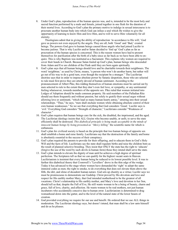8. Under God's plan, reproduction of the human species was, and is, intended to be the most holy and sacred function performed by a male and female, joined together in one flesh for the duration of their mortal lives. According to God's plan the primary motive to indulge in sexual intercourse is to procreate another human body into which God can infuse a soul which He wishes to give the opportunity of learning to know Him and love Him, and to will to serve Him voluntarily for all eternity.

Theologians admit that in giving the ability of reproduction 'in accordance to His will,' God gave us powers not even enjoyed by the angels. They are all, both 'Good' and 'Bad,' created beings. The powers God gave to human beings caused those angels who had joined Lucifer to become jealous. That is why Lucifer and/or Satan decided to 'foul up' God's plan as far as procreation of the human species is concerned. This is the reason women have had to present themselves for purification after the birth of a baby since as far back as we have been able to enquire. This is why Baptism was instituted as a Sacrament. This explains why women are required to cover their heads in Church. Because Satan fouled up God's plan, human beings who descended from Adam and Eve are children of the Flesh until they are born again spiritually.

- 9. God's plan says that all human beings should love and be charitable towards their neighbours. The word 'neighbour,' as used by Christ, means, "a person who won't do another harm, but rather will go out of his way to do a good turn, even though the recipient be a stranger." The Luciferian doctrine says that in order to impose absolute power by Satanic despotism, those who are selected to rule must first prove they are utterly devoid of human sentiment. According to the pronouncement of Albert Pike, this ridding themselves of human emotions must be carried out by men selected to rule to the extent that they don't even feel love, or sympathy, or any sentimental feeling whatsoever, towards members of the opposite sex. Pike ruled that women initiated into Lodges of Adoption should be made common property. He said members of the Palladian Rite should use them frequently and without passion, but solely to gratify their sexual urges without allowing love or sentiment, "which lead so many human hearts astray," entering into their sexual relationships. "Thus," he says, "men shall enchain women while obtaining absolute control of their own human weaknesses." So we see that everything that God considers 'Good,' Lucifer says is 'evil.' Everything God considers "Strength of character," Luciferians consider "Weakness of character."
- 10. God's plan requires that human beings care for the sick, the disabled, the imprisoned, and the aged. The Luciferian ideology insists that ALL Goyim who become unable, or unfit, to serve the state efficiently shall be destroyed. *This diabolical principle is being made acceptable in the minds of innocent human beings by being presented as "Mercy killing"* the scientific name for which is euthanasia.
- 11. God's plan for civilized society is based on the principle that two human beings of opposite sex shall establish a home and raise family. Luciferians say that the destruction of the family and home is absolutely essential to the success of their conspiracy.
- 12. God's plan required the parents to provide for their offspring, and to educate them in God's Holy Will and the facts of life. Luciferians say the state shall regulate births and raise the children born as the result of planned selective breeding. They insist that ONLY the state has the right to 'educate' (forgive the use of the word by such devils in human form) those they intend shall serve the state.
- 13. God's plan intends to elevate the dignity of man until he achieves a high degree of spiritual perfection. The Scriptures tell us that we can qualify for the highest vacant seats in Heaven. Luciferianism is insistent that every human being be reduced to its lowest possible level. It was to further this diabolical theory that Cromwell's "Levellers" drove in the thin edge of the wedge. Today it has advanced to the stage where women have demanded the 'right' to adopt the same immoral codes as men; the right to smoke, to do everything that does not elevate them above the filth, the dirt, and slime of decadent human nature. God sets up chastity as a virtue; Lucifer says we must be promiscuous to demonstrate our Godship. Christ proved by His devotion and love and respect for His earthly mother Mary, that God intended motherhood to be the greatest of all vocations. Christ's relationship to His earthly mother, and Mary's love and devotion to her Son, should tell us that, despite the Fall of Eve, He still wants woman to be a being of beauty, charm and grace, full of love, charity, and affection. He wants women to be real mothers, not just human incubators who accidentally conceive due to human error. Luciferianism is determined to drag womanhood down into the gutter, and to the level of the natural state of the lower beasts of creation.
- 14. God provided everything we require for our use and benefit. He ordered that we use ALL things in moderation. The Luciferian ideology says, but doesn't intend, that man shall be a law unto himself and do as he pleases.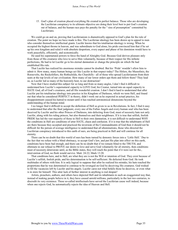15. God's plan of creation placed everything He created in perfect balance. Those who are developing the Luciferian conspiracy to its ultimate objective are doing their level best to put God's creation out of balance, and the human race pays the penalty for the " sins of presumption" committed by Luciferians.

We could go on and on, proving that Luciferianism is diametrically opposed to God's plan for the rule of creation. The point we hope we have made is this: The Luciferian ideology has been drawn up to appeal to men who consider themselves intellectual giants. Lucifer knows that his totalitarian ideology is wrong. When he occupied the highest throne in heaven, and was subordinate to God alone, his pride convinced him that if he set up his own kingdom and ruled it with absolute despotism, every aspect and phase of his dominion would have to work peacefully, efficiently, and economically.

He used his supernatural powers to force the hand of Almighty God. Because God derives pleasure only from those of His creatures who love to serve Him voluntarily, because of their respect for His infinite perfections, He had to let Lucifer go to his eternal damnation or change the principle on which He had established His rule.

That Lucifer has realized his enormous mistake cannot be doubted. But his 'Pride' wouldn't allow him to admit it. How many, many human beings act like Lucifer in that respect today? The Hitlers, the Mussolinis, the Roosevelts, the Rockefellers, the Rothschilds, the Churchills - all of those who spread Luciferianism from their seats at the top levels of our civilization. How many of our lower orders ape them and follow them? They lead us, as Lucifer led so many of the heavenly host, to our destruction!

Now that I have studied this subject for so long and from so many angles, I don't find it difficult to understand how Lucifer's supernatural capacity to LOVE God, his Creator, turned into an equal capacity to HATE God, all of God's creatures, and all His wonderful creation. I don't find it hard to understand that after Lucifer put his totalitarian ideology into practice in his Kingdom of Darkness, which we term Hell, and found out that what he considered PERFECT in theory, didn't work out as he expected in actual practice, his disappointment caused his hatred to mount until it has reached astronomical dimensions beyond the understanding of the human mind.

I no longer find it difficult to accept the definition of Hell as given to us in Revelations. In fact, I find it easy to understand that after the final judgment, every one of the Fallen Angels and every human soul who has been deceived by Lucifer and his other Princes of Darkness, into defecting from God, must of necessity hate not only Lucifer, along with his ruling princes, but also themselves and their neighbours. If it is true that selfish, foolish PRIDE has led the vast majority of those in Hell to their own damnation, it is not difficult to understand WHY the conditions in Hell are conditions of utter HATE, chaos and confusion. If it is true that the inhabitants of Hell are there because they accepted and practiced the inversion of the Commandments of God then it should not be difficult for the person of average intelligence to understand that all abominations, those who directed the Luciferian conspiracy introduced to this earth of ours, are being practiced in Hell and will continue for all eternity.

There can be no doubt that this world of ours has been turned by demonic forces into a 'Little Hell.' Due to the fact that we refuse with a blind obstinacy, to accept God's law, and put His plan into effect on this earth, conditions have been bad enough, and there can be no doubt that if we remain blind to the TRUTH, and obstinate in our refusal to PROVE our desire to love and serve God voluntarily for all eternity, then conditions must of necessity deteriorate until, as the Bible states, they will reach the point that if it were not for the., intervention of God, no flesh would survive. Matt. 24:22; Mark 13:20.

That conditions here, and in Hell, are what they are is not the Will or intention of God. They exist because of Lucifer's selfish, foolish pride, and his determination to be self-sufficient. He defected from God. He took multitudes of others with him. It is only logical to suppose that after he realized his mistake, his hate reached the proportions that he was determined to continue to be revenged on God by deceiving His creatures. God wished to fill the vacancies left by Lucifer and his angels. Lucifer cares not what befalls those he deceives, or even what is in store for himself. This utter lack of further interest in anything is real despair!

Artists, preachers, authors, and others have depicted Hell and its inhabitants in such an exaggerated way that, instead of making people believe in it, they have caused untold millions, particularly in the last two centuries, to discredit its very existence. These so-called intellectuals have served the Luciferian cause well indeed, because when one rejects God, he automatically rejects the idea of Heaven and Hell.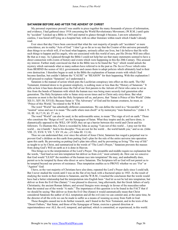#### **SATANISM BEFORE AND AFTER THE ADVENT OF CHRIST**

My personal experience proved I was unable to piece together the many thousands of pieces of information, and evidence, I had gathered since 1918 concerning the World Revolutionary Movement, (W.R.M..) until quite by "accident" I picked up a Bible in 1943 and started to glance through it because, I am now ashamed to confess, I was bored stiff lying on a hospital bed, with no other literature within reach which I hadn't already read.

Ever since that day I have been convinced that what the vast majority of people call "accidents" or mere coincidence, are in reality "Acts of God." I don't go so far as to say that the Creator of this universe personally does things to us which will, if we heed what happens, seriously affect our lives, but I do believe that He wills such things to happen and his angels, who are associated with this world of ours, put His Divine Will into effect. Be that as it may. As I glanced through the Bible I could not help but see that many statements seemed to have a direct connection with events of history and events which were happening in this the 20th Century. This aroused my interest. Further study convinced me that in the Bible was to be found the "key" which would unlock the mystery which surrounds what so many authors have referred to in the past as *The Secret Power* which rules from BEHIND the scenes of ALL governments and causes them to adopt policies which ultimately lead to their own destruction. I therefore began to seek in the Bible the explanation of human events with which I had become familiar, but couldn't fathom the "CAUSE" or "REASON" for their happening. With this explanation I will proceed to explain "Satanism" as I understand it.

Satanism is the manual of action which puts the Luciferian conspiracy into effect on this earth. The Old Testament, trimmed down to its greatest simplicity, is nothing more or less than the "History of Satanism." It tells us how it has been directed since the Fall of our first parents to the Advent of Christ who carne to set us free from the bonds of Satanism with which the human race was being more securely tied generation after generation. The Holy Scriptures refer to Satan sixty-seven times and to Christ only sixty-three. But what concerns us most is the fact that the Holy Scriptures tell us, and prove, that "Satan is Prince of this World" (John XII:31; XIV:30; XVI:II). Because Satan is "The Adversary" of God and his human creatures, he must, as "Prince of this World," be related to the W.R.M.

The word "World" has admittedly different connotations. We can define the word in a "favourable" or "neutral" sense and use it to mean "The earth where men dwell" or by metonymy "men themselves." (John I. 9- 10; III. 16,17,19; )G. 27. etc.)

The word "World" can also be used, in the unfavourable sense, to mean "The reign of evil on earth." Those who constitute the "Reign of evil" are the Synagogue of Satan. What they inspire and do, and have done, is diametrically opposed to the WILL OF GOD; they set up a barrier between this world and Christ and his followers. To illustrate this, Christ is recorded by John as saying "I am not of this world ... I pray not for this world ... me it hateth." And to his disciples "You are not for the world ... the world hateth you," and so on. (John VIII. 23; XVII. 9; VII. 7; XV 19; etc.; cf I John III. 13,14).

Thus we can understand that, ever since the advent of Jesus Christ, Satanism has waged a perpetual war to prevent God's children on this earth from putting God's plan for the rule of the entire universe into operation upon this earth. By preventing us putting God's plan into effect; and by preventing us living "The way of life" as taught to us by Christ, and summarized in the words of "The Lord's Prayer," Satanism prevents the masses from doing God's Will on earth as it is done in Heaven.

This brings us to the interpretation of the Lord's Prayer. The preamble and middle require no explanation but the words, "And lead us not into temptation but deliver us from evil," most certainly do. How can we conceive that God would "LEAD" the members of the human race into temptation? He may, and undoubtedly does, permit us to be tempted by those who direct or serve Satanism. The Scriptures tell us God will not permit us to be tempted beyond our powers of resistance. Thus temptation enables us to PROVE whether we are "For" or "Against" God.

I have, as the vast majority of Christians have also done, repeated the Lord's Prayer daily since I could talk. But I never studied the words until I was on the flat of my back with a fractured spine in 1943. As the result of studying the words in their relation to Satanism, and the W.R.M., I reached the conclusion that the words would have had a better relationship had the interpretation into English been "And let us not be led into temptation; but deliver us from the Evil One (Satan)." I was pleased to discover, long afterwards, that the Greek fathers of early Christianity; the ancient Roman fathers; and several liturgies were strongly in favour of the masculine rather than the neutral use of the words "A malo." The importance of this question is to be found in the FACT that if we should be saying "But deliver us from the Evil One (Satan) it would automatically mean that Christ considered Satanism the author of ALL temptation and all the evil (sin) we can commit and, at the same time, be the director of all the evils we can be made to suffer as a means of weaning us away from Faith in God.

These thoughts caused me to do further research, and I found in the New Testament, and in the texts of the "Desert Fathers," that Satan, and those of the Synagogue of Satan, exercise a general direction or superintendence over ALL the evil, temporal, and spiritual, which is committed, or experienced, in this world.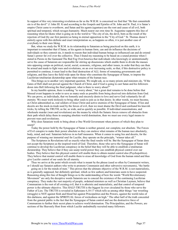In support of this very interesting revelation-as far as the W.R.M. is concerned we find that "He that committeth sin is of the devil" (1 John III. 8) and according to the Gospels and Epistles of St. John and St. Paul, it is Satan's empire Christ came to overthrow, and Satan and his agents (agenturs) are the root and cause of all evil, both spiritual and temporal, which ravages humanity. Much nearer our own time St. Augustine supports this line of reasoning when he likens what is going on in the world to "The city of sin, the devil, born as the result of the rejection of God (by our first parents) as being in eternal opposition to the "City of God." St. Thomas doesn't entirely agree with this definite and exact interpretation so, as happens so often, it is just another case of everybody to their own liking.

But, when we study the W.R.M. in its relationship to Satanism as being practiced on this earth, it is important to remember that if Satan, or his agents in human form, can and do influence the decisions of individuals so they commit sin, it stands to reason that individual human beings so influenced can and do extend Satan's power for evil over the collective. Thus I found my reasoning to be based on a sound premise when I stated in Pawns in the Gameand The Red Fog OverAmerica that individuals who knowingly or unintentionally serve the cause of Satanism are responsible for stirring up dissensions which enable them to divide the masses into opposing camps on political, racial, social, economic, religious, and other issues, in order that they can then be armed and made to fight wars and revolutions, on an ever increasing scale, so that, if this destructive policy is permitted to continue, it must lead to the final destruction of ALL forms of remaining governments and religions, and thus leave the field wide open for those who constitute the Synagogue of Satan, to impose the Luciferian totalitarian dictatorship upon what remains of the human race.

This brings us to another very important question. We might ask, as so many priests and ministers do, "If the Gates of Hell shall not prevail against the Church of Christ, and if God is going to cast Satan and his followers down into Hell following the final judgment, what is there to worry about?"

In my humble opinion, there is nothing "to worry about," but a great deal remains to be done before that blessed event happens in order to save as many souls as possible from being deceived into defection from God. We can prove, as individuals, that we honestly and sincerely desire to love and serve God voluntarily for all eternity. We must work tirelessly to bring other souls to join us in that desire. In other words, we must become, as Christ admonished us, real soldiers of Jesus Christ and active enemies of the Synagogue of Satan. If lies and deceits are the stock-in-trade used by the forces of evil, then we must shame the Devil and confound his knavish tricks, by telling the TRUTH, as far, as wide, and as quickly as possible. If individual assassinations, and wholesale murder (wars and revolutions) are the means by which the Satanic forces remove all obstacles from their path which delay them in usurping absolute world domination, then we must use every legal means to prevent wars and revolutions.

Why does Satanism work to bring about a One World Government when powers of which they plan to usurp?

Today the power held by the Synagogue of Satan is neither general, nor complete, nor absolute. The Forces of Evil conspire to make their power absolute so they can enslave what remains of the human race absolutely, body, mind, and soul. Satanism believes in no half measures. When it comes to using lies and deceits, for the purpose of winning our immortal soul for Lucifer, they operate on the principle, "winner takes all."

The Scriptures in Revelations tell us exactly what the final results will be. But the Synagogue of Satan does not accept the Scriptures as the inspired word of God. Therefore, those who serve the Synagogue of Satan will continue to develop the Luciferian conspiracy in the belief that they will be able to establish a totalitarian dictatorship. They believe that if they can usurp world power they can establish physical control over our bodies. They believe that this physical control will enable them to obtain mental control also (Psychopolitics). They believe that mental control will enable them to erase all knowledge of God from the human mind and thus give Lucifer control of our souls for all eternity.

Thus we arrive at the point which reveals what is meant by the phrase (used so often by Communist writers, or I should say Satanist authors who write to promote Communist and other subversive movements), "the battle

going on is for the minds of men." This proves that the ultimate objective of the W.R.M. is not materialistic, as is generally supposed, but definitely spiritual, which so few authors and historians seem to have suspected. Reasoning along this line of thought brings us to the understanding of how the words "World Revolutionary Movement" are only the deceptive words Satanists use to conceal the existence of the continuing Luciferian conspiracy. They make the vast majority of people, ordained ministers as well as Christian Laymen, believe that Communism is the root of all existing evil, that it is atheistic and materialistic, and that control of temporal power is the ultimate objective. This HALF-TRUTH is the biggest lie ever circulated by those who serve the Father of Lies. The TRUTH is revealed in Ephesians 6,10-17 which tells us among other things "our wrestling (struggle) is NOT against flesh and blood but against Principalities and the Powers, against the world rules of this darkness, and against the SPIRITUAL forces of wickedness on high." The other half of the truth concealed from the general public is the fact that the Synagogue of Satan control and use the destructive force of Communism to further their secret plans to achieve world domination. The Principalities, and the Powers, are sections of the Heavenly Host from which Lucifer undoubtedly recruited many followers.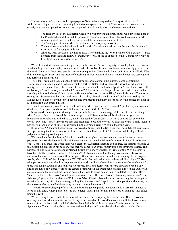The world ruler of darkness, is the Synagogue of Satan who is inspired by "the spiritual forces of wickedness on high" to put the continuing Luciferian conspiracy into effect. Thus we are able to understand exactly what we are up against. As we live our period of trial on this earth, we have to contend with:

- 1. The High Priests of the Luciferian Creed. We will prove that human beings who have been head of the Priesthood admit they had the powers to contact and consult members of the celestial world who had joined Lucifer in his revolt against the absolute supremacy of God.
- 2. The Synagogue of Satan, who put the Luciferian conspiracy into effect.
- 3. The secret societies who believe in and practice Satanism and whose members are the "Agentur" who serve the Synagogue of Satan.
- 4. All those who, because of the lies of those who constitute the "World Rulers of this darkness," have defected from God and follow a "Destructive" way of life as opposed to the "Constructive' way of life Christ taught us is God's Holy Will.

We will now study Satanism as it is practiced in this world. The vast majority of people, due to the manner in which they have been taught, cannot seem to make themselves believe that Satanism is actually practiced on this earth. Let us ask these good people a very simple question: "How could Satan be Prince of this World if he didn't have a government and the means of deceiving millions upon millions of human beings into serving him and furthering his intentions?"

They don't seem able to realize that Christ came on earth to expose the existence of the continuing Luciferian conspiracy such as it is directed on this earth by Satan, and by those who serve him who are, in reality, devils in human form. Christ made this very clear when he said to his Apostles: "Have I not chosen all twelve of you? And one of you is a devil." (John 6:70) And at the Last Supper do we not read, "The devil had already put it into the heart of Judas, son . of Simon, the Iscariot, to betray Him," and a little later, "The morsel once given, Satan entered into him; and Jesus said to him, "Be quick on thy errand." Judas was used by the Synagogue of Satan not by the Jewish people, and by accepting the thirty pieces of silver he opened the door of his heart and Satan entered into it.

Then it is interesting to note the words Christ used when being arrested. He said: "But this is your hour and (the hour of) the power of darkness." (Satan and/or Lucifer) -(Luke 22:53).

It has puzzled me a great deal to try to find out whether we are in the stage of the Luciferian conspiracy when Satan is about to be bound for a thousand years, or if Satan was bound for the thousand years, as mentioned in Revelations, at the time of, and by the death of Jesus Christ. As I have pointed out before the words "Day" and "Years" have more than one meaning; so could the words "A thousand years" simply mean "a period, or a long period of time," as expressed in the common saying "Not in a thousand years."

If the words "A thousand years" mean "A period of time," then the Scripture most definitely tells us we are fast approaching the time when God will intervene on behalf of His elect. This means that the day of final judgment is fast approaching also.

We can take it that the death of Our Lord, and his triumphant resurrection is to mean "sentence is now passed on this world (the principality of Satan); now is the time the Prince of this World (Satan) is to be cast out." (John 12:31 etc.) And while those who accept the Luciferian doctrine don't agree, the Scriptures assure us that Christ did succeed in his mission. And then we come to an extraordinary thing concerning the Bible. The part that should have declared, and explained, Christ's victory over Satan, as Prince of this World, seems to have been badly fouled up. I refer to Colossians 2:14. Translators such as Douay, Westminster, Knox -as authorized and revised versions will show, give different and in a way contradictory meanings to the original words, which I "think" best interpret the TRUTH as St. Paul wished it to be understood. Speaking of Christ's triumph over the forces of evil, who governed this world until his advent, he corrected the false teachings of those who taught education and religion; He exposed laws and decrees which were opposed to God's Law and/or the Laws of Nature; He lifted the curtain behind which the Synagogue of Satan directed the Luciferian conspiracy, and He exposed the lies and deceits they used to cause human beings to defect from God. He "nailed the truth to the Cross," for all to see who wish to see. The Rev. Bernard Flemming in an article " The Adversary" gives as his translation of Colossians 2-14, "Christ ... blotted out the handwriting that was against us, with its decrees; lifted it clean away, nailing it to the cross, and despoiled the principalities and powers, put them to open shame, and led them away in triumph through the cross."

The task we are trying to perform is to convince the general public that Satanism is a very real and active force on this earth, whose purpose it is to try to defeat God's plan for the rule of creation being put into effect upon this earth.

We are trying to prove that Christ defeated the Luciferian conspiracy here as he did in Heaven. We are offering evidence which indicates we are living in the period of the world's history when Satan broke or was released from the bonds with which Christ had bound him for a "thousand years." He is now using the Synagogue of Satan to bring about the wars and revolutions, and other abominations which would, if not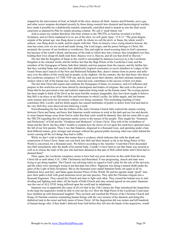stopped by the intervention of God, on behalf of His elect, destroy all flesh. Atomic and H-bombs, nerve gas, and other secret weapons developed recently by those doing research into chemical and bacteriological warfare, have made it possible for a diabolically minded, satanically controlled mind to launch us into the final social cataclysm as planned by Pike by simply pressing a button. We call it "push button war."

And to assure my readers that those who bear witness to the TRUTH, as God has revealed it in Holy Scriptures, and as Christ explained it to us, are of the elect, we will quote Apoc. 12:9-12: "The great dragon, serpent of the primal age; was flung down to earth; he whom we call the devil, or Satan, the whole world's seducer, was flung down to earth, and his angels with him. Then we heard a voice crying aloud in heaven; the time has come; now we are saved and made strong, Our Lord reigns, and the power belongs to Christ, His anointed; the accuser of our brethren is overthrown. Day and night he stood accusing them in God's presence; but because of the Lamb's blood, and because of the truth to which they bore witness, they triumphed over him, holding their lives cheap till death took them. Rejoice over it, Heaven, and all you that dwell in Heaven."

The fact that the Kingdom of Satan in this world is surrounded by darkness (secrecy) as is the Luciferian Kingdom in the celestial world; and the further fact that the High Priests of the Luciferian Creed, and the members of the Synagogue of Satan, hide their identity and true purpose from the masses; and the further fact that they worship Satan and conduct their diabolically inspired ceremonies in secret chambers in Lodges of the Grand Orient and Councils of the New and Reformed Palladian Rite, doesn't detract from its power and influence over the affairs of this world and its people, in the slightest. On the contrary, the fact that those who direct the Luciferian conspiracy AT THE TOP can, and do, keep secret their identity, and their ultimate intention to enslave what is left of the human race, body, mind and soul, contributes to the success of their evil plans.

The fact that Christ did expose and condemn the Synagogue of Satan, its existence, and evil influence and purpose in this world has never been denied by theologians and leaders of religions. But such is the power of Satan that he has prevented a true and realistic impression being made on the human mind. The average person has been taught to think of the Devil as the most horrible creature imaginable; they have been taught to believe that Hell is an abyss or pit filled with fire and brimstone in which Lucifer, his fallen angels, and lost human souls simmer and sizzle for all eternity without ever being consumed. This misleading teaching of what constitutes Hell, Lucifer, and his fallen angels, has caused multitudes of people to defect from God and land in the very Hell they were deceived into believing a myth.

Notwithstanding the fact that the Fathers of the early Christian Church fully realized the enmity existing between Christ and Satan, and knew that Satanism would continue to work in the dark and use lies and deceits to wean human beings away from God in order that their souls would be damned, they did not seem able to get the TRUTH regarding this all important matter across to the masses of the people. They taught the "Greatness and Perfections" of God and the "Goodness and Meekness" of Jesus Christ. They told of the wickedness of Satan and the Devil, but they didn't trouble to explain how the forces of evil upon this earth have operated since the fall of our first parents. Thus it was that Satanism, disguised in a thousand ways, and operating under a hundred different names, grew stronger and stronger without the general public knowing what was really behind the scenes causing all the evil things they had to suffer.

While we don't wish to labour this matter there is evidence which indicates that with the death and resurrection of Jesus Christ, Satan was cast back into Hell and there bound, as far as his being Prince of this World is concerned, for a thousand years. We believe according to the Apostles' Creed that Christ descended into Hell immediately after the death of his mortal body. Couldn't it have been to see that Satan was secured as well as to release the souls of the just who had been detained in that part of Hell called limbo until Christ had redeemed them?

Then, again, the Luciferian conspiracy seems to have had very poor direction on this earth from the time Christ left us until about A.D. 1,000. Christianity had flourished. It was progressing, church and state were trying to get along together. The Church was advising rulers in regard to God's plan for the rule of the universe, and the rulers were seemingly trying to put that plan into effect. Paganism was dying a natural death under the glare of the Light of Holy Scriptures. But as the thousand years ended Satanism broke out again in all its diabolical force and fury, and Satan again became Prince of this World. He and his agentur made "good" men pave their paths to hell with good intentions never put into practice. They split the Christian religion into a thousand fragments. They caused the Church and state to fight each other. They caused the human race to start dividing and fighting each other, till the heads of both Church and state seemed agreed on one point: Satanism was the root of ALL EVIL being inflicted upon the world and its inhabitants.

Satanism was so apparently the cause of all evil that in the 13th Century the Pope introduced the Inquisition in the hope the inquisitors would be able to root out the evil. How the High Priest of the Luciferian Creed must have doubled up with demoniacal laughter! They sat back and watched the Princes of the Christian Church and Kings of Christian countries tormenting human beings with the very tortures of the damned, and doing this diabolical task in the sweet and holy name of Jesus Christ. All the Inquisition did was torture and kill hundreds of human beings who, if they hadn't defected from God before they fell into the hands of the inquisitors, would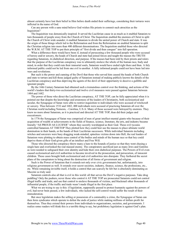almost certainly have lost their belief in Him before death ended their sufferings, considering their tortures were inflicted in the name of God.

Can any person with a sane mind believe God wishes His priests to commit such atrocities as the Inquisition?

The Inquisition was demonically inspired. It served the Luciferian cause in as much as it enabled Satanists to turn thousands of people away from the Church of Christ. The Inquisition enabled the enemies of Christ to split the Church of Christ wide asunder; it enabled Satanism to divide the united power of Church and state. It was the origin of those things which led to the Reformation and from the Reformation on enabled Satanism to split the Christian religion into more than 400 different denominations. The Inquisition enabled those who directed the W.R.M. AT THE TOP to put their principle of "first divide and then conquer" into full operation.

What a difference there would have been if, instead of persecuting a few thousand people who were accused of heresy and/or sorcery, the heads of Church and state had joined forces and taught the masses the TRUTH regarding Satanism, its diabolical direction, and purpose. If the masses had been told by their priests and rulers that the purpose of the Luciferian conspiracy was to ultimately enslave the whole of the human race, body and mind, in order that they could ruin their immortal souls, Satanism would have ended right there and then. A fuly informed public could not be led from one evil to another. A fully informed people could not have been led into wars and revolutions.

But such is the power and cunning of the Devil that those who served him caused the heads of both Church and state to torture and kill those judged guilty of Satanism instead of making publicly known the details of the Luciferian conspiracy and thus depriving the agents of the devil of their opportunity to deceive a gullible and ignorant people.

By the 16th Century Satanism had obtained such a tremendous control over the thinking, and actions of the world's leaders that thirty-two ecclesiastical and twelve civil measures were passed against Satanism between 1484 and 1682.

The power of those who direct the Luciferian conspiracy, AT THE TOP, can be fully appreciated when it is pointed out that despite the knowledge and awareness of the leaders of Christianity, both ecclesiastical and secular, the Synagogue of Satan were able to restrict inquisition to individuals who were accused of witchcraft or sorcery. Thus between 1532 and 1682, 400 individuals were accused of practicing Satanism all over the Christian world including Nemesis, - Carolina, U.S.A. Many of those accused were betrayed by enemies. They knew no more about Satanism, as it is practiced and directed AT THE TOP, than did their judges and executioners.

In 1776 the Synagogue of Satan was comprised of men of great intellect-mental giants-who because of their acquisition of wealth or achievements in the fields of finance, science, literature, the arts, and industry became literally "AS PROUD AS LUCIFER" whom they secretly worshipped as their God. These evil tycoons controlled Satanism AT THETOP They plotted how they could best use the masses to place ultimate world domination in their hands, or the hands of their Luciferian successors. While individual Satanists including witches and sorcerers were busy dragging weak-minded, spineless victims down into Hell, the real leaders of Satanism were plotting to obtain mass control of the bodies and minds of the human race so that hey could deprive them of their God-given gifts of an intellect and Free Will.

Those who directed the conspiracy threw many a hare to the hounds of justice so that they went chasing a single hare and overlooked the real massed enemy. The conspirators sacrificed just as many Jews and Gentiles as were needed to safeguard their own identity and hide their own diabolical purposes. The Powers of Evil even caused ecclesiastical and civil authorities to become involved in the prosecution, and persecution, of innocent children. These cases brought both ecclesiastical and civil authorities into disrepute. They furthered the secret plans of the conspirators to bring about the destruction of all forms of government and religion.

Such is the Power of Satanism that it extends not only over civic governments but, unfortunately, into religious government as well. It extends over secret societies, industry, finance, science, the professions, etc., etc. While remaining invisible itself, it holds a control that can scarcely be felt but is absolutely dominating as Mazzini so truly said.

Satanism controls also all that is evil in this world: all that serves the Devil's negative purposes. Take drug peddling! Only the pushers, never those who control it AT THE TOP are prosecuted Satanists could not control illegal traffic and trade, and use that control to enslave thousands of victims, and blackmail other thousands of influential people, if the traffic and trade wasn't made illegal in the first place.

What we are trying to say is this: if legislation, supposedly passed to protect humanity against the powers of evil, had never been passed, a few individuals, who lacked the self-control would suffer the result of their immoderation.

But once legislation makes the selling or possession of a commodity a crime, the Synagogue of Satan can then form syndicates which operate to defeat the ends of justice while making millions of dollars profit for themselves. Thus they extend their powers from individuals to organizations, societies, and governments. I realize some readers will think this is a terrible thing to say, but prohibitory legislation is against God's plan.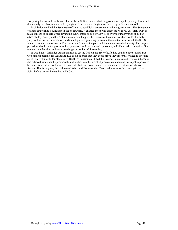Everything He created can be used for our benefit. If we abuse what He gave us, we pay the penalty. It is a fact that nobody ever has, or ever will be, legislated into heaven. Legislation never kept a Satanist out of hell.

Prohibition enabled the Synagogue of Satan to establish a government within a government. The Synagogue of Satan established a Kingdom in the underworld. It enabled those who direct the W.R.M., AT THE TOP, to make billions of dollars while advancing their control on society as well as over the underworlds of all big cities. Today, exactly as the Protocols say would happen, the Princes of the underworld are lords of society. Exgang leaders now own fabulous resorts and legalized gambling palaces in the sanctuaries in which the S.O.S. intend to hide in case of war and/or revolution. They set the pace and fashions in so-called society. The proper procedure should be for proper authority to arrest and restrain, and try to cure, individuals who sin against God to the extent that their actions prove dangerous or harmful to society.

If God hadn't forbidden Adam and Eve to eat the fruit on the Tree of Life they couldn't have sinned. But God made it possible for Adam and Eve to sin in order that they could prove they sincerely wished to love and serve Him voluntarily for all eternity. Death, as punishment, fitted their crime. Satan caused Eve to sin because she believed him when he promised to initiate her into the secret of procreation and make her equal in power to her, and his, creator. Eve learned to procreate, but God proved only He could create creatures which live forever. That is why we, the children of Adam and Eve must die. That is why we must be born again of the Spirit before we can be reunited with God.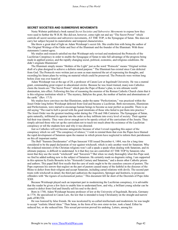# **SECRET SOCIETIES AND SUBMERSIVE MOVEMENTS**

Nesta Webster published a book named *Secret Societies and Subversive Movements* to expose how they were used to further the W.R.M. She did not, however, come right out and say "The Secret Power" which controls all secret societies and subversive movements, AT THE TOP, is the Synagogue of Satan. She does not carry her subject beyond its materialistic and temporal characteristics.

She threw a great deal of light on Adam Weishaupt's secret life. She credits him with being the author of The Original Writings of the Order and Sect of the Illuminati and the founder of the Illuminati. With these statements I cannot agree.

My studies and research satisfied me that Weishaupt only revised and modernized the Protocols of the Luciferian Conspiracy in order to enable the Synagogue of Satan to take full advantage of the progress being made in applied science, and the rapidly changing social, political, economic, and religious conditions. He didn't originate Illuminism!

The Illuminati simply means "Holders of the Light" just as the word "Protocols" means "Original written draft of a plan designed to achieve a definite stated purpose." The Illuminati has existed since Cain defected from God. The Protocols were written just as soon as man mastered the art of expressing his thoughts, and recording his future plans by writing on material which could be preserved. The Protocols were written long before Zion was ever heard of.

Adam Weishaupt was at the age of 28, a professor of Canon Law at Ingolstadt University. He was a mental giant, commanding great respect in educational circles. Because he was Jesuit trained, many non-Catholics claim the Jesuits are "The Secret Power" which puts the Pope of Rome's plan, to win ultimate world domination, into effect. Following this line of reasoning the enemies of the Roman Catholic Church claim that it is this religious institution which is "The mystery, Babylon the great, the mother of harlots and abominations of the earth." (Rev. 17:5)

My studies have convince me that Illuminism, under the name "Perfectionism," was practiced within the Jesuit Order long before Weishaupt defected from God and became a Luciferian. Both movements, Illuminism and Perfectionism, were started to encourage human beings to become as near perfect as possible. There is an old saying "The road to hell is paved with the good intentions of those who failed to put them into practice." The Jesuit Order was the greatest teaching order during the 17th and 18th Centuries. The Synagogue of Satan, quite naturally, infiltrated its agentur into the order as they infiltrate into every level of society. Their agentur hid their true identity. They were clever enough not to be openly critical of the curriculum of the Jesuits. They simply advised those who set up the curriculum not to teach too much about the existence of the Luciferian conspiracy or tell the students how and why it was directed.

Just so Catholics will not become antagonistic because of what I reveal regarding this aspect of the conspiracy which we call "The conspiracy of silence," I wish to remind them that even the Popes have blamed the rapid development of Satanism upon the manner in which priests have neglected to inform their parishioners on this all important matter.

The Bull "Summis Desiderantes" of Pope Innocent VIII issued December 6, 1484, was for a long time considered to be the papal declaration of war against witchcraft, which is only another word for Satanism. Why the ordained ministers of the Christian religions won't call a spade a spade when dealing with Satanism, and its ultimate purpose, is difficult to understand. Is it that they too are controlled AT THE TOP by Satanists who insist that they use the words "witchcraft" and "Sorcerers"? But when we study thoroughly what this Pope said, we find he added nothing new to the subject of Satanism. He certainly made no dogmatic ruling. I am supported in this opinion by Emile Brouette in his "Sixteenth Century and Satanism," and a dozen other Catholic priests and authors. This papal Bull first recalls that the care of souls ought to be the ceaseless concern of pastors. The Pope expresses his sorrow that neglect on the part of pastors caused many of the faithful in the dioceses of the Rhine to defect from their religion and accept Satanism, including carnal relations with devils. The second part treats with witchcraft in detail; the third part authorizes the inquisitors, Sprenger and Institoris, to prosecute offenders with "the rigours of ecclesiastical justice." This document fell far short of the Decretals of Pope John XXII.

Because Weishaupt played such an important part in modernizing the Luciferian conspiracy, it is advisable that the reader be given a few facts to enable him to understand how, and why, a brilliant young scholar can be caused to defect from God and literally sell his soul to the devil.

Born in 1748, Adam Weishaupt became professor of law at the University of Ingolstadt, Bavaria, Germany in 1776. He specialized in Canon Law, the law that is intended to keep Christianity on the straight and narrow path ofTRUTH.

He was lionized by false friends. He was inculcated by so-called intellectuals and modernists: he was taught to accept "realistic liberal ideas." Then Satan, in the form of his own sister-in-law, took a hand. Either he seduced her, or she seduced him. This sexual perversion proved his undoing. Letters, among his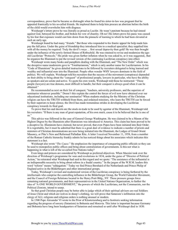correspondence, prove that he became so distraught when he found his sister-in-law was pregnant that he appealed frantically to his so-called friends. He implored them to help him procure an abortion before the birth of the child would overwhelm him with disgrace.

Weishaupt's letters prove he was literally as proud as Lucifer. He wasn't penitent because he had sinned against God, betrayed his brother, and broken his vow of chastity. Oh no! His letters prove his panic was caused by his fear that exposure would cast him down from the pinnacle of learning to which he had been elevated at such an early age.

Weishaupt found he had many "friends." But those who responded to his frantic appeal for help made him pay the full price. Under the guise of friendship they introduced him to a medical specialist; they supplied him with all the money he required: Truly the devil's ways ... first sexual depravity then gold! He was then brought under the influence of the newly formed House of Rothschild. He was retained to revise and modernize the ageold Luciferian "Protocols." His pride was given further inflation when he was asked to, or it was suggested,. that he organize the Illuminati to put the revised version of the continuing Luciferian conspiracy into effect.

Weishaupt wrote many books and pamphlets dealing with the Illuminati, and "The New Order" which was the deceptive name modernists gave to "Totalitarianism," which is only another name for Luciferianism. In his "Code of Illuminism" he gives detailed instructions to be followed by recruiters delegated to bring learned and wealthy and influential men into the Illuminati. People often wonder WHY lawyers dominate in the field of politics. We will explain. Weishaupt told his recruiters that the success of the movement (conspiracy) depended on their ability to bring about the "conquest" of professional people, lawyers in particular, who have the ability as speakers and are astute and active. To quote his own words, Weishaupt told those he instructed: "These people (lawyers) are true demons, most difficult to handle; but their conquest is always good when it can be obtained."

He recommended as next on their list of conquest, "teachers, university professors, and the superiors of seminaries whenever possible." Doesn't this explain the control the forces of evil now have obtained over our educational institutions, including our seminaries? When students studying for the Ministry of the Christian religion can have the TRUTH withheld from them, and ordained ministers, who learn the TRUTH can be forced by their superiors to keep silence, the Devil has made tremendous strides in developing the Luciferian conspiracy towards its final goal.

To prove that lies and deceits are the stock-in-trade to be used by agentur of the Illuminati, Weishaupt told his recruiters: "If there is any man of great reputation, of his own merit, cause it to be believed that he is one of us."

This advice was followed in the case of General George Washington. He was claimed to be a Mason of the Highest Degree by the Illuminists after Illuminism was introduced to America. This claim has been proved to be a deceptive lie. Illuminists have claimed, but never proved, that even Popes have been initiated into their Order. It is regrettable, but it must be admitted that there is a great deal of evidence to indicate a number of priests and ministers of Christian denominations are now being initiated into the Illuminati, the Lodges of Grand Orient Masonry, or Pike's New and Reformed Palladian Rite. A letter I received November 11, 1958, from a member of the Roman Catholic hierarchy frankly admits he has noticed things about his associates which indicates this statement is a fact.

Weishaupt also wrote "*The Cause*." He emphasizes the importance of conquering public officials so they can be used to monopolize public offices and bring about centralization of governments. Is this not what is happening in what is left of the so-called Free Nations today?

Even kings and princes are considered by Weishaupt as preferred objectives. When Mazzini took over the direction of Weishaupt's programme for wars and revolutions in 1834, under the guise of "Director of Political Action," he reiterated what Weishaupt had said in this regard and we quote: "The assistance of the influential is an indispensable necessity to bring about reform in a feudal country." In the jargon of the W.R.M. leaders this word "reform" means "subjugation." Today we find Prince Bernhard of the Netherlands and Prince Philip of England active in the Bilderbergers and other international groups.

Today, Weishaupt's revised and modernized version of the Luciferian conspiracy is being furthered by the intellectuals who comprise the controlling influence in the Bilderberger Group, the World Federalist Movement, and the Council of Foreign Relations located in the Henry Pratt Bldg., NY. These pressure groups force remaining national governments, and their representatives in the United Nations Organization, to further the idea of "A ONE WORLD GOVERNMENT," the powers of which the Luciferians, not the Communists, nor the Political Zionists, intend to usurp.

So that good Christian people may be better able to judge which of their spiritual advisers are real Soldiers of Jesus Christ and which are wolves in sheep's clothing, we will prove that Satanism's infiltration into the clergy of ALL religions and religious orders is nothing unusual or modern.

In 1500 Pope Alexander VI wrote to the Prior of Klosterneuburg and to Institoris seeking information regarding the progress of sorcery (Satanism) in Bohemia and Moravia. This letter is important because Germany and Bohemia have long been headquarters of Satanism and remained so until after Weishaupt died in 1830.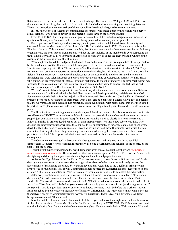Satanism revived under the influence of Nietzche's teachings. The Councils of Cologne 1536 and 1550 reveal that members of the clergy had defected from their belief in God and were teaching and practicing Satanism. Those who comprised the membership of these councils ordered such clergy to be excommunicated.

In 1583 the Council of Rheims excommunicated sorcerers: "who make a pact with the devil; who pervert sexual relations; who practice deviltries, and pretend to heal through the powers of Satan."

From 1580 to 1620 the disciplinary and dogmatic assemblies of the Protestant religion often discussed the question of Sorcery and Satanism, both as it was being practiced individually and in general.

But to get back to Weishaupt and his writings, and to prove that he had defected from Christianity and embraced Satanism when he revised the "Protocols." He finished this task in 1776. He announced this to the Illuminati May 1st. This is the real reason why May 1st of every year since has been celebrated by revolutionary organizations, and even labour organizations, without the vast majority of the membership even suspecting the truth. This is why May 1, 1776 is printed on American one dollar bills under the great pyramid. On top of the pyramid is the all-seeing eye of the Illuminati.

Weishaupt established the Lodges of the Grand Orient to be located in the principal cities of Europe, and to be the headquarters of the Illuminati which he reorganized to put the revised and modernized version of the Luciferian conspiracy into effect. The members of the Illuminati were at first restricted to about 2,000. They were men who, because they possessed exceptional mental abilities, had advanced to the top of their particular fields of human endeavour. They were financiers, such as the Rothschilds and their affiliated international financiers; they were scientists, such as Scheel; and educationists and encyclopedists such as Voltaire. Those who comprised the Synagogue of Satan all assumed nicknames to hide their identify. The term "nick-name" was first used to indicate a man who took, assumed, or was given another name to conceal the fact that he had become a worshiper of the Devil who is often referred to as "Old Nick."

We don't want to labour this point. It is sufficient to say that the men chosen to become adepts in Satanism were members of the Illuminati, who, by their lives, words, and deeds, proved they had defected from God. Some were avowed atheists. But the majority willingly accepted "Totalitarianism' (the Luciferian ideology) as presented to them by Weishaupt, as their creed. Only a fool can be a convinced atheist. Only a fool can believe that the Universe, and all it includes, just happened. Even evolutionists with brains admit that evolution could be part of God's plan of creation under which creatures can develop into a higher plane or deteriorate to a lower plane.

The Illuminati have one thing in common; they agreed that those who use their brains to win success in this world have the "RIGHT" to rule others with less brains on the grounds that the Goyim (the masses or common people) just don't know what is good (best) for them. As Voltaire stated so clearly in a letter he wrote to a fellow Illuminist, in order to lead the mob out of their present oppression into a new subjection, those who directed the conspiracy must order those they control to lie, "not timidly, or for a while only, but like the very devil, boldly and always.." Voltaire is also on record as having advised those Illuminists, with which he was associated, that they should use high sounding phrases when addressing the Goyim, and make them lavish promises. He added, "the opposite of what is said and promised can be done afterwards ... that is of no consequence."

The Goyim were encouraged to destroy established government and religions in order to establish democracies. Democracies were defined (deceptively) as being government, and religion, of the people, by the people, for the people.

Thus the vast majority understand the word democracy even today. In actual fact the word "democracy" means demoniacal or mob-rule. Those who direct the Luciferian conspiracy, AT THE TOP, use the "mob" to do the fighting and destroy their governments and religions, then they subjugate the mob.

As far as the High Priests of the Luciferian Creed are concerned, it doesn't matter if Americans and British destroy the governments of other countries as long as the citizens of other countries ultimately destroy the governments of Britain and the U.S.A. by wars and revolutions. According to the Luciferian principle wars always lead to revolutions. That is why Communist leaders adopted the Luciferian slogan; "Revolution to end all wars." The Luciferian policy is: Wars to weaken governments; revolutions to complete their destruction.

After every revolution, revolutionary leaders tell their followers it is necessary to establish a "Proletarian dictatorship" in order to restore law and order. Then in due time will come the Socialist Republic. That is another lie. The so-called proletarian dictatorship is ALWAYS turned into an absolute dictatorship. When Lenin was asked "How long will it be before your absolute dictatorship gives way to a Soviet (workers) government?" He replied, "That is a question I cannot answer, Who knows how long it will be before the workers, 'Goyim learn enough to be able to govern themselves efficiently? Unfortunately the 'Mob' don't know what is best for themselves." "Mob" is Communist jargon; "Goyim" is Luciferian. There is really no difference. All lesser beings are considered "Human Cattle."

In order that the Illuminati could obtain control of the Goyim and make them fight wars and revolutions to further the secret plans of those who direct the Luciferian conspiracy, AT THE TOP, Karl Marx was instructed to write the books *Das Capital* and the *Communist Manifesto*. He advocated atheism. Weishaupt and Pike and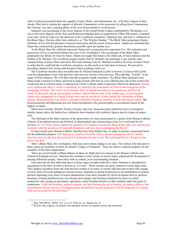other Luciferian preached about the equality of man, liberty, and fraternalism, etc., with their tongues in their cheeks. Pike had to explain his support of atheistic Communists to his associates by telling them Communism, like Nazism, was only a passing phase of the over-all movement to world power.

Satanism was encouraged in the lower degrees of the Grand Orient Lodges established by Weishaupt, as it was in the lower degrees of the New and Reformed Palladian Rite as organized by Albert Pike nearly a hundred years later when he took over the direction of the Luciferian conspiracy. Satanism was, and still is, celebrated at the Black Mass. This has often been referred to as "The Witches Sunday." The Black Mass perpetuates Sataris initiation of Eve into the pleasures of sexual intercourse and the secret of procreation. Adepts are reminded that Satan thus conferred the greatest benefaction possible upon the human race.

At the Black Mass the celebrant represents Satan and a young priestess represents Eve. The seduction and possession of Eve is performed before the eyes of the worshippers. The second part of the Black Mass perpetuates the defeat of Christ by Satan. Adepts are taught that Satan is the eldest son of God (Adonay) and the brother of St. Michael. The Luciferian dogma teaches that St. Michael, the archangel is one and the same celestial being as Jesus Christ and states that God (Adonay) sent St. Michael to earth in the form of Jesus Christ in order that he could halt the Luciferian conspiracy on this earth as he had done in heaven. We proved in preceding chapters how wrong and deceptive these teachings really are.

The Luciferian doctrine does not admit that St. Michael defeated Lucifer in heaven. It claims that Lucifer won his independence from God and now rules his own section of the universe. Pike said that, "Lucifer" is the equal of God (Adonay). We will deal with this at greater length elsewhere. The Black Mass illustrates how Satan made overtures to Christ, and tried to make friends with him by even offering him rule of this world if he would join the Luciferian cause. It depicts how Christ's refusal made it imperative that he be destroyed. During every Adonaicide Mass a victim is sacrificed, to symbolize the immolation of Christ at the instigation of the Synagogue of Satan. The victim can be human, fowl, or animal according to circumstances and the risk involved. Research dug up documentary evidence which indicates that in the middle ages several hundred youths who disappeared in Central Europe were used as sacrificial victims during the celebration of Black Masses. Rosecrucianism was closely associated with these ritualistic murders of male and female youths. But Rosecrucianism and Illuminism are now being introduced to the general public as movements based on the highest of ideals.

Much more recently, British, French, German, and even American police authorities have investigated similar crimes where the bodies have definitely been branded with symbolic figures used in rituals of satanic rites.

The third part of the Mass consists of the desecration of a host consecrated by a priest of the Roman Catholic Church. If an ordained priest can be hired, or blackmailed, into consecrating a host, he is well paid for his services. In 1513 Pope Julius ordered the inquisitor of Cremona to prosecute those priests who were abusing the Eucharist with the practices of witchcraft (Satanism) and who were worshipping the Devil.<sup>17</sup>

In more recent years Roman Catholic churches have been broken into, in order to procure consecrated hosts for this diabolical purpose. One Satanist in America forced his wife to attend Communion-rail in Catholic churches and save the host she received at Communion for him to use. She confessed this to a friend of mine before she died.

After a Black Mass, the worshippers, both men and women indulge in an orgy. The women who take part in these orgies are members of what are termed "Lodges of Adoption." They are used as common property by the members of the male organization.

There are several kinds of Black Masses as there are High and Low masses in the Roman Catholic and Church of England services. Satanism also includes a wide variety of sexual orgies organized for the purpose of placing influential people, whom they wish to control, in an incriminating situation.

One man told me that what took place at these orgies actually made him vomit. Satanism is introduced to stag parties in the form of what is known as "a Circus." These circuses are quite common in most large cities. They employ anywhere from one man and one woman to as many as twenty odd men and women who engage in every form of sexual indulgence and perversion. Satanism is spread insidiously by the distribution of motion pictures depicting every form of sexual abomination it has been possible for devils in human form to perform. Satanism is being introduced into our schools and colleges and training institutions by those so-called modernists who, posing as psychiatric specialists, teach Freudian theories to their students under the guise of modernism. Under this heading, medical students, and girls learning the art of nursing, are made to believe that masturbation and the practice of homosexualism are perfectly normal practices in the development of a human body and are good for the individual.<sup>18</sup>

<sup>&</sup>lt;sup>17</sup> Mag. Mun BULL. ROM. Vol. I, p. 617: Pratt op. cit.; Hansen op. cit.

<sup>&</sup>lt;sup>18</sup> We have the evidence of students who attended courses in Canada to prove this statement.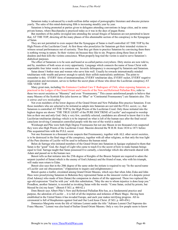Satanism today is advanced by a multi-million dollar output of pornographic literature and obscene pictures yearly. The sales of this mind-destroying filth is increasing steadily year by year.

Satanism is being promoted at parties given to delegates attending conventions in large cities, and in some private homes, where Bacchanalia is practiced today as it was in the days of pagan Rome.

But members of the public inveigled into attending the sexual fringes of Satanism are not permitted to know that, AT THE TOP, directing all the many phases of this abominable section of the conspiracy is the Synagogue of Satan.

They are not permitted to even suspect that the Synagogue of Satan is itself controlled AT THE TOP by the High Priests of the Luciferian Creed. At first those who proselytize for Satanism get their intended victims to witness sexual performances out of curiosity. Then they get them to practice Satanism by convincing them there is nothing wrong in nature. So their victims sin because they like to sin. Progress along these lines at first deadens and then kills the victims conscience. When properly hog-tied the victim is used to serve Satanism's diabolical purposes.

The effect of Satanism is to be seen and heard at so-called parties everywhere. Dirty stories are now told to, and by, members of both sexes at every opportunity. Language which connects the name of Jesus Christ with unprintable four letter words is in common use. Juvenile delinquency is encouraged by Satanists and Satanism.

Satan doesn't bother men and women who serve him well. Usually he rewards internationally minded totalitarians with wealth and power enough to satisfy their selfish materialistic ambitions. The point to remember is this. EVERY form of internationalism, EVERY totalitarian idea, EVERY racket, EVERY negative organization and movement, serves to further the secret plans of those who direct the Luciferian conspiracy AT THE VERY TOP.

Many great men, including His Eminence Cardinal Caro Y Rodreguez of Chili, when exposing Satanism, as practiced in the Lodges of the Grand Orient and Councils of the New and Reformed Palladian Rite, refer to these two secret societies as "Masonry" and even "Freemasonry." This causes uninformed people to believe that many Masons of the Scottish Rite (also known as "Blue" or "Continental Freemasonry") are Satanists also. *This is untrue and very misleading!*

Not even members of the lower degrees of the Grand Orient and New Palladian Rite practice Satanism. Even those members who are selected to be initiated as adepts into Satanism are not told the FULL secret, i.e., that Satanism is controlled AT THE TOP by the High Priests of the Luciferian Creed. Only those initiated into the highest degree are shown "THE TRUE LIGHT of the PURE DOCTRINE of Lucifer" and required to worship him as their one and only God. Only a very few, carefully selected, candidates are allowed to know that it is the Luciferian totalitarian ideology which is to be imposed on what is left of the human race after the final social cataclysm involving Communist controlled people with the rest of the world is ended.

Weishaupt and Pike were both High Degree Freemasons but not one Mason in ten thousand even suspected they were also High Priests of the Luciferian Creed. Mazzini directed the W.R.M. from 1834 to 1871 before Pike acquainted him with the FULL secret.

Not one freemason in a thousand even suspects that Freemasonry, together with ALL other secret societies, is to be destroyed in the final stage of the conspiracy, together with all other religions, so that only the true light of the Pure doctrine of Lucifer will be used to influence the human mind.

Belen de Sarraga who initiated members of the Grand Orient into Satanism in Iquique explained to them that Satan is the "good" God, the Angel of Light who came to teach Eve the secret of how to make human beings equal to God. Sarraga taught that Satan possessed Eve carnally, a knowledge which she afterwards shared with Adam and passed on to the human race.

Benoit tells us that initiates into the 25th degree of Knights of the Brazen Serpent are required to adore the serpent (symbol of Satan) which is the enemy of God (Adonay) and the friend of man, who with his triumph, will make men return to Eden.

Benoit also says that in the 20th degree of the same order the initiate is required to say "In the sacred name of Lucifer cast out obscurantism." (Opposition to inquiry and enlightenment.)

Benoit quotes a leaflet, circulated among Grand Orient Masons, which says that when John Ziska and John Huss were proselytizing Satanism in Bohemia they represented Satan as the innocent victim of a despotic power (God Adonay) who made of him (Satan) the companion in chains of all the oppressed. These two replaced the age-old expression "God be with you' with this substitution; "May the one to whom injustice is done keep you." Proudhon, another Satanist, is recorded as invoking Satan with the words: "Come Satan, exiled by priests, but blessed be (in) my heart." (Benoit F.M.I. p. 460-62.)

Dom Benoit says Albert Pike's New and Reformed Palladian Rite has, as a fundamental practice and purpose, the adoration of Lucifer ... it is full of all the impieties and infamies of Black Magic. Having been established in the United States it has invaded Europe, and each year makes terrifying progress. All its ceremonial is full of blasphemies against God and Our Lord Jesus Christ. (F.M.I. p. 449-454.)

Domenico Margiotta wrote the life of Adriano Lemmi under the title "Adriano Lemmi Chef Supreme des Franc-Macons." Lemmi was also head of Italian Grand Orient Masons. Only a very few people seem to know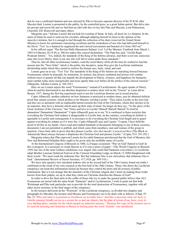that he was a confirmed Satanist and was selected by Pike to become supreme director of the W.R.M. after Mazzini died. Lernmi is presented to the public, by the controlled press, as a great Italian patriot. But delve into his private and secret life and we find him an idol with feet of clay like Pike and Mazzini, Lord Palmerston, Churchill, ED. Roosevelt and many others.

Margiotta says "Adriano Lemmi did not hide his worship of Satan. In Italy, all knew he is a Satanist. In the name of Satan he used to send out his circulars, although adapting himself at times to the opinion of the *imperfect* initiates, but it is enough to leaf through the collection of his diary (reserved for Grand Orient Masons) to know his sentiments concerning occultism and the wickedness of one who had delivered himself to the Devil. "Yes! As a Satanist he organized the anti-clerical movements and boasted of it from 1883 on!"

In his official organ "The Revista Della Massoneria Italiana' (vol. I of the Masonic Yearbook from March 1, 1883 to February 28,18 84, p. 306) he makes this cynical declaration: "The Pope has said, 'Vecilla Regis Prodcunt Inferni.' Yes, indeed, the standards of the King of the Inferno advance, and there is not one conscious man who loves liberty; there is not one who will fail to enlist under those standards."

Thus he, like all other revolutionary leaders, used the word liberty while all the time he worked to lead the masses into the "New Order" which is the polite, but deceptive, name they give the Luciferian totalitarian dictatorship under which they intend to enslave the human race, body, mind, and soul.

Lemmi goes on to say: "Yes! Yes! The standards of the King of the Inferno are marching forward because Freemasonry which by principle, by institution, by instinct, has always combated and always will combat without truce or quarter all that can impede the development of liberty, of peace, and happiness for humanity, must combat today more energetically and more openly than ever before all the artifice of the clerical reaction." (Margiotta, Adriano Lemmi, p. 168-169.)

Here we see Lemmi injects the word "Freernasonry" instead of Luciferianism. He again speaks of liberty when he and his kind intend to use absolute despotism to enforce their will on the "Goyim" as Lenin did in Russia, 1917, during the first big experiment used to test the Luciferian theories out in actual practice.

Copin Albancelli, another authority on how Satanism is practiced in modern times, says he obtained definite proof that certain societies, which profess to be Masonic worship Lucifer: "They adore Lucifer as the true God and they are so animated with an implacable hatred towards the God of the Christians, whom they declare to be an impostor, they have a formula which sums up their state of mind. No longer do they say, "To the glory of the Great Architect of the Universe," but "Glory and love to Lucifer! Hatred! Hatred! Hatred! To God be damnation! Damnation! Damnation!" Copin-Albancelli goes on to say "It is confessed in these societies that everything the Christian God ordains is disagreeable to Lucifer that, on the contrary, everything he forbids is agreeable to Lucifer and consequently it is necessary to do everything the Christian God fought and to guard against everything he ordains as if it were fire. Copin-Albancelli says and I quote: "I repeat, I have held the proof of all this in my hands. I have read and studied hundreds of documents belonging to one of these societies, documents I am not permitted to publish, and which came from members, men and women of the group in question. I have been able to prove that this pleases Lucifer, *also that murder is practiced there* (The Black or Adonaicide Mass) always because it displeases the Christian God and pleases Lucifer." (Copin, P.O. 291-292.)

Margiotta relates that Pike reproved Lemmi for his rabid Satanism and decreed that the God of Masonry (the New and Reformed Palladian Rite) ought to be given only the ineffable name of Lucifer.

At the International Congress of Brussels in 1886, La Fargus exclaimed: "War on God! Hatred to God! In this is progress. It is necessary to crush Heaven as if it were a piece of paper." (The World Congress in Brussels 1958 was one of the most Godless exhibitions ever staged. One could find Satanism everywhere.) A Luciferian adept Brother Lanesan (Solstical Festival of the Clement Friendship Lodge on March 13,1880) blasphemed with these words: "We must crush the infamous One. But that infamous One is not clericalism, that infamous One is God." (International Review of Secret Societies, #17,1924, pp. 309-310.)

We have only quoted a few unrelated authors who in the second half of the 19th Century found out truths I confirmed as the result of my own research in the first half of the 20th Century. Those who direct the Luciferian conspiracy can keep this information locked up because they control the press and all avenues of public information. But is it not strange that the ministers of the Christian religion don't insist on making these truths known from their pulpits, set up in what they claim are Christian churches-the Houses of God?

In order to drive the final nails in the coffin of those who try to make the general public believe that ALL Freemasons are tarred with the same brush "Satanism" and/or Luciferianism, I wish to point out that both Weishaupt and Pike took particular care to provide for the total destruction of Freemasonry, together with all other secret societies, in the final stages of the conspiracy.

In the lectures delivered on the "Protocols" of the Luciferian conspiracy, as divided into chapters and paragraphs by Marsden, the lecturer said Masons and Freemasonry are to be dealt with as follows: (Chap. IV. Par. 2) "Who and what is in position to Overthrow an invisible force? And this is precisely what our force is. Gentile masonry blindly serves as a screen for us and our objects, but the plan of action of our force, even its very abiding place, remains for the whole people an unknown mystery." Because this copy of the lectures was to be used for arousing anti-Semitism in Russia to boiling point the word "Gentile" was introduced.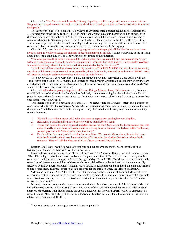Chap. IX:2 - "The Masonic watch words, "Liberty, Equality, and Fraternity: will, when we come into our Kingdom be changed to mean the "right of liberty, the duty of equality, the ideal of brotherhood-that is how we shall put it."

The lecturer then goes on to explain: "Nowadays, if any states raise a protest against us the Satanists and Luciferians who direct the W.R.M. AT THE TOP) it is only proforma at our discretion and by our direction (because they control the policies of ALL governments from behind the scenes)." There is also a statement made which refers to "the management of our lesser brethren." This statement indicates the Directors of the Luciferian conspiracy intended to use Lower Degree Masons as they use Lesser Jewish brethren to serve their own secret plans and sacrifice as many as necessary to serve their own devilish purposes.

Chap. XI: 5-7, says: "we shall keep promising to give back (to the people) all the liberties we have taken away as soon as we have quelled the enemies of peace and tamed all parties. It is not worthwhile to say anything about how long a time they will be kept waiting for the return of their liberties.

"For what purpose then have we invented this whole policy and insinuated it into the minds of the "goys" without giving them any chance to examine its underlying meaning? For what, indeed, if not in order to obtain in a roundabout way what is for our scattered tribe unattainable by the direct road?"

"It is this which has served as a basis for our organization of SECRET MASONRY, which is not known to, and aims which are not even so much as suspected by, these GOY cattle, attracted by us into the "SHOW' army of Masonic Lodges in order to throw dust in the eyes of their fellows."

The above reads as if Jews were directing the conspiracy but we must remember we are dealing with the High Priests of the Synagogue of Satan, The Masters of Deceit, whom Christ told us are them who say they are Jews but are not. Those who serve Satanism all over the world, seeking the ruin of souls, are just as much "the scattered tribe" as are the Jews (Hebrews).

Chap. XV tells what is going to happen to all Lesser Beings, Masons, Jews, Christians, etc. etc., "when we (the High Priests of the Luciferian Creed) at last definitely come into our kingdom by aid of a "coup d'etat" prepared every where for one and the same day, after the worthlessness of all existing forms of government has been definitely acknowledged."

This lecture was delivered between 1873 and 1901. The lecturer told his listeners it might take a century to place those who directed the conspiracy "where NO power or cunning can prevent us usurping undisputed world domination. "He tells his audience that once in power they shall take the following steps to make certain they remain in power:

- 1. We shall slay without mercy ALL who take arms to oppose our coming into our kingdom.
- 2. Belonging to anything like a secret society will be punishable by death.
- 3. Those who having belonged to secret societies has served the S.O.S., are to be disbanded and sent into exile. (Exactly as was done in Russia and is now being done in China.) The lecturer adds, "in this way we will proceed with Masons who know too much."
- 4. Death will be the penalty of all who hinder our affairs. We execute Masons in such wise that none save the Brotherhood can ever have suspicion of it, not even the victims themselves of our death sentence. They will all die when required as if from a normal kind of illness.

Scottish Rite Masons would do well to investigate and expose who among them are secretly of "The Synagogue of Satan." By their fruits ye shall know them.

Because Christ told us Lucifer is the "Father of Lies" and "The Master of Deceit," we will examine General Albert Pike, alleged patriot, and considered one of the greatest doctors of Masonic Science, in the light of his own words, which were never supposed to see the light of day. He said: "The Blue degrees are no more than the outer door of the temple portal. Part of the symbols are explained here to the initiated, but he u intentionally deceived with false interpretations! It is not intended that he understand them, but rather that he imagine himself to understand them. Their true interpretation is reserved for the Initiated Ones, the Princes of Masonry."

"Masonry" continues Pike, "like all religions, all mysteries, hermeticism and alchemies, hide secrets from everyone except the Initiated Sages or Elects, and employs false explanations and interpretations of its symbols to deceive those who deserve to be deceived, and to hide from them the truth, which is called LIGHT and to separate them from it."<sup>19</sup>

It is only when we compare the above statement with the information contained in Pike's letters to Mazzini and others who became "Initiated Sages" and "The Elect" of the Luciferian Creed that we can understand and appreciate the terrible truth hidden behind the above quoted words. The word LIGHT which he emphasized is proved to mean "the TRUE LIGHT of the pure doctrine of Lucifer" as he explained to Mazzini in the letter he addressed to him, August 15, 1871.

 $19$  For confirmation of the above quotation read Preuse AF pp. 12-13.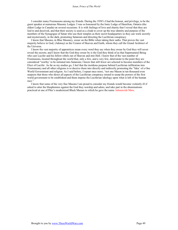I consider many Freemasons among my friends. During the 1930's I had the honour, and privilege, to be the guest speaker at numerous Masonic Lodges. I was so honoured by the Ionic Lodge of Hamilton, Ontario (the oldest Lodge in Canada) on several occasions. It is with feelings of love and charity that I reveal that they are lied to and deceived, and that their society is used as a cloak to cover up the true identity and purpose of the members of the Synagogue of Satan who use their temples as their secret headquarters so they can work secretly and mysteriously, in the dark, promoting Satanism and directing the Luciferian conspiracy.

I know that Masons, in Blue Masonry, swear on the Bible when taking their oaths. That proves the vast majority believe in God, (Adonay) as the Creator of Heaven and Earth, whom they call the Grand Architect of the Universe.

I know the vast majority of apprentices mean every word they say when they swear by God they will never reveal the secrets; and I know that the God they swear by is the God they think of as that Supernatural Being who cast Lucifer and his fellow rebels out of Heaven and into Hell. I know that of the vast number of Freemasons, located throughout the world that, only a few, and a very few, deteriorate to the point they are considered "worthy' to be initiated into Satanism; I know that still fewer are selected to become members of the Elect of Lucifer. As far as my studies go, I feel that the insidious purpose behind Luciferian infiltration into Freemasonry and all other religions is to deceive them into directly and indirectly promoting the "Idea' of a One World Government and religion. As I said before, I repeat once more, "not one Mason in ten thousand even suspects that those who direct all aspects of the Luciferian conspiracy intend to usurp the powers of the first world government to be established and them impose the Luciferian ideology upon what is left of the human race."

I know that some of the very fine Masons I am proud to consider my friends would become violently ill if asked to utter the blasphemies against the God they worship and adore, and take part in the abominations practiced at one of Pike's modernized Black Masses to which he gave the name Adonaicide Mass.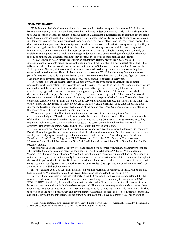## **ADAM WEISHAUPT**

With deceit as their chief weapon, those who direct the Luciferian conspiracy have caused Catholics to believe Freemasonry to be the main instrument the Devil uses to destroy them and Christianity. Using exactly the same deception Masons are taught to believe Roman Catholicism is Luciferianism in disguise. By the same token Communists are taught they are the champions of "democracy" while the people of the so-called remaining democratic nations are being convinced Communism is the root of all evil and the main threat towards the destruction of their governments and religions. Thus those who direct the Luciferian conspiracy kept the Goyim divided among themselves. They shift the blame for their own sins against God and their crimes against humanity and place it where they find it most convenient. In a most remarkable manner, which can only be explained by the power of the Devil, they manage to deflect towards others the finger of suspicion whenever it is pointed at them and, generally speaking, they preserve the secrecy of their motives and identity.

The Synagogue of Satan directs the Luciferian conspiracy. History proves the S.O.S. has used ALL internationalist movements organized since the beginning of time to further their own secret plans. The Bible tells us the 'idea' of a one world government was introduced to Solomon ten centuries before Christ was born. As happened to Nazism, all international movements are made to destroy themselves as soon as they have served the Luciferian cause. Thus it is that the few, who direct the World Revolutionary Movement move peacefully nearer to establishing a totalitarian state. They make those they plot to subjugate, fight, and destroy each other, their governments, and religions because they stand as obstacles in their path.

The "Protocols" are the original draft of the plan by which the Synagogue of Satan intend to obtain undisputed world domination. The Protocols are, as the saying goes, as old as the His. Weishaupt simply revised and modernized them in order that those who comprise the Synagogue of Satan may take full advantage of rapidly changing conditions, and the advances being made by applied science. The manner in which the discovery of atomic energy is being used to frighten the masses into accepting the "idea' that a One World Government is the only solution to the world's many problems is typical of what I mean. Those who direct the conspiracy carefully conceal, from those they use to serve their devilish purpose, the fact that in the final stage of the conspiracy they intend to usurp the powers of the first world government to be established, and then impose the Luciferian ideology upon what remains of the human race. Once One Worlders are enlightened in this regard, they will reject internationalism in any form.

Weishaupt organized the Illuminati to put his revised version of the conspiracy into effect. He also established the lodges of Grand Orient Masonry to be the secret headquarters of the Illuminati. When members of the Illuminati infiltrated into other secret organizations, including Continental or Blue Freemasonry, they organized their own secret society within the lodges of the secret society into which they infiltrated. The ordinary, "Imperfect", members were, and still are, kept in ignorance of this fact.

The most prominent Satanists, or Luciferians, who worked with Weishaupt were the famous German author Zwack, Baron Knigge, Baron Bassus-inSandersdorf, the Marquis Constanza and Nicolai. In order to hide their identity, and real purpose, Weishaupt and his lieutenants used code names.<sup>20</sup> Weishaupt was "Spartacus"; Zwack was "Cato"; Baron Knigge was "Philo"; Bassus was "Hannibal;" The Marquis Constanza was "Diomedes;" and Nicolai the greatest scoffer of ALL religions which teach belief in a God other than Lucifer, became "Lucian."

Cities in which Grand Orient Lodges were established to be the secret revolutionary headquarters of those who directed the conspiracy also received code names. Thus Munich became "Athens;" Vienna became "Rome;" etc. It was an accident, or an "Act of God" which exposed these secrets. Zwack had put Weishaupt's notes into orderly manuscript form ready for publication for the information of revolutionary leaders throughout the world. Copies of this Luciferian Bible were placed in the hands of carefully selected trustees to ensure that some would survive if government authorities seized other copies. One copy was entrusted to the care of Prof. John Robison of Edinburgh University.

In 1784, another copy was sent from Frankfort-on-Main in Germany to Mirabeau in Paris, France. He had been selected by Weishaupt to foment the French Revolution scheduled to break out in 1789.

Very few historians seem to realized that early in the 1700's, long before Weishaupt was retained, by the newly formed House of Rothschild, to revise and modernize the age old conspiracy to bring about a ONE WORLD GOVERNMENT, the so-called "Internationalists" had infiltrated into America. The works of those historians who do mention this fact have been suppressed. There is documentary evidence which proves these subversives were active as early as 1746. They celebrated May 1, 1776 as the day on which Weishaupt finished the revision of the age old conspiracy and gave the name "Illuminati" to those selected to direct the conspiracy, and put his revised plans into effect. Millions upon millions of people have celebrated May Day ever since,

 $20$  This practice continues to the present day as we proved in the story of the secret meetings held on Jekyl Island, and St. Simon island, published in *Pawns in the Game*, and *The Red Fog Over America*.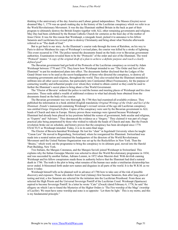thinking it the anniversary of the day America and Labour gained independence. The Masses (Goyim) never dreamed May 1, 1776 was an epoch making day in the history of the Luciferian conspiracy which we refer to as the World Revolutionary Movement. It was the day Illuminati stabbed Britain in the back as part of their program to ultimately destroy the British Empire together with ALL other remaining governments and religions. May Day had been celebrated by the Roman Catholic Church for centuries as the feast day of the mother of Jesus Christ. It was for this reason that Weishaupt, a renegade Jesuit, picked it to announce to his fellow Satanists and Luciferians his revised plan to destroy Christianity and bring about what Nietzche afterwards referred to as "The death of God."

But to get back to our story. As the Illuminati's courier rode through the town of Ratisbon, on his way to Paris to deliver Mirabeau his copy of Weishaupt's revised plans, the courier was killed by a stroke of lightning. This event occurred in 1784. The police turned the documents found on the body over to Bavarian government authorities. Examination revealed them to be the "Protocols" of the order and sect of the Illuminati. The word "Protocol" means: "*A copy of the original draft of a plan to achieve a definite purpose and reach a clearly defined goal*".

The Bavarian government had got hold of the Protocols of the Luciferian conspiracy as revised by Adam Weishaupt between 1770 and 1776. They knew how Weishaupt intended to use "The Order and Sect of the Illuminati" to put his modernized plans into effect. The documents further disclosed that the Lodges of the Grand Orient were to be used as the secret headquarters of those who directed the conspiracy, to destroy all remaining governments and religions, throughout the world. They also revealed that the Illuminati intended to infiltrate into all other secret societies, but particularly into Continental (Blue) Freemasonry, for the purpose of contacting wealthy and influential people over whom they wished to obtain control so they could be used to further the Illuminati's secret plans to bring about a One World Government.

The "Elector of Bavaria' ordered the police to raid the homes and meeting places of Weishaupt and his close associates. These raids added a wealth of additional evidence to what had already been obtained from the documents found on the body of the courier.

The Bavarian government was very thorough. By 1786 they had examined all available evidence. They published the information in a book entitled (English translation*) Original Writings of the Order and Sect of the Illuminati*. Zwack's manuscript containing Weishaupt's revised version of the age old Luciferian conspiracy was entitled *Einige Originalschriften*. Copies of the conspiracy were sent by the Bavarian government to ALL heads of Church and state in Europe. History proves these warnings were ignored because Weishaupt's Illuminati had already been placed in key positions behind the scenes of government, both secular and religious, as "Experts" and "Advisers." They denounced the evidence as a "forgery." They claimed it was part of a huge practical joke being perpetrated by those who wished to ridicule the heads of Church and state. But the French revolution broke out on schedule, and history proves that the conspiracy has been developed since 1776 EXACTLY as Weishaupt intended. Today, it is in its semi-final stage.

The Elector of Bavaria banished Weishaupt. He lost his "chair" in Ingolstadt University where he taught "Canon Law" He moved to Regensburg, Switzerland, where he reorganized his Illuminati. Switzerland was made into a neutral nation and remained the headquarters of the directors of the World Revolutionary Movement until the United Nations Organization was set up by the Rockefellers in New York. Then the "Brains," which work out the programme to bring the conspiracy to its ultimate goal, moved into the Harold Pratt Building, New York.

Two Italians, the Marquis Constanza, and the Marquis Savioli joined Weishaupt in Switzerland. This explains why the Italian Guiseppe Mazzini was selected to direct the World Revolutionary programme in 1834; and was succeeded by another Italian, Adriano Lemmi, in 1872 when Mazzini died. With devilish cunning Weishaupt and his fellow conspirators made those in authority believe that the Illuminati had died a natural death in 1786. The truth is the plot to bring what remains of the human race under a totalitarian dictatorship has never ended. It blossomed forth under new names and disguises in all parts of the world. It is the W.R.M. as we know it today.

Weishaupt himself tells us he planned well in advance of 1786 how to take care of the risk of possible discovery and exposure. Those who defect from God (Adonay) first become Satanists, then after long years of testing and trial, a few Satanists are selected for the initiation into the Luciferian Priesthood. From these are selected the High Priests and the Universal Sovereign Pontiff of the Luciferian Creed. Weishaupt (Spartacus) aspired to become Sovereign Pontiff. In a letter he wrote "Cato" (Zwack) dated February 6, 1778, he said "the allegory on which I am to found the Mysteries of the Higher Orders is 'The Fire-worship of the Magi' (worship of Lucifer). We must have some worship and none is so apposite- 'Let there be light.' This is my motto, and this is my fundamental principle."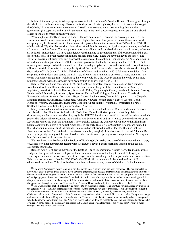In March the same year, Weishaupt again wrote to his friend "Cato" (Zwack). He said: "I have gone through the whole circle of human inquiry. I have exorcised spirits.<sup>21</sup> I raised ghosts; discovered treasures; interrogate the Cabale; $^{22}$  I have never transmuted metals. I would have executed much greater things had not the government (his superiors in the Luciferian conspiracy at the time) always opposed my exertions and placed others in situations which suited my talents."

Weishaupt was literally as proud as Lucifer. He was determined to become the Sovereign Pontiff of the Luciferian Creed. He was determined to be placed higher than any other person in this or the celestial world, excepting only his beloved Lucifer. This statement is proved by a letter he wrote "Cato" (Zwack) in 1778. He told his friend: "By this plan we shall direct all mankind. In this manner, and by the simplest means, we shall set all in motion and in flames. The occupations must be so allotted and contrived, that we may, in secret, influence all political "transactions".... I have considered everything, and so prepared it, that if the Order should this day go to ruin, I shall in a year reestablish it more brilliant than ever." There we have the key to the secret. The Bavarian government discovered and exposed the existence of the continuing conspiracy, but Weishaupt built it up and made it stronger than ever. All the Bavarian government actually did was prune the Tree of Evil and make it grow stronger. What they should have done was dig it up by the roots and burn it as the Holy Scriptures tell us we must do if we wish to destroy the Spiritual Forces of Darkness who roam about this world seeking the destruction of Souls (Matt. 7: 15-24). If the heads of Church and state had in 1786 followed the advice of the scriptures and cut down and burned the Evil Tree, of which the Illuminati is only one of many branches, "the womb would have forgot him (Weishaupt); the worm would have fed sweetly on him; he would be no more remembered; and wickedness would have been broken as an evil tree." (Job 24:20)

Before Weishaupt was banished in 1786, his 2,000 well educated, carefully selected, brilliant-minded, wealthy and well bred Illuminists had established one or more Lodges of the Grand Orient in Munich, Ingolstadt, Frankfort, Echstadt, Hanover, Brunswick, Calbe, Magdeburgh, Cassel, Osnabruck, Wiemar, Saxony, Heidelbergh, Mannheim, Strasbourg, Spire, Worms, DusseldorfF, Cologne, Bonn, Livonia, Courtland, Franendahl, Alsace, Wienne, Deuxponts, Hesse, Cousel, Buchenwerter, Treves, Montpelier, Aix-la-Chapelle, Stuttgart, Barschied, Carlsruhe, Hahrenberg, Anspach, Neuweid, Mentz, Rome, Naples, Ancona, Turin, Florence, Warsaw, and Dresden. There were Lodges in Upper Saxony, Westphalis, Switzerland, France, Scotland, Holland, and last but by no means least, America.

Many, so-called, authorities have, since 1786, tried to convince the heads of Church and state in America and elsewhere that Illuminism is dead as the Dodo bird. These Luciferians produce what they claim is documentary evidence to prove what they say is the TRUTH, but they are careful to conceal the evidence which proves that Albert Pike reorganized the Palladian Rite between 1859 and 1889 to take over the direction of the Luciferian conspiracy from the Illuminati. They carefully conceal the evidence which proves that Illuminism began to stink in the nostrils of honest Americans. In the early 1800's 45,000 Scottish Rite masons handed in their charters in protest against the manner Illuminism had infiltrated into their lodges. This it is that few Americans know that Pike established twenty-six councils (triangles) of this New and Reformed Palladian Rite in every large city throughout the world to direct the Luciferian conspiracy as Weishaupt intended. We explain how this plot worked in another chapter.

We mentioned that Professor John Robison of Edinburgh University was one of those entrusted with a copy of Zwack's original manuscripts dealing with Weishaupt's revised and modernized version of the age old Luciferian conspiracy.

Robison was a 33rd degree member of the Scottish Rite of Freemasonry. As such he visited most Masonic Lodges in European cities, and took part in their rituals and initiations. He taught Natural Philosophy at Edinburgh University. He was secretary of the Royal Society. Weishaupt had been particularly anxious to obtain Robison's cooperation so that the "IDEA" of a One World Government could be introduced into ALL educational institutions. This objective has since been achieved as any parent of children of school age must

 $21$  The word "exorcised" means to expel a devil or devils from a person who has been possessed. The scriptures tell us how Christ cast out devils. But Satanists invite devils to enter into, and possess, their mediums and through them to speak to those who seek knowledge or advice from Satan and/or Lucifer. After the medium has served their purpose, the High Priests of the Synagogue of Satan then "exorcised" the devils from that person's body, and he or she becomes normal again. It is this practice which caused the Synagogue of Satan which wished to discredit Christ, to accuse him of casting out devils in the name, and through the powers of Beelzebub the Prince of Devils and not by the power of God. (Luke 11:14-15)<br><sup>22</sup> The Cabale (often spelled differently) as referred to by Weishaupt means "The Spiritual Powers headed by

the celestial world:" the Holy Scriptures refer to them "As the spiritual Powers of Darkness." Human beings who direct the Luciferian cause often consult their spiritual directors in the celestial world, in exactly the same way as millions of Christians believe in the Communion of the Saints and pray to them to intercede with God on their behalf for spiritual insight and blessings. Mackenzie King while Prime Minister of Canada repeatedly tried to obtain advice and guidance from people who had already departed from this life. Pike is on record as having done so repeatedly also; the best recorded instance is his own report of the seance he personally conducted in St. Louis as reported elsewhere. Thus we see that "Truth" is much stranger than any fiction ever written.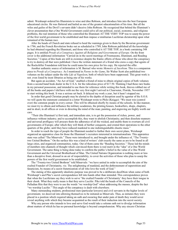admit. Weishaupt ordered his Illuminists to wine and dine Robison, and introduce him into the best European educational circles. He was flattered and hailed as one of the greatest educationalists of his time. But all the wiles and guiles of the Devil's servants didn't deceive John Robison. He recognized that behind the Illuminati's clever presentation that a One World Government could solve all our political, social, economic, and religious problems, the real intention of those who controlled the Illuminati AT THE VERY TOP was to usurp the power of the first world government to be established and then impose a totalitarian Luciferian dictatorship upon what remained of the human race.

After the heads of Church and state refused to heed the warnings given to them by the Bavarian government in 1786, and the French Revolution broke out as scheduled in 1789, John Robison published all the knowledge he had obtained regarding the Illuminati, and those who controlled it AT THE TOP, in a book containing 548 pages. It is entitled *Proofs of a Conspiracy Against all Religions and Governments of Europe*. On the front cover is the additional information "Carried on in the secret meetings of Freemasons, Illuminati, and Reading Societies." Copies of this book are still in existence despite the frantic efforts of those who direct the conspiracy to try to destroy all that were published. I have the written statement of a friend who owns a copy that agents of the Rockefeller Foundation told him he could name his own price for his copy. He rejected the offer.

Another authentic source of information is M. Barruel who wrote *Memoirs of Jacobism*. This is a companion piece to *Proofs of a Conspiracy*. As I mentioned in *Pawns in the Game*, Sir Walter Scott also published two volumes on the subject under the title *Life of Napoleon*, both of which have been suppressed. This great work is not. even listed by most libraries as being one of his works.

But again an accident, "An Act of God," enabled a friend of mine to obtain original copies of both volumes from a second hand book dealer in the U.S.A. for the ridiculous price of \$17.50. Thinking I had these rare books in my personal possession, and intended to use them for reference while writing this book, thieves robbed me of all the books and papers I did have with me the very first night I arrived in Clearwater, Florida, November 1957 to start writing this book. It was a serious set back. It delayed my work a year, but it hasn't stopped me.

In order that good Christian people may be alerted to the depths of deception used by agentur of the S.O.S. we will quote the statement contained in a letter Weishaupt wrote to Philo (Knigge): "We must win (control over) the common people in every corner. This will be obtained chiefly by means of the schools. In like manner, we must try to obtain and influence the military academies, the printing houses, booksellers, shops, chapters, and in short, in all offices or even in directing the mind of the man; painting, and engraving are highly worth our care.

"Their (the Illuminati's) first task, and immediate aim, is to get the possession of riches, power, and influence without industry; and to accomplish this, they want to abolish Christianity; and then dissolute manners and universal profligacy will procure them the adherence of all the wicked, and enable them to overturn all civil governments of Europe; after which they will think of further conquests, and extend their operations to the other quarters of the globe; until they have reduced mankind to one indistinguishable chaotic mass."

In order to reach the type of people the Illuminati needed to further their own secret plans, Weishaupt organized an apprentice class for those the Illuminati's recruiters interested in internationalism. This apprentice state was called "The Minervals." These were introduced to, and brought under the influence of, "The Twentytwo United Brethren." On the surface this was a kind of writers' club exactly the same as are to be found in all large cities, and organized communities, today. Out of them came the "Reading Societies." These led the minds of members into channels of thought which convinced them there is real merit in the "idea" of a One World Government. The same thing is being done today to confirm the public's belief in the value of a One World Government and the Universal Brotherhood of Man. The United Nations Organization is nothing more or less than a deceptive front, dressed in an air of respectability, to cover the activities of those who plan to usurp the powers of the first world government to be established.

The "Twenty-two United Brethren" told Minervals: "we have united in order to accomplish the aim of the exalted Founder of Christianity, viz. The enlightening of mankind, and the dethronement of superstition and fanaticism, by means of a secret fraternization of all who love the work of God."

The stating of this apparently idealistic purpose was proved to be a deliberate deceDtion when some of both Weishaupt's and Pike's secret correspondence fell into hands other than intended. This correspondence proves that when the Luciferians say they wish to serve "the exalted Founder of Christianity' they have their tongue in their cheek. What they really mean is that they serve Lucifer. Pike told the heads of the Councils of the Palladian Rite that they were to use the words "we worship God" when addressing the masses, despite the fact "we worship Lucifer." This angle of the conspiracy is dealt with elsewhere.

Many outstanding students, professional men (particular lawyers) and civil servants in the higher levels of government, we deceived into allowing themselves to be initiated as Minervals. Thus, as initiates they were placed in a position which required taking an oath and swearing that under pain of death they would never reveal anything with which they became acquainted as the result of their induction into the secret society.

Why any person who intends to love and serve God would take a solemn oath not to divulge information about matters of which he has no personal knowledge is beyond comprehension. Why any sincere Christian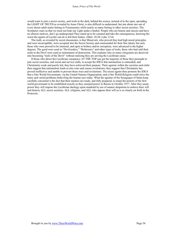would want to join a secret society, and work in the dark, behind the scenes, instead of in the open, spreading the LIGHT OF TRUTH as revealed by Jesus Christ, is also difficult to understand, but just about one out of every dozen adult males belong to Freemasonry while nearly as many belong to other secret societies. The Scriptures warn us that we must not hide our Light under a bushel. People who are honest and sincere and have no ulterior motives, don't go underground They stand up to be counted and take the consequences, knowing the worst the agents of Lucifer can do is kill their bodies. (Matt. 10:28; Luke 12:4)

The truth, as revealed by secret documents, is that Minervals, who proved they had high moral principles and were incorruptible, were accepted into the Secret Society and commended for their fine ideals; but only those who were proved to be immoral, and open to bribery and/or corruption, were advanced to the higher degrees. The good were used as "Do-Gooders," "Reformers" and other types of tools; those who had sold their souls to the Devil were used as instruments of destruction. This explains why so many clergymen are deceived into becoming "tools of the Devil" without realizing they are serving the Luciferian cause.

If those who direct the Luciferian conspiracy AT THE TOP can get the majority of those they persuade to join secret societies, and social and service clubs, to accept the IDEA that nationalism is outmoded; and Christianity weak and poorly led, they have achieved their purpose. Their agentur within the societies and clubs then suggest that nationalism leads us into wars and causes revolutions; they suggest that Christianity has proved ineffective and unable to prevent these wars and revolutions. The secret agents then promote the IDEA that a One World Government, via the United Nations Organization; and a One World Religion could solve the many and varied problems bedeviling the human race today. What the agentur of the Synagogue of Satan keep carefully concealed is the fact that their masters are ready, and fully prepared, to usurp the powers of the first world government to be established exactly as they usurped power in Russia in October 1917. After they usurp power they will impose the Luciferian ideology upon mankind by use of satanic despotism to enforce their will and destroy ALL secret societies, ALL religions, and ALL who oppose their will as is so clearly set forth in the Protocols.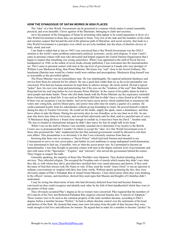## **HOW THE SYNAGOGUE OF SATAN WORKS IN HIGH PLACES**

The "idea" of a One World. Government can be presented in a manner which makes it sound reasonable, practical, and even desirable. Clever agentur of the Illuminati, belonging to clubs and societies,

serve the purpose of the Synagogue of Satan by presenting what appear to be sound arguments in favor of a One World Government to those they can persuade to listen. Very few of the rank and file members of the clubs and societies suspect that beyond the end of the primrose path of liberalism, and social security, that leads to a One World Government is a precipice over which we are to be tumbled, into the abyss of absolute slavery of body, mind, and soul.

I am frank to admit that as late as 1945 I was convinced that a One World Government was the ONLY solution to the world's many problems particularly political, economic, social, and religious. It wasn't until I came in personal contact with men who advocated and helped organize the United Nations Organization that I began to suspect that something was wrong somewhere. When I was appointed to the staff of Naval Service headquarters in 1944, as the author of seven books already published, I was welcomed into the internationalist set. This I came in personal contact with men in the top level of government in Canada who were protégés of William Lyon Mackenzie King, then Prime Minister. His house was "real" close to the Soviet Embassy. His henchmen (Hatchet men would be a better word) were ruthless and unscrupulous. Mackenzie King himself was as inscrutable as the proverbial sphinx.

The Prime Minister was an extraordinary man. He was indefatigable. He required unlimited obedience and service from those he selected for his cabinet. He was a good deal colder than ice as far as his personality was concerned. If he had any human emotions he kept them in subzero storage. He rarely smiled. He had a typical "poker" face; his eyes were deep and penetrating, but if the eyes are the "windows of the soul" then Mackenzie King had lost his soul long before he ever became Prime Minister. In the course of his public duties he had to meet people and shake hands. Those who did shake hands with the Prime Minister say the experience reminded them of picking up a dead fish. It was said on Parliament Hill that he didn't have a close friend in all the world. If there was an exception it was his barber. And yet he had a secret power which enabled him to mesmerize the voters into voting him, and his liberal party, into power time after time for nearly a quarter of a century. He could command loyalty from his subordinates without giving friendship in return. He proved himself a radical during his days at Toronto University. He would set the tinder, supply the spark, cause a disturbance, and then leave others to take the blame. During his university days he was friendless, as he was later on in life. As one man who knew him when at University, and served him afterwards until he died, said in a puzzled tone of voice; "If Mackenzie King did have a friend close enough to confide in, it must have been the Devil." Another said: "He was so steeped in international intrigue he didn't dare marry for fear he might talk in his sleep."

While I was on the staff in Ottawa I was carefully sounded out to determine if my loyalty to the British Crown was so pronounced that I wouldn't be likely to accept the "idea' of a One World Government even if those who presented the "idea' emphasized the fact that national governments would be allowed to rule their own affairs. This presentation is so obviously a lie that I was extremely cautious from then on.

Knowing that there was in existence a "Secret Power" which had used Nazism and intended to use Communism to serve its own secret plans, and further its own ambitions to usurp undisputed world domination, I was determined to find out, if possible, who or what the secret power was. So I pretended to become an internationalist. I was then brought in personal contact with men at the deputy minister level of government, and also with some of the "Specialists," "Experts," and "Advisers" who served the government behind the scenes. Then I began to suspect the truth.

Generally speaking, the majority of these One Worlders were Satanists. They ducked attending church services. They ridiculed religion. The accepted the Freudian code of morals which means they didn't care what they did, or with whom they did it, provided they satisfied their own carnal pleasures and desires. If they used the name of God they always took His Name in vain. If they used the words "Jesus Christ" it was an injection in ordinary conversations or coupled with dirty four letter words. Without openly professing the fact, they were obviously adepts of Pike's Palladian Rite or Grand Orient Masonry. Close observation while they were drinking in the officers' messes, and elsewhere, showed they used signs that Masons and Knights of Columbus didn't understand.

I may be wrong but observation of men who had obviously defected from God and become Satanists, convinced me they could recognize and identify each other by the fold of their handkerchief which they wore in top pocket of their coats.

They obviously accepted Pike's dogma as far as women were concerned: Pike required that the members of all Councils of his New and Reformed Palladian Rite organize selected females into "Councils of Adoption." These women were to be used as the common property of the male members because, according to Pike's dogma, before a member became "Perfect," he had to obtain absolute control over the sentiments of the heart and desires of the flesh. He claimed that many men were led astray from the path of duty because they were weak enough to feel love and affection for women. He argued that in order for a member to become "perfect" he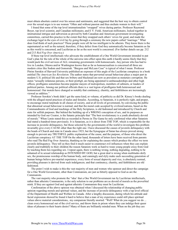must obtain absolute control over his senses and sentiments, and suggested that the best way to obtain control over the sexual urges is to use women "Often and without passion and thus enchain women to their will."

I found that some of the top level internationalists "swapped" wives during parties. Professor Raymond Boyer, top level scientist, and Canadian millionaire, and E V. Field, American millionaire, locked together in international intrigue and subversion as proved by both Canadian and American government investigating committees, carried this practice to the extent that they swapped each others' wives for good, and made the exchange legal in the eyes of civil lay by going through a ceremony the new papers called "marriage." What does God think of such practices? These people were all far too intelligent to be atheists. They know there is the supernatural as well as the natural, therefore, if they defect from God they automatically become Satanists as far as this world is concerned, and Luciferian as far as the next world is concerned. (For further details see pp. 212 and 213 *Red Fog Over America*.)

If these top level intellectuals who advocate the establishment of a One World Government intended to put God's plan for the rule of the whole of the universe into effect upon this earth it hardly seems likely that they would pack the civil services of ALL remaining governments with homosexuals. Any person who has had to live in London, Ottawa and/or Washington knows that as far as homosexualism is concerned all three are modern cities like Sodom and Gomorrah. "Burgess and McLean Case" is typical of what I mean. Professor Pitrim Sorokin of Harvard University published an exposure of this angle of the Luciferian conspiracy in a book entitled *The American Sex Revolution*. The author states that perverted sexual behaviour plays a major part in modern U.S. political life and that sex bribery and blackmail are now as prevalent as monetary corruption. He states "sexually infamous persons, or their prot6g6, are being appointed to ambassadorships and other high offices; profligates sometimes become popular mayors of metropolises, members of cabinets, or leaders of political parties. Among our political officials there is a vast legion of profligates both heterosexual and homosexual. Our morals have changed so notably that continency, chastity, and faithfulness are increasingly viewed as oddities."

Professor Sorokin's book didn't get the same kind, or volume, of publicity as did Dr. Kinsey's books dealing with the alleged moral practices of males and females. According, to Satanism, it is perfectly right, and proper, to encourage moral turpitude in all classes of society, and at all levels of government, by convincing the public that abnormal sexual behaviour is normal; and that the moral code accepted by civilized nations, based on the Commandments of God and teachings of the Holy Scriptures, is old fashioned and introduced by Church and state for selfish purposes. But behind the building up of a WRONG conception of sex, and its purposes as intended by God our Creator, is the Satanic principle that "The best revolutionary is a youth absolutely devoid of morals." When Lenin stated this as recorded in Pawns in The Game he only confirmed what other Satanists had stated a hundred times previously. It is Satanism, as it is direct from THE TOP, which is responsible for the increase in juvenile delinquency, but those selected by the governments of the world to investigate this problem invariably give every CAUSE other than the right one. I have discussed the causes of juvenile delinquency with the heads of Church and state in Canada since 1923, but the Synagogue of Satan has always proved strong enough to prevent any TRUTHFUL public explanation of the cause, and the purpose, of those who direct the Luciferian conspiracy AT THE TOP On the other hand, thousands of letters have been received from parents who read The Red Fog Over America, thanking us for explaining the causes which produce the effect we term juvenile delinquency. They tell us they find it much easier to counteract evil influences when they can explain clearly and truthfully to their children the reason Satanists work so hard to wean young people away from God by teaching them lies regarding sex. I repeat again, there is nothing wrong, nothing degrading, nothing to be ashamed of in sexual relationship as INTENDED BY GOD, but a great deal is wrong when multitudes deify sex, the promiscuous worship of the human body, and cunningly and slyly make each succeeding generation of human beings believe pre-marital experience, every form of sexual depravity and vice, is absolutely normal, providing pleasure is derived from such indulgences; and that continency, chastity, and faithfulness are old fashioned.

The point I wish to make is this-the vast majority of men and women who sponsor and direct the campaign for a One World Government, other than Communism, are just as bitterly opposed to God as are the Communists.

The vast majority who promote the "idea' that a One World Government run by Luciferian intellectuals, rather than atheistic Communists, is the only solution to our problems are as devoid of morals as the proverbial mink. If they are against God and against atheistic Communism they must be Luciferian.

Confirmation of the above opinion was obtained when I discussed the relationship of changing public opinion regarding morals and spiritual values, and the increase of juvenile delinquency with a top level official of the Department of Health and Welfare in Canada. After a lengthy discussion, during which his attitude and facial expression showed he found it hard to believe that a man of my experience could still place spiritual values above material considerations,. my companion literally snorted: "Well! What do you suggest we do ... clean every homosexual out of the civil service, and throw them in prison where they can indulge their queer ideas of pleasure to their hearts desire? Many of them are brilliantly minded men. When on the job they are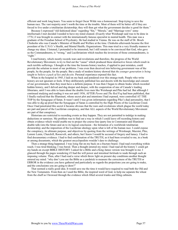efficient and work long hours. You seem to forget Oscar Wilde was a homosexual. Stop trying to save the human race. The vast majority aren't worth the time or the trouble. Most of them will be better off if they are forced to live under a totalitarian dictatorship; they will then get what the government decides is good for them."

Because I expressed "old fashioned ideas" regarding "Sin," "Morals," and "Marriage vows" some intellectuals I met decided I needed to have my mind cleaned. (Exactly what Weishaupt said was to be done in 1776.) I was brought in contact with the internationally famous specialist in mental health. This man was a graduate of the Freudian School of Psychiatry. He had studied in Vienna. He was on the staff of Dr. Broch Chisholm who was Canada's Minister of Health and Welfare at the time. Chisholm afterwards became the first president of the U.N.O.'s Health, and Mental Health, Organizations. This man tried in a very friendly manner to change my ideas. I listened, I pretended to be interested, but I still remain to be convinced that God, who gave us the Commandments, is "wrong," and Luciferianism which teaches the inversion of those commandments, is "right."

I read history, which mostly records wars and revolutions and therefore, the progress of the World Revolutionary Movement, to try to find out the "cause" which produced these destructive forces which result in such terrible sufferings. I thought at the time the lessons history teaches, if applied to past mistakes, could provide the solution to most of our problems. I was even then deceived into believing government was of the people, by the people, for the people. But a study of modern history showed that *the younger generation is being taught to believe a pack of lies and deceits*. Personal experience exposed this fact.

When in the hospital in 1945, I laid on my back and pondered over this strange truth. People who write history are not ignorant or fools. If they deliberately published lies and deceits with the knowledge and consent of our governments, then they must have a definite purpose. It was then I began to obtain books which recorded hidden history, and I delved and dug deeper and deeper, with the cooperation of one of Canada's leading librarians, until I was able to learn about the double lives men like Weishaupt and Pike had led. But although I continued studying and reading it was not until 1956, AFTER *Pawns* and *The Red Fog* had been published, that I finally realized that the Illuminati, whose secret plot and intentions I had exposed, were controlled AT THE TOP by the Synagogue of Satan. It wasn't until I was given information regarding Pike's dual personality, that I was able to dig up proof that the Synagogue of Satan is controlled by the High Priests of the Luciferian Creed. Once I had penetrated this secret it became obvious that the wars and revolutions which plague the world today are part and parcel of the Luciferian conspiracy, and that ALL aspects of the World Revolutionary Movement are part of that conspiracy.

Historians are restricted to recording events as they happen. They are not permitted to indulge in making deductions or surmises. My problem was to find out a way in which I could leave off recording history and obtain evidence which would enable me to project the course-line (party line in Communist and Illuminist double talk) into the future and on to its logical conclusion - the formation of a worldwide totalitarian dictatorship; and the imposition of the Luciferian ideology upon what is left of the human race. I could expose the conspiracy, its ultimate purpose, and objectives by quoting from the writings of Weishaupt, Mazzini, Pike, Lemmi Lenin, Churchill, Roosevelt, and others, but I knew I would be accused of forgery and lunacy. I had to find documentary evidence. I had to find confirmation of the TRUTH, as it had been revealed to me, in a book or among documents, which the greatest encyclopedists wouldn't dare to challenge.

Then a strange thing happened. I was lying flat on my back on a fracture board. I had read everything within reach; I was tired thinking; I was bored. Then a thought entered my mind. I had read all the history 1 could get my hands on except BIBLE HISTORY I asked for a Bible and a King James version was brought to me. I glanced through the pages wondering if I had the will power and intestinal fortitude to wade through such an imposing volume. Then, after I had read a verse which threw light on present day conditions another thought entered my mind: "why don't you use the Bible as a yardstick to measure the correctness of the TRUTH or ERROR in the evidence you have gathered and particularly as regards the projections you are going to make, and the conclusions you are going to draw?"

That seemed a really good idea. It would save me the time it would have required to read both the Old and the New Testaments. From then on I used the Bible, the inspired word of God, to help me separate the wheat from the chaff as I browsed through the evidence which filled several trunks and filing cabinets.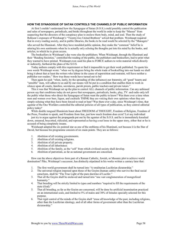## **HOW THE SYNAGOGUE OF SATAN CONTROLS THE CHANNELS OF PUBLIC INFORMATION**

At first I couldn't understand how the Synagogue of Satan (S.O.S.) could possibly control the publication and sales of newspapers, periodicals, and books throughout the world in order to keep the "Masses" from suspecting that the directors of the conspiracy plan to enslave them body, mind, and soul. Then the study of Robison's exposure of Weishaupt's "Twenty-two United Brethren" solved that problem. Weishaupt required that in every reading society, and in public libraries, the books to be read would be selected by the "Managers"

who served the Illuminati. After they have moulded public opinion, they make the "common" belief he is uttering his own sentiments when he is actually only echoing the thoughts put into his mind by the books, and articles, to which he is given access.

The booksellers in Weishaupt's day were also the publishers. When Weishaupt, through the Illuminati and their "Reading Societies," controlled the reading of the public, the publishers and booksellers, had to print what they wanted to have printed. Weishaupt even used his plan to FORCE authors to write material which directly or indirectly, furthered the plans of the S.O.S.

Today authors comply with this requirement or find it impossible to get their work published. To quote his own words Weishaupt wrote: "when we by degrees bring the whole trade of bookselling into our hands we shall bring it about that at least the writers who labour in the cause of superstition and restraint, will have neither a publisher nor readers." How true those words have turned out to be!

Then again he said: "when, lastly, by the spreading of (the influence) our fraternity, all "good" hearts and "sensible" men, will adhere to us and by our means will be put in a condition that enables them to work in silence upon all courts, families, secretaries, parish priests, public teachers and private tutors."

This it was that Weishaupt set up the plan to control ALL channels of public information. Can any unbiased person say that conditions today do not prove that newspapers, periodicals, books, play, TV. and radio only tell the public what those who direct the Synagogue of Satan want the public to know? Was there ever a time when men and women over beer, liquor, and cocktails THINK they are voicing their own opinions when they are simply echoing what they have been forced to read or hear? Was there ever a day, since Weishaupt's time, that agentur of the One Worlders controlled the editorial policies of all types of publication, as they control editorial policy today?

While double tongued Illuminists boast about FREEDOM of THOUGHT, Freedom of Religion, Freedom of the Press, Freedom to speak, and Freedom from fear, just how much freedom does exist? Let any individual

just try to argue against the propaganda put out by the agentur of the S.O.S. and he is immediately knocked down, smeared, boycotted, ridiculed, and represented as having a nut loose in the upper story, either that or he is accused of being completely insane.

Weishaupt adopted the six pointed star as one of the emblems of his Illuminati, not because it is the Star of David, but because his programme consists of six main points. They are as follows:

- 1. Abolition of all existing governments.
- 2. Abolition of all existing religions.
- 3. Abolition of all private property.
- 4. Abolition of all inheritance.
- 5. Abolition of the family, as the "cell" from which civilized society shall develop.
- 6. Abolition of patriotism, as far as national government are concerned.

How can the above objectives form part of a Roman Catholic, Jewish, or Masonic plot to achieve world domination? Pike, Weishaupt's successor, has distinctly stipulated in his works written a century later that:

- 1. The first world government shall be turned into "A totalitarian Luciferian dictatorship."
- 2. The universal religion imposed upon those of the Goyim (human cattle) who survive the final social cataclysm, shall be "The True Light of the pure doctrine of Lucifer."
- 3. That all the Goyim shall be enslaved and turned into "one vast conglomeration of mongrelized humanity."
- 4. That breeding will be strictly limited to types and numbers "required to fill the requirements of the state (God)."
- 5. That all breeding, as far as the Goyim are concerned, will be done by artificial insemination practiced on an international scale, and limited to 5% of males and 30% of females specially selected for this purpose.
- 6. That rigid control of the minds of the Goyim shall "erase all knowledge of the past, including religions, other than the Luciferian ideology, and of all other forms of government other than the Luciferian dictatorship."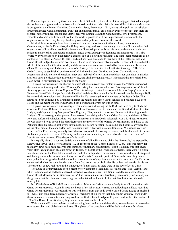Because bigotry is used by those who serve the S.O.S. to keep those they plot to subjugate divided amongst themselves on religious and racial issues, I wish to debunk those who claim the World Revolutionary Movement is designed to give Roman Catholics, Communists, Jews, Freemasons, Nazi, or any other political or religious group undisputed world domination. Don't for one moment think I am not fully aware of the fact that there are bigoted, narrow minded, foolish and utterly deceived Roman Catholics, Communists, Jews, Freemasons, Fascists and others who firmly believe that the world's problems will not be permanently solved until the organization to which they belong, be it religious and/or political, does rule the world.

Most of those who so believe have convinced themselves as Roman Catholics, Jews, Freemasons, Communists, or World Federalists, that if they hope, pray, and work hard enough the day will come when their organization will be able to establish a benevolent dictatorship and enforce rule in accordance with their own religious and so-called democratic principles. These deceived people indeed need enlightenment. The Third World War was planned by Pike nearly a century ago. It is now in the making. The final social cataclysm as he explained it to Mazzini August 15, 1871, and as it has been explained to members of the Palladian Rite and Grand Orient Lodges by lecturers ever since 1885, is to be made to involve not only Roman Catholicism but the whole of the so-called Christian world, and the masses who are now controlled by Communism in Russia and China. Freemasonry and Judaism are also to be destroyed in order that the Luciferian ideology... "The New Order" ... may be established on the ruins of ALL the old orders. Gentiles and Jews, Communists and Freemasons should not fool themselves. They and their beliefs are ALL marked down for complete liquidation, as are all other political, religious, social service, and similar organizations. It is intended that there shall be a clean sweep, a purification by "The Fire of the Magi."

To prove how ridiculous the charges against Catholicism really are, history proves the Vatican suspended the Jesuits as a teaching order after Weishaupt's perfidy had been made known. This suspension wasn't lifted for many years (I believe it was 30 years). While Weishaupt remained unsuspected, he was "happy" as a Jesuit. He wore a "cloak" that hid perfectly his diabolical activities. But when the Jesuits were disbanded by papal Bull, he showed his true colours and directed the Illuminati's hatred against all members of the Jesuit Order. This hatred has been continued by Illuminists against the Jesuits ever since. Jesuit schools and colleges have been closed and the members of the Order have been persecuted in every revolution since.

To prove how ridiculous it is to charge Freemasons with. directing the W.R.M.. we have only to study the efforts of Professor Robison of Scotland, the Duke of Brunswich in Germany, and the Grand Masters of British Lodges, and Captain Henry Morgan of New England, USA, made to try to stop Illuminists infiltrating into the Lodges of Freemasonry, and to prevent Freemasons fraternizing with Grand Orient Masons, and those of Pike's New and Reformed Palladian Rites. We must remember also that Copin-Albancelli was a 33rd degree Mason. He was selected to go beyond the 33rd degree into the mysteries of the Grand Orient Masonry and those of the Palladian Rite. He refused at the very last minute, just before initiation, because he had become convinced that on the other side of the dark curtain was Satanism which ruled with absolute despotism. Weishaupt's revised version of the Protocols says exactly how Masons, suspected of knowing too much, shall be disposed of. He sets forth clearly how ALL forms of Masonry, and other secret societies, are to be abolished once the leader of Luciferianism is crowned King-despot of this world.

It is equally absurd to contend Judaism is the root of all evil as it is to claim the "Protocols," as exposed by Sergy Nilus (1905) and Victor Marsden (1921), are those of the "Learned Elders of Zion." It is true many, far too many, Jews have been deceived into joining revolutionary organizations. But it is equally true that seven years after Lenin usurped absolute power in Russia, on behalf of the Synagogue of Satan, there wasn't a single Jewish member of the First International who hadn't been liquidated or imprisoned. We would also like to point out that a great number of real Jews today are not Zionists. They hate political Zionism because they can see clearly that it is designed to lead them to their own ultimate subjugation and destruction as a race. Lucifer is not concerned whether the souls he wins away from God are white or black, Gentile or Jew. All are fish in his net. There are just as few real Jews in the Synagogue of Satan today as there were in the days of Jesus Christ.

The Duke of Brunswick had been a member of Weishaupt's Illuminati. His "nickname" was "Aaron." But when he found out he had been deceived regarding Weishaupt's real intentions, he did his utmost to stamp Grand Orient Masonry out in Germany. In 1794 he issued a manifesto dissolving Freemasonry in Germany on the grounds that the Illuminati's secret agents had obtained such control of it that dissolution was the only remedy left.

In 1878 the head of British Freemasons ordered Masons to "withdraw completely from all connections with Grand Orient Masonry." Again in 1923 the heads of British Masonry issued the following manifesto regarding Grand Orient Masonry: "As recognition was withdrawn from that body by the United Grand Lodge of England in 1878 ... it is considered necessary to warn all members of our lodges that they cannot visit any lodge under the obedience of a jurisdiction unrecognized by the United Grand Lodge of England; and further, that under rule 150 of the Book of Constitutions, they cannot admit visitors therefrom."

Weishaupt and Pike are both on record as saying Jews, and also anti-Semitism, were to be used to serve their own secret plans and diabolical ambitions. This phase of the conspiracy will be dealt with more fully later.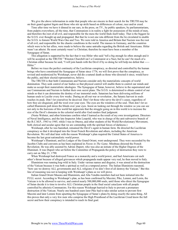We give the above information in order that people who are sincere in their search for the TRUTH may be on their guard against bigots and those who stir up strife based on differences of colour, race and/or creed.

Time after time we have it dinned in our ears, in the press, on TV., by public speakers, by parliamentarians, from pulpits everywhere, all the time, that Communism is in reality a fight for possession of the minds of men, and therefore the root of all evil, and responsible for the mess the world finds itself today. That is the biggest lie the S.O.S. ever thought up and propagated. But that lie is not one iota different from the lie circulated to enable the S.O.S. to foment World Wars One and Two. We were told in America and Britain that Nazism was the root of all evil, and responsible for the chaotic conditions in the world. The masses in Germany, and the countries which were to be her allies, were made to believe the same untruths regarding the British and Americans. Hitler wasn't an atheist. He most certainly wasn't a Christian; therefore he must have been a member of the Synagogue of Satan.

This allegation is supported by the fact that it was Hitler who said "tell a big enough lie often enough and it will be accepted as the TRUTH." Winston Churchill isn't a Communist or a Nazi, but he can't be much of a Christian either because he said, "I will join hands with the Devil if by so doing he will help me defeat that ----- Hitler."

Before we trace the perfect continuity of the Luciferian conspiracy, as directed and controlled by the human beings who have constituted the Synagogue of Satan since 1776, we will first prove that the conspiracy, as revised and modernized by Weishaupt, never did die a natural death as those who directed it since, would have the public, and their elected representatives, believe.

The TRUTH is that both Communism and Nazism consider only the materialistic concepts of world domination. They seek control of our bodies so that physical control will enable them to control our minds and make us accept their materialistic ideologies. The Synagogue of Satan, however, believe in the supernatural and use Communism and Nazism to further their own secret plans. The S.O.S. is determined to obtain control of our minds so that it can determine the destiny of our immortal souls. Satanism has been delivering millions of human souls to Lucifer every few weeks. During an all-out war or revolution , the Satanic harvest in souls reaches its peak. Don't let yourselves be deceived. Don't let those who serve the devil's cause, regardless of how they are disguised, pull the wool over your eyes. The eyes are the windows of the soul. Then don't let socalled Illuminists pull down the blinds over your eyes. Insist on looking out through the window so you can see not only to the horizons of this world but appreciate that the struggle going on in this world is to increase the size of the Devil's domains in the celestial world after God renders final judgment.

(Nesta Webster, and other historians confirm what I learned as the result of my own investigations. Directors of Naval Intelligence, and the late Inspector John Leopold, who was in charge of the anti-subversive branch of the R.C.M.P., 1943 to 1945, while I was in Ottawa, and other students of the World Revolutionary Movement, both clerical and secular agree that we are contending with the spiritual forces of darkness.)

Weishaupt, after he was banished, remained the Devil's agent in human form. He directed the Luciferian conspiracy so that it developed into the Great French Revolution and others, including the American Revolution. We will deal later with the reason Weishaupt's plan required the United States of America to become the last great nationalistic world power.

Weishaupt's Illuminati, and his Lodges of the Grand Orient, went underground. They were succeeded by the Jacobin Clubs and convents as has been explained in *Pawns in The Game*. Mirabeau directed the French Revolution. He was ably assisted by Adrien Duport, who was also an initiate of the Higher Degrees of the Illuminati. It was Duport who set before the Committee of Propaganda the policy of destruction they were to carry out on May 21, 1790.

When Weishaupt had destroyed France as a monarchy and a world power, and had Americans cut each other's throat because of alleged grievances which propaganda made appear very real, he then moved to Italy.

Illuminism was running hog-wild in Italy. Under various names and disguise, it was aimed at the destruction of the Vatican because it was both a spiritual as well as a temporal power. The Italian Illuminists reasoned, "how can we destroy ALL governments and ALL religions if we don't first of all destroy the Vatican." But this line of reasoning was not in keeping with Weishaupt's plans as we will prove.

Italian Grand Orient Masons and Illuminists, and Alta Vendita members had not been initiated into the FULL secret. According to Weishaupt's plan, as has been confirmed by Mazzini, Pike, Lemmi, and Lenin, the Vatican is to be allowed to survive, and control nearly 500,000,000 souls, until those who direct the Synagogue of Satan decide it is time to involve ALL Christian people in the final social cataclysm with all people controlled by atheistic-Communists. For this reason Weishaupt hurried to Italy to prevent a premature destruction of the Vatican. Nearly one hundred years later Pike had to take similar action to prevent first Mazzini and later Lemmi from upsetting the Synagogue of Satan's plans by doing exactly the same thing, All this proves that only a very few men who comprise the High Priesthood of the Luciferian Creed know the full secret and how their conspiracy is intended to reach its final goal.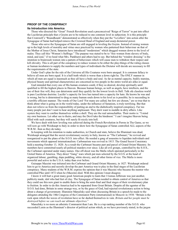# **PROOF OF THE CONSPIRACY**

## **Its Introduction into America**

Those who directed the "Great" French Revolution used a preconceived "Reign of Terror" to put into effect the Luciferian principle that e Goyim are to be reduced to one common level in subjection. It is this principle that Cromwell's "Roundheads" demonstrated so effectively when they put the "Levellers" into action after the Synagogue of Satan had helped remove the Crowned Head of England and usurp dictatorial power.

Those who serve the Synagogue of Satan are still engaged in leveling the Goyim. Instead of raising women up to the high levels of morality and virtue once practiced by women who patterned their behaviour on that of the Mother of Jesus Christ, Satanists have introduced "modernism" which dragged women down to the level of males. They call this "Women's Suffrage." The purpose was stated to be to "free women from slavery of body, mind, and soul," if we heed what Mrs. Pankhurst and others had to say. But behind the "window dressing" is the intention to brainwash women into a pattern of behaviours which will cause men to withdraw their respect and kill chivalry. This is all part of the conspiracy to reduce women to be either the play-things of the ruling classes or human incubators to supply the numbers and types of individuals the Dictator will decide are necessary to fill the requirements of the state.

Under God's plan for the rule of the Universe all His Creatures were born unequal. It is common fallacy to believe all men are born equal. It is a half truth which is worse than a down right he. The ONLY manner in which all men are equal is inasmuch as they all have a body and soul. As far as mental capacity, bodily stamina, physical beauty and spiritual characteristics are concerned no two people in the entire world are alike or equal.

God intended that every one of His human creatures could, if they so desired, develop spiritually until qualified to fill the highest places in Heaven. Because human beings, as well as angels, have intellects, and the use of their free will, they can deteriorate until they qualify for the lowest levels in Hell. Talk ofa classless world is pure Luciferian doctrine. Lucifer's capacity for love has turned into a capacity for hate. He knows he was and is wrong, but he is determined to drag as many human souls down to his level as is possible; he is succeeding in a terribly efficient manner. The words of Our Lord "For many are called, but few are chosen," are so true that to think about what is going on in the world today, under the influence of Satanism, is truly terrifying. But that does not relieve us from the responsibility of putting an end to the diabolically inspired conspiracy. Far too many people just don't want to hear anything unpleasant. They dorit want to meddle in dirty affairs. Like oysters they want to confine themselves within a shell. They are the real untouchables. Their motto is: "I mind my own business. Let other see to theirs, and may the Devil take the hindmost." I can't imagine Heaven being filled with such creatures, but they will surely fit nicely into hell.

We have dealt with how leveling was achieved during the French Revolution in Pawns in The Game, so we will now go with Weishaupt to Italy in order to show how the Synagogue of Satan controlled ALL aspects of the W.R.M.. then as they do today.

In keeping with his intention to make authorities, in Church and state, believe the Illuminati was dead, Weishaupt arranged that the secret revolutionary society in Italy, known as "The Carbonari," be revived and reorganized to put the plans of the S.O.S. into effect. He needed a gang of assassins to liquidate individuals and movements which opposed internationalism. Carbonarism was revived in 1815. The Grand Secret Consistory held a meeting October 13, 1820. As a result the Carbonari became part and parcel of Grand Orient Masonry. Its members have committed nearly all political murders ever since. Like all evil groups, controlled by the S.O.S., the Carbonari operated under many names. One off-shoot was the Mafia which operated particularly in the United States of America. They direct "Gang" wars which put men selected by the S.O.S. at the head of organized labour, gambling, dope peddling, white slavery, and all other forms of vice. The Mafia is more powerful and active in the U.S.A. today than ever before.

Guiseppe Mazzini was initiated into the Carbonari and Grand Orient Masonry, in 1827. Weishaupt ordered him to go to America and secretly develop the part America was to play in the final stages of the Luciferian conspiracy. Many students of the W.R.M. express the opinion that it was Mazzini who became the mentor who controlled Pike until 1872 when he (Mazzini) died. With this opinion I must disagree.

I know it will hurt a great many good American people to learn that 11iomas Jefferson was just another, publicity made, idol who had feet of clay. The Synagogue of Satan needed to obtain control of America so that they could use this new giant to enable them to bring the semi-final and final stages of their revolutionary plan to fruition. In order to do this America had to be separated from Great Britain. Despite all the agentur of the S.O.S. had done, Britain in some strange way, or by the grace of God, had rejected revolutionary action to bring about a change of government. Illuminist Manuilsky said when discussing Britain in a speech he made to the delegates attending the 18th Congress of the Communist Party (international) in Moscow in 1938: "Britain is the rock upon which the waves of revolution have so far dashed themselves in vain. *Britain and her people must be destroyed before we can reach our ultimate objectives*."

Manuilsky is no more an atheistic Communist than I am. He is a top ranking member of the S.O.S. who succeeded Lenin as the Illuminati's director of political action which, as we have previously stated, in the jargon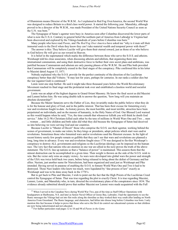of Illuminism means Director of the W.R.M.. As I explained in Red Fog OverAmerica, the second World War was designed to reduce Britain to a third class world power. It started the following year. Manuilsky, although proved to be a director of the W.R.M., was made President of the United Nations Security Council as soon as the U.N. was born. $2<sup>2</sup>$ 

The Synagogue of Satan's agentur were busy in America soon after Columbus discovered the lower parts of what is now the U.S.A. Contrary to general belief the northern part of America from Labrador to Virginia had been discovered and explored by the Vikings hundreds of years before Columbus was born.<sup>24</sup>

Many people who have read *Pawns*, and *The Red Fog Over America* have asked me "why is it men sell their immortal souls to the Devil when they know they can't take material wealth and temporal power with them?"

The answer is this: They believe Lucifer will give them their eternal reward, just as those of us who believe in God believe He will give us our reward in Heaven.

It is belief in the supernatural which marks the difference between those who serve the S.O.S. and atheists. Weishaupt told his close associates, when discussing atheists and nihilists, that organizing them into international communism, and using their destructive force to further their own secret plans and ambitions, was justified because Communism and atheism are only passing phases of the W.R.M.. He and Pike both provided that Communism will be completely erased in the final stages of the conspiracy. Pike confirmed this in his letter to Mazzini dated August 15, 1871.

Nobody explained why the S.O.S. provide for the perfect continuity of the direction of the Luciferian conspiracy better than did Voltaire. "It may last for years, perhaps for centuries. In our ranks a soldier dies but the war (against God) is continued."

Lenin went one step further. He said it might take three thousand years before the World Revolutionary Movement reached its final stage and the proletariat took over and established a classless world and socialist government.

Lenin was an adept of the highest degrees in Grand Orient Masonry. He knew the final secret as did Mazzini and Lemmi before him. He was using double talk to answer the question, "how long will you maintain an absolute dictatorship?"

Because the Master Satanists serve the Father of Lies, they invariably make the public believe what they do is for the honour and glory of God, and in the public interest. That has been their excuse for fomenting every war and revolution fought to-date. As history proves, the most horrible, and most terrible, atrocities have been perpetrated on individuals, and on the masses of humanity, in the Holy Name of God. Our Blessed Lord warned us this would happen when he said, "Yes, the time cometh that whosoever killeth you will think he doeth God service." John 16:2) We Christians killed each other by the tens of millions in World Wars One and Two ... men ... women ... and little children and both sides did what they did because the Synagogue of Satan had deceived us into believing we were serving God and our countries.

Because Lucifer is "Master of Deceit" those who comprise the S.O.S. use their agentur, working behind the scenes of government, to make our rulers, be they kings or presidents, adopt policies which start wars and/or revolutions. Sometimes those who fomented wars and/or revolutions used the flimsiest excuses. In the light of recent history surely few people remain so gullible that they can't see that wars and revolutions are planned a long, long time in advance. Every war and revolution fought since 1776 was designed to fin-tlier Weishaupt's conspiracy to destroy ALL governments and religions so the Luciferian ideology can be imposed on the human race. The very fact that nations who are enemies in one war are allied in the next proves the truth of the above statement. The S.O.S. line up nations so that a "balance of power" is maintained. This assures them that the utmost destruction can be accomplished in a given time. Then weight is thrown on the side of the S.O.S. wish to win. But the victor only wins an empty victory. As wars were developed into global wars the power and strength of the USA was twice held back two years, before being released to bring about the defeat of Germany and her allies. Nazism, just another name for Nierzcheism, had been organized and used just as Weishaupt and Pike intended. Having served its purpose of enabling the S.O.S. to foment World Wars One and Two it had to be destroyed. Those Nazi leaders who knew too much, were liquidated by "due process of law" exactly as Weishaupt said was to be done away back in the 1770's.

But to get back to Pike and Mazzini, I wish to point out the fact that the High Priests of the Luciferian Creed control the Synagogue of Satan. That was true regarding the plot to crucify Christ. It is true regarding Mazzini, Lemmi, Lenin, and Manuilsky who, in turn, directed the revolutionary plans of the conspirators since 1834. The evidence already submitted should prove that neither Mazzini nor Lemmi were made acquainted with the Full

<sup>&</sup>lt;sup>23</sup> When I served in the Canadian Navy during World War Two, pan of the time as Staff Officer Operations with headquarters at Shelboume, N.S. and later as Senior Naval Officer at Goose Bay, Labrador, I had the opportunity to see the Runic messages the Vikings had cut into flat rocks along the shoreline as they worked their way south after landing on North America From Greenland. The Runic language, and characters, had fallen into disuse long before Columbus was born. I only mention this fact because it helps to prove that those who serve the Devil do control our educational systems so that children are now being indoctrinated and not educated. 24 For further particulars read pages 12 to 18 and 98 of *Pawns in the Game*.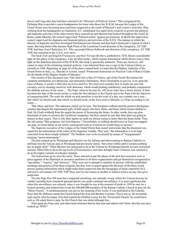Secret until long after they had been selected to be "Directors of Political Action." Pike reorganized the Palladian Rite to provide a secret headquarters for those who direct the W.R.M. because the Lodges of the Grand Orient were becoming more and more suspected as the result of Mazzini's and Lemmi's activities. Pike, working from his headquarters in Charleston, S.C. established two supervisory councils to govern the political and dogmatic activities of the other twenty three councils he and Mazzini had located throughout the world. In Rome, under Mazzini, the council supervised "Political action" against governments. In Berlin the supervisory council supervised the dogmatic and financial policies and activities of the S.O.S. The manner in which the director of dogmatic activities developed Nietzcheism into Nazism and then had it destroyed is typical of what I mean. But long before Pike became High Priest of the Luciferian Creed direction of the conspiracy, AT THE TOP, had been from Charleston, S.C. Pike succeeded Moses Holbrook and direction of the conspiracy, AT THE TOP, has remained in the U.S.A. ever since.

The book *Irish and English Freemasons and their Foreign Brothers*, published in 1878, throws considerable light on this phase of the conspiracy. Like all other books, which contain information which throws even a little light on the diabolical direction of the W.R.M., this book is practically unknown. There are, however, still copies in some of the remaining national archives. I am informed there was a copy in the Vatican Library as recently as 1946. Beginning on page 62 of the above named book we learn that the Highest Authority of the Grand Orient in Italy, i.e., Mazzini or Lemmi, issued "Permanent Instruction (or Practical Code of Rules) Guide for the Heads of the Highest Grades of Masonry."

One section of this document says "Our final aim is that of Voltaire, and of the French Revolution-the complete annihilation of Catholicism, and ultimately Christianity. Were Christianity to survive, even upon the ruins of Rome, it would, a little later on revive and live. We must now consider how to reach our end with certainty, not by cheating ourselves with delusions, which would prolong indefinitely, and probably compromise the ultimate success of our cause .... The Pope, whoever he may be, will never enter into a secret society. It then becomes the duty of the secret society to make the first advance to the Church and to the Pope with the objective of conquering both. The work for which we gird ourselves is not the work of a day, nor a month, nor a year ... that which we should seek, that which we should await, as the Jews await a Messiah, is a Pope according to our wants ....

"But when, and how' The unknown cannot yet be seen. The Scriptures indicate and the greatest theologians confirm that despite the supernatural gifts of both angels who have fallen, and those which remain faithful to God, He (God) withheld from the angels the power of foreseeing the future. In other words, they can plan thousands of years in advance the Luciferian conspiracy, but they cannot be sure that their plans are going to mature as they expect. That is why their agents on earth are always trying to learn what the future holds. Thus the old saying "Man proposes, but God disposes." Nevertheless, as nothing should move us from our mapped out plan, we must labour at our newly commenced work as if tomorrow would bring us success."

The Supreme executive of the Lodges of the Grand Orient then issued instructions that the document was issued for the information of the rulers of the Supreme Vendita. They said, "the information is to be kept concealed from those simply initiated." The brethren were to be inculcated by means of "insegnamento" meaning "secret memoranda."

The plot cooked up by Weishaupt and Mazzini was for Italians and others posing as Roman Catholics to infiltrate into the Vatican and, as Weishaupt had previously stated, "bore from within until it remains nothing but an empty shell." What Mazzini was instructed to do in the Vatican by Weishaupt himself, he later instructed General Albert Pike to do at the top levels of Freemasonry; and what Adolphe Isaac Cremieux was selected to do in the higher controls of orthodox Judaism.

The instructions given were the same. Those selected to put this phase of the plot into execution were to place agentur of the Illuminati in executive positions in all three organizations and get themselves recognized as "specialists," "experts," and "advisers." They were not to attempt to interfere in anyway with the established teachings and policies of the three religions, but they were to guard against the directors of the three world powers getting information which might make them suspicious that the Synagogue of Satan controlled ALL subversive movements AT THE TOP They were by one means or another to enforce silence on any who grew suspicious.

The late Pope Pius XII must have suspected something was radically wrong within the Vatican because he couldn't possibly have remained ignorant that he was under continual surveillance. It is most significant that when this surveillance was relaxed, when it was thought he was at the moment of death in 1958 he sent for a trusted secretary and ordered him to ask the 500,000,000 members of the Roman Catholic Church to pray for the "Silent Church." A misinterpretation was put on the meaning of his words. It was published in the Catholic Press that His Holiness meant the Church behind the Iron and Bamboo Curtains. This is not so. He invariably said exactly what he meant. If he had wanted the Faithful to pray for the "Persecuted Church" he would have said so. He asked them to pray for the Church that was silent although free.

Then again the Pope said, and afterwards reiterated that he had seen and talked with Christ. But this was also hushed up. WHY?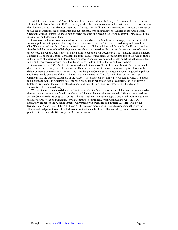Adolphe Isaac Cremieux (1796-1880) came from a so-called Jewish family, of the south of France. He was admitted to the bar at Nimes in 1817. He was typical of the lawyers Weishaupt had said were to be recruited into the Illuminati. Exactly as Pike was afterwards, Cremieux was infiltrated into Freemasonry. He was a member of the Lodge of Mizraim, the Scottish Rite, and subsequently was initiated into the Lodges of the Grand Orient. Cremieux worked to unite the above named secret societies and became the Grand Master in France as did Pike in America, and Mazzini in Italy.

Cremieux's activities were financed by the Rothschilds and the Montifiores. He engaged in the most ruthless forms of political intrigue and chicanery. The whole resources of the S.O.S. were used to try and make him Chief Executive to Louis Napoleon so he could promote policies which would further the Luciferian conspiracy from behind the scenes of the British government about the same time. But his double crossing methods were discovered, and when Louis Napoleon pulled off his coup d'etat on December 2, 1851, making himself Emperor Napoleon III, he made General Cavaignac his Prime Minister and threw Cremieux into prison. He was confined in the prisons of Vuicennes and Mazas. Upon release, Cremieux was selected to help direct the activities of Karl Marx and other revolutionaries including Louis Blanc, Ledrun, Rollin, Pierre, and many others.

Cremieux put the S.O.S.'s plans for wars and revolutions into effect in France as Mazzini's other national directors did in Germany and other countries. Thus the overthrow of Napoleon was accomplished as was the defeat of France by Germany in the year 1871. At this point Cremieux again became openly engaged in politics and he was made president of the "Alliance Israelite Universelle" (A.LU.). As far back as May 31,1864, Cremieux told the General Assembly of the A.LU.: "The alliance is not limited to our cult, it voices its appeals to all cults and wants to penetrate in all the religions as it has penetrated into all countries. Let us endeavour boldly to bring about the union of all cults under one flag of Union and Progress. Such is the slogan of Humanity." (Internationalism.)

We hear today the same old double talk in favour of a One World Government. John Leopold, when head of the anti-subversive section of the Royal Canadian Mounted Police, admitted to me in 1944 that the American Jewish Committee is the outgrowth of the Alliance Israelite Universelle. Leopold was a real Jew (Hebrew). He told me the American and Canadian Jewish Committees controlled Jewish Communists AT THE TOP absolutely. He agreed the Alliance Israelite Universelle was organized and directed AT THE TOP by the Synagogue of Satan. He said the A.I.U. and A.J.C. were no more genuine Jewish associations than are the Illuminized Lodges of Grand Orient Masonry nor the Councils of the Palladian Rite, genuine Freemasonry as practiced in the Scottish Rite Lodges in Britain and America.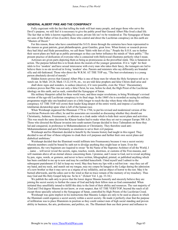## **GENERAL ALBERT PIKE AND THE CONSPIRACY**

Fully cognizant with the fact that telling the truth will hurt many people, and anger those who serve the Devil's purpose, we still feel it is necessary to give the public proof that General Albert Pike lived a dual life. The fact that so little is known regarding his secret, private life isn't to be wondered at. The Synagogue of Satan are sons of the Father of lies (Lucifer); those who control and direct the Luciferian conspiracy on this earth are "Masters of Deceit."

For this reason, those who have constituted the S.O.S. down through the centuries have been represented to the masses as great patriots, great philanthropists, great Gentiles, great Jews. When history or research proves they had Jekyl and Hyde personalities, we call them "Idols with feet of clay." People the S.O.S. use to further their secret plans are built up as public personages so they can better influence the minds of "their public." The present practice of deification of everyone who is connected with Hollywood illustrates perfectly what I mean.

Actresses are given parts depicting them as being as promiscuous as the proverbial mink. This is Satanism in action. The purpose behind this is to break down the morals of the younger generation. If it is 'right' for their idols to live 'modern' and have sexual intercourse with every man who takes their fancy, the teenagers are led to believe there is no sin involved in living 'modern' also. Parents and ministers who say differently are branded silly and old-fashioned. Those who direct the W.R.M. AT THE TOP say, "The best revolutionary is a young person absolutely devoid of morals."

Hidden history proves that General Albert Pike is one of those men for whom the Holy Scriptures tell us to watch out. In Matt. 24:24, Mark 13:22,14:56, etc., we are told false prophets and false Christs shall arise and

shall show signs and wonders, to seduce (deceive), if it were possible, even the 'Elect.' Documentary evidence proves that Pike was not only a false Christ, he was, before he died, the High Priest of the Luciferian ideology on this earth, and as such, controlled the Synagogue of Satan.

His military blueprint called for three world wars, and three major revolutions, to bring Weishaupt's revised version of the age-old Luciferian conspiracy to its final stage. In the 1860's he is recorded as saying his military programme might take one hundred years or a little longer to reach the day when those who direct the conspiracy AT THE TOP will crown their leader King-despot of the entire world, and impose a Luciferian totalitarian dictatorship upon what is left of the human race.

When Weishaupt organized the Illuminati 1776 to 1784, to put his revised and modernized version of the Luciferian Protocols into effect, he and his associates are recorded as discussing whether they should use Christianity, Judaism, Freemasonry, or atheism as a cloak under which to hide their secret plans and activities. This was much the same decision the Khazar leaders had to make when they set out to conquer Europe 300 A.D. Those who directed the Khazar invasion into south-eastern Europe decided to force Talmudism on those they led and conquered, in preference to Mohammedanism or Christianity. They therefore used anti-Mohammedanism and anti-Christianity as emotions to serve their evil purpose.

Weishaupt and his Illuminati decided to benefit by the lessons history had taught in this regard. They decided to use all four of these religions to cloak their evil purposes and further their own secret plans and diabolical ambitions.'

Weishaupt decided that the Illuminati would infiltrate into Freemasonry because it was a secret society wherein members could be bound by oath not to divulge anything they might hear or learn. Even the apprentices, the very beginners are required to swear "In the Name of the Supreme Architect of all the World, I ... name ... will never reveal the secrets, signs, touches, words, doctrines, or customs of the Free-masons, and will maintain above all an eternal silence concerning them. I promise, and I swear to God, not to reveal anything by pen, signs, words, or gestures, and never to have written, lithographed, printed, or published anything which has been confided to me up to now and may be confided henceforth. I bind myself and I submit to the subsequent punishment if I fail to keep my word; May they burn my lips with a red-hot iron - may they cut off my hand, and my neck, and snatch out my tongue, may my corpse be hanged in the Lodge during the admission of a new brother so that it may serve as a stigma of my infidelity, and an object of horror to the rest. May it be burned afterwards, and the ashes cast to the wind so that no trace remain of the memory of my treachery. Thus may God and His Holy Gospel help me. So be it." (Eckert Vol. I, pp. 33-34.)

We publish the oath only to prove that the lower degree Masons honestly and sincerely believe they are joining the secret society to further the cause of God and help their fellow men as God commanded. When initiated they unselfishly intend to fulfill this duty to the limit of their ability and resources. The vast majority of 32nd and 33rd degree Masons do not know, or even suspect, that AT THE VERYTOP, beyond the reach of all except those specially selected is the Synagogue of Satan, controlled by High Priests of the Luciferian Creed.

Weishaupt was quite implicit in his instructions that Masonic Lodges are only to be used as places in which the Illuminati could organize a secret society within a secret society. He made it perfectly clear that the purpose of infiltration was to place Illuminists in position so they could contact men of high social standing and proven ability in business, the arts, professions, and politics, etc. The Illuminati then use their power and influence to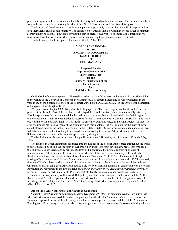place their agentur in key positions in all levels of society and fields of human endeavor. The ordinary members were to be used only for promoting the idea of One World Government and One World Religion.

The Masters of Deceit wanted to use Masonic philanthropy simply to cover their diabolical purpose and to give their agents an air of respectability. The lesson to be learned is this: No Christian should swear to maintain secrecy unless he has full knowledge of what the oath of secrecy involves. To promote God's intentions, we must make them known. Those who promote Luciferianism keep their plans and objective secret.

The following is the frontispiece of a book written by Albert Pike.

**MORALS AND DOGMA OF THE ANCIENT AND ACCEPTED SCOTTISH RITE of FREEMASONRY** 

**Prepared for the Supreme Council of the Thirty-third Degree for the Southern Jurisdiction of the United States And Published by its Authority** 

On the back of the frontispiece is: "Entered according to Act of Congress, in the year 1871, by Albert Pike, in the Office of the Librarian of Congress, at Washington, D.C. Entered according to Act of Congress in the year 1905, by the Supreme Council of the Southern Jurisdiction. A.A,S.R, U.S.A., in the Office of the Librarian of Congress, at Washington, D.C."

We quote from Chapter XXX, Knight of Kadosh; page 819: "The Blue Degrees are but the outer court or portico of the Temple. Part of the symbols are displayed there to the initiate, but he is intentionally misled by false interpretations. It is not intended that he shall understand time; but it is intended that he shall imagine he understands them. Their true explication is reserved for the ADEPTS, the PRINCES OF MASONRY The whole body of the Royal and Sacerdotal Art was hidden so carefully, centuries since, in the High Degrees, as that it is even yet impossible to solve many of the enigmas which they contain. It is well enough for the mass of those called Masons, to imagine that all is contained in the BLUE DEGREES: and whose attempts to undeceive them will labour in vain, and without any true reward violate his obligations as an Adept. Masonry is the veritable Sphinx, buried to the head in the sands heaped round by the ages."

The book this was obtained from bears this publisher's name: LH. Jenkis, Inc., Richmond, Virginia, May, 1920.

The manner in which Illuminists infiltrated into the Lodges of the Scottish Rite located throughout the world is best illustrated by telling the life story of General Albert Pike. This story reveals how professors who are of the Illuminati, select exceptionally brilliant students and indoctrinate them into one form or another of internationalism. They then use them to serve those who direct the Luciferian conspiracy. Pike's life also illustrates how those who direct the World Revolutionary Movement AT THETOP obtain control of high ranking officers in the armed forces of their respective countries. I solemnly declare that until 1957, I knew only the side of Pike's life story which showed him to be a great scholar, a clever lawyer, a brave soldier, a fervent Christian, and all-in-all, a great American patriot. I did not even mention his name in connection with the World Revolutionary Movement in the first editions of *Pawns in the Game* or *The Red Fog Over America*. My belief regarding General Albert Pike prior to 1957 was that of literally millions of other people, particularly Freemasons, in every country of the world. But quite by accident, while studying what was behind the "Little Rock Incident," I picked up a clue that indicated Albert Pike had lived a double life. Investigations proved he was the greatest Dr. Jekyl and Mr. Hyde of the 19th Century. First I shall give my reader the picture I had of Albert Pike prior to 1957.

## **Albert Pike, American Patriot and Christian Gentleman**

General Albert Pike was born in Boston, Mass., December 29,1809. His parents moved to Newbury Mass., when Albert was four years old. It was here he grew up. He attended the 'common' schools, but, because he showed exceptional mental ability, he was given a few terms in a private' school, and then at the Academy in Framingham. His capacity to study and absorb knowledge was so great that he actually started teaching others at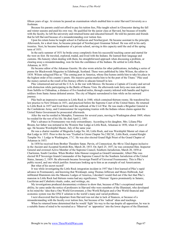fifteen years of age. At sixteen he passed an examination which enabled him to enter Harvard University as a freshman.

Because his parents could not afford to pay his tuition fees, Pike taught school in Gloucester during the fall and winter seasons and paid his own way. He qualified for the junior class at Harvard, but because of trouble with the faculty, he left the university and returned home and educated himself. He told his parents and friends that he left Harvard because of a misunderstanding over tuition fees.

Upon his return home he taught school in Fairhaven and Newburyport. He became assistant to the principle. Afterwards, for a short time, he became principal of Newburyport Grammar School. He was still in his early twenties. Next, he became headmaster of a private school, serving in this capacity until the end of the spring term of 1831.

In the early summer of 1831 he broke away completely from his successful teaching career and started for the west on foot. He traveled, explored, traded, and lived with the Indians. He learned their language and customs. His honesty when dealing with them, his straightforward approach when discussing a problem, or clearing away a misunderstanding, won for him the confidence of the Indians. He settled in Little Rock, Arkansas, in 1833.

He became editor of the Arkansas Gazette. He also wrote articles for other publications, including a series of poems for Blackwoods Magazine in Edinburgh, Scotland. These were published by John Wilson, the editor in 1838. Wilson eulogized Pike as "The coming poet in America, whose fine hymns entitle him to take his place in the highest order of his country's poets. His massive genius marks him to be the poet of the Titans." Pike used the money earned as the result of his literacy efforts to educate himself in law.

Pike volunteered and served the U.S.A. in the war with Mexico. He became a Captain of Cavalry and served with distinction while participating in the Battle of Buena Vista. He afterwards took forty-one men and rode from Saltillo to Chihuahua, a distance of five hundred miles, through country infested with bandits and fugitive soldiers from Santa Annas defeated armies. The city of Mapini surrendered to him while on his outward journey.

Pike built an impressive mansion in Little Rock in 1840, which contained thirteen rooms. He transferred his law practice to New Orleans in 1851, and practiced before the Supreme Court of the United States. He returned to Little Rock in 1857 and lived there until the outbreak of the Civil War. He was made a Brigadier General in the Confederate Army, and Commissioner for negotiating treaties with the Indians whose claims against the United States Government he prosecuted afterwards.

After the war he resided in Memphis, Tennessee for several years, moving to Washington about 1869, where he resided for the rest of his life. He died April 2, 1891.

Pike's advance in Freemasonry was truly extraordinary. According to his daughter, Mrs. Liliana Pike Broom, her father was initiated in the Western Star Lodge at Little Rock, Arkansas in 1850, when 41 years of age. He became Worshipful Master, July of the same year.

He was a charter member of Magnolia Lodge No. 60, Little Rock, and was Worshipful Master ad vitam of that Lodge in 1853. Prior to this he was "Exalted in Union Chapter No.2 RZ.M., Little Rock, created Knight Templar No. 1 Lodge in Washington, 17.C. He was also elected Grand High Priest of the Grand Chapter of Arkansas in 1853.

In 1858 he received from Brother Theodore Satan. Parvin, of Connecticut, the 4th to 32nd degree inclusive in the Ancient and Accepted Scottish Rite, March 20, 1853. On April 25, 1857, he was coroneted Hon. Inspector General and crowned Active Member of the Supreme Council, Southern Jurisdiction, March 20, 1858 at Charleston, South Carolina. When Brother John Honour resigned as Grand/Commander, Albert Pike was elected M.P Sovereign Grand-Commander of the Supreme Council for the Southern Jurisdiction of the United States, January 2, 1859. He afterwards became Sovereign Pontiff of Universal Freemasonry. This is Pike's public record, and one which justifies Americans looking up to him as an example of real Americanism.

But what of his secret record?

It was while investigating the Little Rock integration incident in 1957 that I first learned of Pike's rapid advance in Freemasonry, and knowing that Weishaupt, using Thomas Jefferson and Moses Holbrook, had infiltrated Illuminists into the Masonic Lodges of America, I decided I would find out if the fact that Pike's mansion in Little Rock had thirteen rooms had any significance. "Thirteen' figures prominently in Satanic, Luciferian and Cabalistic rituals, codes, and writings, etc.

My investigations produced documentary evidence to show that, because of Pike's exceptional mental ability, he came under the notice of professors in Harvard who were members of the Illuminati, who developed in his mind the 'idea that a One World Government, a One World Religion and a One World financial and economic system was the ONLY solution to the world's many and varied problems.

I next discovered that his departure from Harvard was not due to lack of finances, or because of a misunderstanding with the faculty over tuition fees, but because of his 'radical' ideas and teachings.

When he returned home determined that he would 'fight' his way to the top despite all opposition, he was in a suitable frame of mind to be recruited as a 'Minerval' or 'apprentice' into the lower degrees of the Illuminati.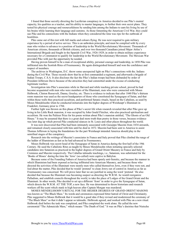I found that those secretly directing the Luciferian conspiracy in America decided to use Pike's mental capacity, his qualities as a teacher, and his ability to master languages, to further their own secret plans. They tested his physical courage and resourcefulness by sending him among the Indians to earn his living by use of his brains while learning their language and customs. As those fomenting the American Civil War, they could use Pike and his connections with the Indians when they considered the time was ripe for the outbreak of hostilities.

Pike came out of this test with full marks and colours flying. He was next required to gain military experience by a period of active service. This is an unbroken principle, and must be complied with by every man who wishes to advance to a position of leadership in the World Revolutionary Movement. Thousands of American citizens, thousands of British citizens, and over two thousand Canadians joined Major Attlee's International Brigade and fought in the Spanish Civil War, 1926-1929, in order to obtain military experience necessary for a Communist to qualify for leadership in the World Revolutionary Movement. The Mexican War provided Pike with just the opportunity he needed.

Having proven himself to be a man of exceptional ability, personal courage and leadership, in 1850 Pike was infiltrated into the Scottish Rites of Freemasonry. He again distinguished himself and won the confidence and respect of members.

The archives in Washington, D.C. throw some unexpected light on Pike's connections with the. Indians during the Civil War. These records show that he at first commanded a regiment, and afterwards a brigade of Indian Troops, C.S.A. It also discloses the fact the Pike's Indian troops had been disbanded by order of President Jefferson Davis because of the atrocities they had committed under the excuse of conducting legitimate warfare.

Investigation into Pike's associates while in Harvard and while teaching private school, proved he had become acquainted with men who were members of the Illuminati, men who were connected with Moses Holbrook, Clinton Roosevelt, Danna, Greeley, etc. There is evidence to indicate that after 1840 Pike's thirteen room mansion was used as the secret headquarters of those who constituted the Synagogue of Satan, and that within those walls they practiced occultism, and performed Satanic rituals, based on the Cabalism, as used by Moses Mendelssohn when he conducted initiations into the higher degrees of Weishaupt's Illuminati in Frankfort, Germany prior to 1784.

Further light was thrown on this phase of Pike's secret life when research revealed that after Pike gave up living in his Little Rock mansion, it was occupied by John Gould Fletcher, who also practiced spiritualism and occultism. He won the Pulitzer Prize for his poem written about Pike's mansion entitled, "The Ghosts of an Old House." It may be assumed that there is a great deal more truth than poetry in those verses, because evidence was later dug up which proved Pike conducted séances in St. Louis and other places throughout the world.

It was next discovered that Pike had been intimately associated with Guiseppe Mazzini from 1834 onwards, and remained closely associated with him until he died in 1872. Mazzini had been sent to America to assist Thomas Jefferson in laying the foundations for the part Weishaupt intended America should play in the semifinal stages of the conspiracy.

Research into the writings of Mazzini's associates in France and Italy proved that Pike climbed the rungs of the ladder of Illuminism as fast as he had advanced in Freemasonry.

Moses Holbrook was secret head of the Synagogue of Satan in America during the first half of the 19th Century. He used the Cabalistic Rites as taught by Moses Mendelssohn when initiating specially selected candidates into Satanism as practiced in the higher degrees of Grand Orient Masonry in France and Italy by Cremieux and Mazzini respectively. The Caballas talmudic teachings, i.e., Satanism, was substituted for the 'Books of Moses' during the time the 'Jews' (so-called) were captive in Babylon.

Because some of the Founding Fathers of America had been openly anti-Semitic, and because the manner in which Illuminism had been exposed as having infiltrated into American Masonry, and because those who directed the activities of the Illuminati were mostly men who called themselves Jews, even if they were not, and lied about the matter, Pike decided that he would 'pretend' to clean Jewry out of control in America as far as Freemasonry was concerned. We will prove later that we are justified in using the word 'pretend.' He also decided that because the Illuminati was becoming suspect as directing the W.R.M.. he would reorganize Palladism, and establish councils throughout the world, to take the place of Lodges of the Grand Orient and the Illuminati. In other words, Pike decided to set up a different 'front' in order to give the Synagogue of Satan, which directs the W.R.M. AT THE TOP, a new face. He was determined to throw historians and research workers off the scent which stank to high heaven after Captain Morgan was murdered.

MOSES MENDELSSOHN'S RITUAL FOR THE HIGHER DEGREES OF GRAND ORIENT MASONS was known as "The Black Mass." Its words and ceremonies expressed bitter hatred of Christ and Christianity. Pike suggested to Moses Holbrook that it would be a good idea if they revised and modernized the ceremony of "The Black Mass" so that it didn't appear so talmudic. Holbrook agreed, and worked with Pike on a new ritual. Holbrook died before the task was completed, and Pike completed the work alone. He called the new ceremonial "The Adonaicide Mass," which means "The Death of God." It was on Pike's doctrine that Nietzche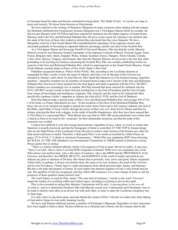in Germany based his ideas and theories calculated to bring about 'The Death of God,' so Lucifer can reign in peace and security. We know these theories as Nietzcheism.

We have referred to the writings of Domenico Margiotta on many occasions when dealing with the manner the Illuminati infiltrated into Freemasonry because Margiotta was a 33rd degree Mason before he seceded. He did not quit Masonry until AFTER he had been selected for initiation into the higher degrees of Grand Orient Masonry and/or the New and Reformed Palladian Rite. He gives as his reason for refusing to be initiated, that the study of the lives of those who wished to initiate him convinced him they were Satanists. We have Margiottas word for it that Grand Master Pike reestablished the supremacy of his supreme council, and succeeded gradually in becoming an important Masonic personage, and the real chief of the Scottish Rite.

As a 33rd degree Mason and Sovereign Pontiff of Universal Masonry, Pike traveled the world. Masonic libraries reveal he was Honorary Grand Commander of the Supreme Councils of Brazil, (United), Egypt, Tunis, France, Belgium, Italy, Spain, England, Wales, Ireland, Scotland, Greece, Hungary, Neuva Grande, Canada, Colon, Peru, Mexico, Uruguay, and Oceania. But what the Masonic libraries do not reveal is the fact that while pretending to be traveling on business concerning the Scottish Rite, Pike was actually establishing twenty-six councils of the New and Reformed Palladian Rite, which he superimposed on the Grand Orient Masonry. Grand Orient Masons worship Satan as Prince of this world. Satan is their God.

Palladism recognized Satan as 'Prince of this World.' But, according to the Luciferian doctrine as expounded by Pike, Lucifer is God, the equal of Adonay, and rules over all that part of the Universe not included in Adonay's part which we term Heaven. Pike stated that Satanism is to be tolerated among 'imperfect members.' Imperfect members are all members of Grand Orient Lodges and Councils of the New and Reformed Palladian Rite who haven't been initiated into the final degree and made acquainted with the FULL SECRET. Perfect members are exceedingly few in number. But Pike insisted that those selected for initiation into the FULL SECRET accept Lucifer as their God and worship him as the God of Goodness and the God of Light, from whom all knowledge and intelligence originates. Pike, himself, and the ritual of the Adonaicide Mass specifically condemn Lucifer's opponent as Adonay the God ofALL EVIL and the God of Darkness.

Dom Paul Benoit made a special study of Pike's New and Reformed Palladian Rite, and on page 456 of Vol. I of his book, La France Maconnerie he says, "In the reception of the Elect of the Reformed Palladian Rite, those who are to be initiated are taught to punish the traitor Jesus Christ and to kill Adonay (Adonai), the God of the Bible, (and Father of Jesus Christ), through the power of their own evil, done first by Master and then by initiate, piercing the Host with a dagger, in the midst of horrible blasphemies, after they have been assured that it (The Host) is a consecrated Host." Dom Benoit also says that in 1894, 800 consecrated hosts were stolen from a church in Paris to be used by the 'sectarians' for their abominable mysteries, and that the truth of this statement was verified.

I realize how difficult it is for the average decent person, regardless of race, colour, or creed, to realize that Satanism is actually practiced, and that the Synagogue of Satan is controlled AT THE TOP by human beings who are the High Priests of the Luciferian Creed who plot to enslave what remains of the human race, after the final social cataclysm is ended. Therefore, I shall quote Pike's own words as recorded by Arthur Preuss on pages 157-8 of Vol. I "A Study in American Freemasonry. " While Pike was explaining WHY those directing the W.R.M. AT THE TOP intended to use international Communism as THEIR manual of destructive action, Preuss quotes him as saying:

"There is a merely informal atheism, which is the negation of God in terms, but not in reality. A man says, 'There is no God'- that is, there is no God WHO originates in himself, WHO ever was originated, but a God Who always was and has been, who is the cause of existence, who is the MIND and the PROVIDENCE of the Universe, and therefore, the ORDER, BEAUTY, and HARMONY of the world of matter and mind do not indicate any plan or intention of Divinity. But Nature that is powerful, wise, active and good; Nature originated within itself, or perhaps, it always was and has been, the cause of its own existence, the mind of the Universe and its own Providence. Clearly there is a plan and purpose from which proceed order, beauty, and harmony. But this is the plan and purpose of Nature. In such matters the absolute negation of God is only formal and not real. The qualities of God are recognized, and they affirm HIS existence; it is a mere change of name to call the possessor of these qualities Nature and not God."

The word Nature, as used by Pike, means "The sum total of existence," exactly as the word "Universe" means the totality of everything within and without space, including everything in and on this earth.

Pike is also recorded as saying that Atheistic Communism will be only '*A passing phase in the over-all revolution*,' and as is mentioned elsewhere Pike told Mazzini exactly how Communism and Christianity were to be made to destroy each other in an all-out war with each other, in order to usher the Luciferian conspiracy into its final stage.

It is only when we dig down deep, and look behind the curtain of Pike's life that we realize that when talking of God and/or Nature he was really meaning Lucifer.

We have said Thomas Jefferson became a member of Weishaupt's Illuminati. Regardless of what Americans have been taught to believe about Thomas Jefferson as a Christian and a Patriot, the fact remains that he did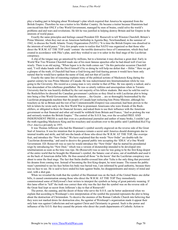play a leading part in bringing about Weishaupt's plan which required that America be separated from the British Empire. Therefore he was a traitor to his Mother Country. He became a traitor because Illuminism had convinced him that ONLY a One World Government, managed by men of brains, could solve the world's problems and end wars and revolutions. He felt he was justified in helping destroy Britain and her Empire in the interests of world peace.

Exactly the same principles and feelings caused President ED. Roosevelt to tell Winston Churchill, Britain's Prime Minister, when they met on an American battleship in Agentia Bay, Newfoundland, in the summer of 1942, to discuss the North Atlantic Treaty Organization (NATO.) "It is time the British Empire was dissolved in the interests of world peace." Very few people seem to realize that NATO was organized so that those who direct the W.R.M. AT THE TOP could 'contain' the terrible destructive force of Communism, which they had created in accordance with Pike's plan, until they wished to use it to usher in the final stage of the Luciferian conspiracy.

A slip of the tongue may go unnoticed by millions, but to a historian it may disclose a great deal. Early in World War Two Winston Churchill made one of his most famous speeches after he had dined well if not too wisely. There is an old saying, "When liquor is in the truth comes out." On this particular occasion Churchill said, "I will shake hands with the Devil himself if by so doing he will help me defeat that -- Hitler." Here we get a glimpse of the truth; if Churchill had been a God-loving and God-fearing person it would have been only natural that he would have spoken the name of God, and not that of Lucifer.

Exactly the same line of reasoning explains many of the political actions of Mackenzie King during the quarter century he was Prime Minister of Canada: He was indoctrinated into Internationalism while he was going to the University. His record as a young man is very similar to that of Pike. He was openly a radical, and a true descendant of his rebellious grandfather. He was so utterly ruthless and unscrupulous when in Toronto University that he was heartily disliked by the vast majority of his fellow students. But once he sold his soul to the Rockefellers he directed the Canadian government's policies so they fitted in with Luciferian plot to bring into being a One World Government. And the masses ... the Goyim ... are so thoroughly brainwashed by the Luciferian propaganda machine that the people of Canada kept reelecting him Prime Minister, although his treachery as far as Britain and the rest of her Commonwealth (Empire) was concerned, had been proven to the hilt in letters he wrote early in the first World War to prominent Americans who were friends of the Rockefellers, or obligated to them for financial favours, and asked them to use their influence with the American government so that financial and other aid would be withheld from Britain and France, "And so prolong the war and seriously weaken the British Empire." The control of the S.O.S. has, over the so-called FREE AND INDEPENDENT PRESS is such that even as a professional journalist and author of many books, I couldn't get the truth regarding Mackenzie King and his treachery and occultism over to the public until I published *Red Fog Over America* privately in 1955.

It was Thomas Jefferson who had the Illuminati's symbol secretly engraved on the reverse side of the Great Seal of America. It was his intention that its presence remain a secret until America should disintegrate due to internal trouble and strife, and fall into the hands of those who direct the W.R.M. AT THE TOP, like overripe fruit, and introduce the "New Order." We have explained that the words "New Order" are double-talk for 'Luciferian dictatorship,' and used to deceive the general public into accepting the 'IDEA' of a One World Government. ED. Roosevelt was so sure he would introduce the "New Order" that he started his presidential reign by introducing his "New Deal," which was a version of dictatorship intended to be developed into totalitarianism as soon as the time was ripe. He (Roosevelt) was so sure he was going to be the first King-despot of the entire world that he brought the Illuminati's symbol, the Satanic coat of arms, out of mothballs and used it on the back of American dollar bills. He thus assured all those "in the know' that the Luciferian conspiracy was about to enter the final stage. The fact that Stalin double-crossed him after Yalta is the only thing that prevented his dreams from coming true. Instead of becoming the first King-despot, he went insane. The reason the public wasn't permitted to see his face before his body was buried was, I am informed by good authority, because there was no face to see. He is said to have ended his hate against Stalin, his disappointments and misery of mind and soul, with a shot gun.

When we revealed the truth that the symbol of the Illuminati was on the back of the United States one dollar bills, it caused consternation among those who direct the W.R.M. AT THE TOP They immediately commissioned some of Hollywood's best writers to interpret the symbols as being of great patriotic meaning. If this lame effort to "kill" the truth was correct then why was the fact that the symbol was on the reverse side of the Great Seal kept so secret from Jefferson's day to that of Roosevelt?

The power, the cunning, and the deceit of those who serve the S.O.S. can be better understood when we explain that according to Weishaupt's own interpretation of the symbol the pyramid represents the plot to bring about the destruction of Christendom. To deceive the enemies of the Roman Catholic Church into believing that they were not marked down for destruction also, the agentur of Weishaupt's organization made it appear their only hate was against Catholicism and not against Christ and Christianity in general. Such is the power and influence of the S.O.S. that they caused the priests who direct the youth departments of Catholic Action to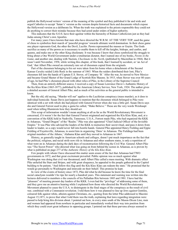publish the Hollywood writers' version of the meaning of the symbol and they published it far and wide and urged Catholics to accept 'Satan's' version as the version despite historical facts and documents which expose the Hollywood version as a deliberate lie. When the truth was explained to the priests responsible they could not do anything to correct their mistake because they had acted under orders of higher authority.

This indicates that the S.O.S. have their agentur within the hierarchy of Roman Catholicism just as they had Judas among Christ's own Apostles.

For many years I have known that men who have directed the W.R.M. AT THE VERY TOP, used the game of chess to symbolize their march of 'peaceful progress' towards ultimate world domination. In their chess game one player represents God, the other the Devil, Lucifer. Pawns represented the masses or Goyim. The Gods sacrifice as many of the pawns as is necessary to enable them to kill off the knights, bishops, and castles, and queens, and make one or the other King checkmate. It was because I knew that chess symbolized the struggle to bring about a One World Government under a totalitarian dictator, that I named one of my books, *Pawns in the Game*, and another one, dealing with Nazism, *Checkmate in the North*, (published by Macmillan in 1944). But it wasn't until November, 1958, while writing this chapter, of this book, that I learned by accident, or 'an Act of God,' that Albert Pike owned an extremely rare set of chessmen copied from the originals.

Part of the chessmen belonging to his set were taken from his home when a detachment of the Second Kansas Cavalry raided Little Rock in the summer of 1863. When the raiders distributed their loot, Pike's chessmen fell into the hands of Captain E.S. Stover, of Company 'B.' After the war, he moved to New Mexico and became Grand Master of the Grand Lodge of Scottish Rite Masons. In 1915, when Stover was over 80 years of age, he had Pike's chessmen placed with other relics of Pike, in the Library of the Supreme Council

Then, from an entirely different source, I received a copy of Susan Lawrence Davis's Authentic History of the Ku Klux Klan (1865-1877), published by the American Library Service, New York, 1924. The author gives a detailed account of General Albert Pike, and as much of his activities as the general public is intended to know.

But the old, old saying, "Murder will out" applies to the Luciferian conspiracy (mass murder), as it does to individual homicide. Susan Davis just happens to mention that the chessmen which belonged to Pike were identical with a set with which she had played with General Forrest when she was a little girl. Susan Davis says she and General Forrest used to play a game he called, "Make Believe." These are the very words Weishaupt used when telling Illuminists how they should act.

This scrap of information wouldn't mean anything at all as far as the World Revolutionary Movement is concerned, if it weren't for the fact that General Forrest originated and organized the Klu Klux Klan, and, at a convention of the KKK held in Nashville, Tennessee, U.S.A., Forrest made Pike, who had organized the KKK in Arkansas, "Grand Dragon" of the "Realm." Pike was also appointed "Chief Judicial Officer of the Invisible Empire." It was Pike who advised the leaders of the KKK to memorize their secret ritual, and pass it down from leader to leader, so a copy would never fall into hostile hands. General Pike appointed Henry Fielding and Eppie Fielding of Fayetteville, Arkansas, to assist him in organizing 'Dens' in Arkansas. The Fieldings had been original members of the Athens,' Alabama Klan until they moved to Arkansas in 1867.

History, as generally taught in American schools and colleges, doesn't put much importance on the fact that the political, religious, and racial strife now rife in Arkansas and other southern states, is only a repetition of what went on in Arkansas during the dark days of reconstruction following the Civil War. General Albert Pike was "The Secret Power" who directed what was going on from behind the scenes in Arkansas, as is proven by what is published on page 277 of the *Authentic History of the Klu Klux Klan*.

Few people with whom I have discussed this matter seem aware of the fact that Arkansas had TWO governments in 1872, and that great excitement prevailed. Public opinion was so much against what Washington was doing that civil war threatened; until Albert Pike called a mass meeting. With dramatic effect Pike unfurled the Stars and Stripes, and with great eloquence, he appealed to the people gathered in the Capitol building to be patient, "And follow this flag until the Klu Klux Klan can redeem the state." He promised that he would go personally to Washington and intercede on their behalf. This promise he kept.

In view of the events of history since 1872, Pike did what he did because he knew the time for the final social cataclysm wouldn't be ripe for nearly a hundred years. This statement and warning was written into the lectures delivered to members o the councils of his Palladian Rite between 1885 and 1901. I have had the "pleasure" of meeting present day leaders of the KKK. I even had the "privilege" of addressing some of them, and they gave me an attentive hearing while I explained how those who directed the World Revolutionary Movement planned to cause the U.S.A. to disintegrate in the final stages of the conspiracy as the result of civil war, combined with a Communist revolution. I told them how it was planned to line up Jews against Gentiles, coloured folk against white, atheists against Christians, etc., quoting from the letter Pike addressed to Mazzini August 15,1871, to prove that what I told them was the truth, explaining that laws regarding integration were passed to help bring this division about. I pointed out how, in every state south of the Mason-Dixon Line, men and women had appeared from nowhere in particular and immediately worked their way into position from which they could exert great influence in opposing groups. I pointed out that these parvenu always seemed to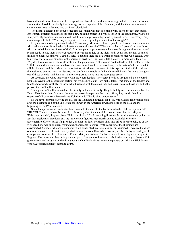have unlimited sums of money at their disposal, and how they could always arrange a deal to procure arms and ammunition. I told them bluntly that these agents were agentur of the Illuminati, and that their purpose was to cause the tensions to develop into strife and bloodshed.

The night I addressed one group of leaders the tension was taut as a piano wire, due to the fact that federal government officials had announced that a new building project in a white section of the community, was to be integrated. My audience had announced that they would prevent integration by armed force, if necessary. They asked me point blank, "What do you expect us to do-accept integration without a struggle?"

I replied with another question. I asked, "How many white and coloured people are there in this community who really want to slit each other's throats and commit atrocities?" There was silence. I pointed out that those who controlled the armed forces of the U.S.A. had paratroops in strategic locations throughout the country, and planes ready to take them wherever required. It was the middle of the night, and I could hear the tick of an oldfashioned clock. As kindly as I could, I said, "I doubt if there are five white or coloured men who actually want to involve the whole community in the horrors of civil war. The hour is late-literally, in more ways than one. Why don't you leaders of the white section of the population go at once and see the leaders of the coloured folk. Tell them you don't want war and bloodshed any more than they do. Ask them, for the sake of all concerned, to tell the few coloured folk, whom the conspirators intend to use as pawns in this experiment, that if they allow themselves to be used thus, the Negroes who don't want trouble with the whites will knock the living daylights out of those who do. Tell them not to allow Negroes to move into the segregated areas."

At daybreak, the white leaders met with the Negro leaders. They agreed to do as I requested. No coloured people moved into the segregated section. No trouble broke out. Two nights later, I met some of the leaders and told them to watch carefully for those who disagreed with the action they had taken, because those would be the provocateurs of the Illuminati.

The agentur of the Illuminati don't lie timidly or for a while only. They lie boldly and continuously, like the Devil. They know that if they can deceive the masses into putting them into office, they can do that direct opposite of all promises afterwards. As Voltaire said, "That is of no consequence."

So we have Jefferson carrying the ball for the Illuminati politically for 1786, while Moses Holbrook looked after the dogmatic end of the Luciferian conspiracy in the Americas towards the end of the 18th and the beginning of the 19th Centuries.

Since then presidential candidates have been selected and elected by those who direct the conspiracy AT THE TOP The masses have been made to think they elect the men of their own choice, but, in reality, as Weishaupt intended, they are given "Hobson's choice." Could anything illustrate this truth more clearly than the last few presidential elections, and the last election fight between Harriman and Rockefeller for the governorship of New York? If a president, or other top level politician slips into office unexpectedly, he or she is silenced one war or another. Presidents not amenable to control by the agentur of the Illuminati are assassinated. Senators who are uncooperative are either blackmailed, smeared, or liquidated. There are hundreds of cases on record to illustrate exactly what I mean. Lincoln, Kennedy, Forrestal, and McCarthy are just typical examples in America. Lord Kitchener, Chamberlain, and Admiral Sir Barry Domvile were typical examples in England. The recent murders in Iraq were all part of the same ruthless and diabolical conspiracy to destroy ALL governments and religions, and to bring about a One World Government, the powers of which the High Priests of the Luciferian ideology intend to usurp.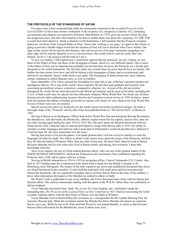# **THE PROTOCOLS OF THE SYNAGOGUE OF SATAN**

For many years I have contended that while the information contained in the so-called *Protocols of the Learned Elders of Zion* does contain verification of the existence of a conspiracy to destroy ALL remaining governments and religions (as exposed by Professor John Robison in 1797), gives an account of how the plan has progressed since, and tells what remains to be done to enable those who direct the conspiracy AT THE TOP to reach their final objective, which is absolute world domination, I still maintain that the Protocols (original plans) are. not those of the Learned Elders of Zion. I know that 'sticking to my guns,' in regard to this matter, is going to provide a double-edged sword that the enemies of God will use to discredit what I have written. One edge of that sword will be used by anti-Semites, who will accuse me of having Communist sympathies, the other edge will be used by Satanists to try to convince those who would wish to read my works that I am Semitic. So be it. I am going to tell the truth as I see it.

To you, my readers, I will explain how I reached the opinion that the protocols' are not, I repeat, are not, those of the Elders of Zion, but those of the Synagogue of Satan, which is a very different matter. One or more of the Elders of Zion can be Satanists-they probably are-but that does not prove the Protocols are a Jewish plot designed to win world domination. The fact that Judas was a traitor does not prove that all Jews are traitors. The further fact that certain Jews have, and still do belong to the Synagogue of Satan, and to revolutionary and subversive movements, doesn't make them a race apart. The Synagogue of Satan always has, since Judaism started, contained so-called (Khazar) Jews, as well as Gentiles.

Since September 1914, I have enjoyed the friendship of a man who is one of Britain's greatest scholars and intelligence officers. He is one of the world's finest linguists. He has done post-graduate and research work concerning geo-political science, economics, comparative religions, etc., in most of the old universities throughout the world. He has been decorated by the British government, and by most of her allies, including the U.S.A. in both world wars, for special services efficiently rendered. When World War Two broke out, all these honours proved rather embarrassing, because when he and I resumed to naval service in 1939, he had to 'usurp' from his uniform the ribbons of medals given him by nations with whom we were allied in the First World War. Several of them were now our enemies.

Special service has taken my friend all over the world, and involved him in political intrigue. He made a thorough study of the 'Protocols' shortly after Nilus first published them as "The Jewish Peril," in Russia in 1905.

Serving in Russia as an Intelligence Officer both before World War One and during the Russian Revolution, the Menshevics, and afterwards, the Bolsheviks, offered a higher reward for his capture, dead or alive, than for any other foreign agent during the years 1916 to 1918. My wife and I spent our delayed honeymoon with my friend and his wife, a Russian lady he married and helped to escape from Russia early in 1918. His ability to translate so many languages provided me with a great deal of information I could not possibly have obtained if it had not been for our close association over the years.

Having had access to his private papers, I am under promise that I will not reveal his identity or write his biography till after his death. The officer to whom I refer knows more about the origin of the Protocols, and how they fell into the hands of Professor Nilus, than any other living man. He knew Nilus when he lived in Russia. He knew Marsden and his wife when they lived in Russia before, and during, the revolution. I share that knowledge with him.

Also, at my request, the son of a high ranking Russian officer, who was one of the greatest leaders of the WHITE RUSSIAN MOVEMENT, checked the information and conclusions I have published regarding the Protocols since 1930, and he agrees with my writings.

Serving in British submarines in 1916 to 1919 as navigating officer, I knew Commander E.N. Cromie, who died in 1917 holding back the revolutionary mob which tried to break into the British Consulate in St. Petersburg, (now Petrograd). The leaders of the mob wanted to get secret and confidential documents they knew my friend had placed in the consulate. Cromie held the mob back with small arms until his associates had burned the documents. He was repeatedly wounded, and so severely that he died on the steps of the embassy. I know what information the leaders of the Menshevics wished to obtain so badly.

My friend's wife is godmother to one of my children, and I have discussed many times with her Russia and Russian affairs. She read my manuscripts dealing with this phase of the W.R.M.. before they were published, as did her husband.

Victor Marsden translated Nilus' book, *The Jewish Peril* into English, and - published it under the misleading title, *The Protocols of the Learned Elders of Zion*. I met him in 1927 when he was touring the world as public relations officer with the then Prince of Wales, now the Duke of Windsor.

Victor Marsden lived in Russia before the revolution as a correspondent for the London Morning Post. He married a Russian lady. When the revolution started the Mensheviks threw Marsden into prison on suspicion that he was a spy. While he was in St. Peter and Paul Prison he was treated brutally, so much so that his heart became filled with hatred for the Mensheviks, most of whom were Jews.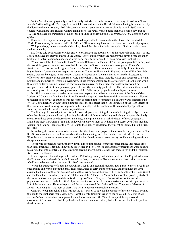Victor Marsden was physically ill and mentally disturbed when he translated the copy of Professor Nilus' Jewish Peril into English. The copy from which he worked was in the British Museum, having been received by the librarian there in August, 1906. Marsden was in such poor health when he did this work in 1920 that he couldn't work more than an hour without taking a rest. He rarely worked more than two hours a day. But in 1921 he published his translation of Nilus' book in English under the title, *The Protocols of the Learned Elders of Zion*.

Because of his experiences in prison, it seemed impossible to convince him that those who directed the World Revolutionary Movement AT THE VERY TOP were using Jews to serve their own diabolical purposes, as 'Whipping-boys,' upon whose shoulders they placed the blame for their sins against God and their crimes against humanity.

My friend told both Professor Nilus and Victor Marsden the TRUE story of the Protocols as he told it to me. I have published the story in Pawns in the Game. A brief outline will place readers who haven't read the other books, in a better position to understand what I am going to say about this much-discussed publication.

When Pike established councils of his "New and Reformed Palladian Rite" in the principle cities throughout the world, he gave definite instructions that the members of those councils were to organize Women's Auxiliaries, to be known as Lodges or Councils of Adoption. These women were carefully chosen from the higher levels of society in their respective countries. They are still active. In England in World War One high society women, belonging to the London Council of Adoption of the Palladian Rite, acted as hostesses to officers on leave from various theatres of war, at the Glass Club. They included wives and daughters of Britain's nobility and members of Britain's government. These women entertained the officers invited to the club while they were on leave. During this period they remained masked, so the officer they entertained would not recognize them. Most of their photos appeared frequently in society publications. The information they picked up was all passed to the supervising directorate of the Palladian propaganda and intelligence service.

In 1885, or thereabouts, a series of lectures was prepared for deliver to the members of the Grand Orient Lodges and Councils of the Palladian Rite. Those who prepared these lectures did so in a manner that allowed the hearer to know just as much as was necessary to permit him to contribute his share towards furthering the W.R.M.., intelligently, without letting him penetrate the full secret that it is the intention of the High Priests of the Luciferian Creed to usurp world power in the final stage of the revolution. If Pike did not prepare these lectures personally, he most certainly inspired them.

The limiting of knowledge to adepts in the lower degrees, deceiving them into believing their objectives are other than is really intended, and by keeping the identity of those who belong to the higher degrees absolutely secret from those even one degree lower than they, is the principle on which the heads of the Synagogue of Satan base their 'SECURITY' It is this policy which enabled them to withhold their secret even from men like Mazzini and Lemmi, leaders of the W.R.M., until the High Priest decides they might be initiated into the FULL SECRET.

In studying the lectures we must also remember that those who prepared them were literally members of the S.O.S.. We must therefore look for words with double meaning, and phrases which are intended to deceive. Word by word, sentence by sentence, study of this horrible document reveals many double meaning words and deceptive phrases.

Those who prepared the lectures knew it was almost impossible to prevent copies falling into hands other than those intended. This they knew from experience in 1784-1786; so extraordinary precautions were taken to make sure that if the contents of these lectures became known, people other than themselves and the Palladian Rite, would be blamed.

I have explained these things to the Briton's Publishing Society, which has published the English edition of the Protocols since Marsden's death. I pointed out that, according to Pike's own written instruction, the word 'God' was to be used when the word 'Lucifer' was intended.

When the Synagogue of Satan plotted Christ's death, and accomplished that foul purpose, they stayed in the background and worked from the dark. They hired Judas to carry out the betrayal, and then made the Jews assume the blame for their sin against God and their crime against humanity. It is the adepts of the Grand Orient and the Palladian Rite who glory in the celebration of the Adonaicide Mass, and, as we shall prove by study of the lectures, those who prepared them for delivery don't care if they sacrifice two-thirds of the world's population in order to reach their final objective and impose a Luciferian totalitarian dictatorship upon what is left of the human race. Those who prepared the lectures served the 'Father of Lies.' They were 'Masters of Deceit.' Knowing this, we must be alert if we wish to penetrate through to the truth.

Contrary to popular belief, Nilus was not the first person to publish the contents of these lectures. I pointed this out to the publishers many years ago. Now the eighty-first impression of the so-called *Protocols of the Learned Elders of Zion* has been given the much more realistic title "World Conquest through World Government." I also notice that the publisher admits, in this new edition, that Nilus wasn't the first to publish the documents.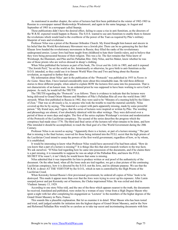As mentioned in another chapter, the series of lectures had first been published in the winter of 1902-1903 in Russian in a newspaper named Moskowskija Wiedomosti, and again in the same language, in August and September of 1903 in a newspaper called Snamja.

These publications didn't have the desired effect, failing to cause a rise in anti-Semitism, as the directors of the W.R.M. expected would happen in Russia. The S.O.S. wanted to use anti-Semitism to enable them to foment the revolutions which would lead to the overthrow of the power of the Tsars as required by Pike's military blueprint of wars and revolutions.

Professor Nilus was a priest of the Russian Orthodox Church. My friend thought him honest and sincere in his belief that the World Revolutionary Movement was a Jewish plot. There can be no gainsaying the fact that Khazar Jews headed the revolutionary movements in Russia; they filled the ranks of the revolutionary underground armies. Lesser Jews had been taught from childhood to hate their Gentile rulers, and to believe that they were being persecuted because of their religion. This was a lie. The fact remains that Nilus knew of Weishaupt, the Illuminati, and Pike and his Palladian Rite. Only Nilus, and his Maker, know whether he was one of those priests who are wolves dressed in sheep's clothing.

When Nilus published the lectures as part of his book, *The Great and the Little* in 1905, and said it exposed "The Jewish Peril," he set the world on fire. Intentionally or otherwise, he gave birth to anti-Semitism as the S.O.S. intended, so they could use it to foment World Wars One and Two and bring about the Russian revolution, as required to further their plot.

My information about Nilus' part in the publication of the "Protocols" was published in 1955 in *Pawns in the Game*. Since then, I have learned considerably more about this remarkable man. He told three different stories to three different people, when asked to explain HOW the lectures first came into his possession. That is not characteristic of an honest man. As an ordained priest he was supposed to have been working to serve God's purpose. As such, he would tell the TRUTH.

The TRUTH regarding the "Protocols" is as follows: There is evidence to indicate that the lectures were being delivered to Grand Orient Masons and Members of Pike's Palladian Rite all over the world from 1885 onwards. When first published in Russia in 1902, they were said to be "Minutes of a meeting held by the Elders of Zion." That was so obviously a lie, to anyone who took the trouble to read the material carefully. Nilus covered up this he by saying, "The material is a report with parts apparently missing, made by some powerful person." My friend says, and I agree, that the series of lectures were inspired or written by Pike. The wording and phraseology are almost, if not absolutely identical with his other writings. They were delivered over a period of three or more days and nights. The first of the series explains Weishaupt's revision and modernization of the Protocols of the Luciferian conspiracy. The second of the series describes the progress which the conspiracy had made since 1776. The third and final series of the lectures tell what remains to be done, and how Pike intended it should be accomplished, to reach the final goal of a One World Government during the 20th Century.

Professor Nilus is on record as saying: "Apparently there is a lecture, or part of a lecture missing." The part that is missing is the final lecture, reserved for those being initiated into the FULL secret that the high priests of the Luciferian Creed intend to usurp the powers of the first world government, regardless of how, or by whom, it is established.

It would be interesting to know what Professor Nilus would have answered if he had been asked, "How do you know that a part of a lecture is missing?" It is things like this that alert research workers to the true facts. We ask ourselves: "If Nilus lied regarding how he came into possession of the documents, and if he claims there is a part missing, it is reasonable to suppose he was an adept of the Palladian Rite, and knew the FULL SECRET If he wasn't, it isn't likely he would know that some is missing.

Nilus admitted that it was impossible for him to produce written or oral proof of the authenticity of the document. On the other hand, when all the loose ends are tied together, we get a clear picture of the continuing Luciferian conspiracy, how it is directed by the S.O.S.-not the Jews, and its ultimate purpose. We see that the W.R.M. is direct AT THE VERYTOP by the S.O.S., which in turn is controlled by the High Priests of the Luciferian Creed.

When Kerensky formed Russia's first provisional government, he ordered all copies of Nilus' book to be destroyed. This made it appear more than ever that the Jews were trying to cover up his exposure. After Lenin usurped power and put Kerensky out of business, the Cheka imprisoned Nilus. He was exiled and died in Vladimir January 13, 1929.

According to one story Nilus told, and the one of the three which appears nearest to the truth, the documents he received, translated and published, were stolen by a woman of easy virtue from a High Degree Mason who spent a night with her after completing his engagement as 'Lecturer' to the members of the higher degrees of the Grand Orient Masonry in Paris, France.

This sounds like a plausible explanation. But let us examine it in detail. What Mason who has been tested and tried, until judged suitable for initiation into the highest degree of Grand Orient Masonry, and/or the New and Reformed Palladian Rite would be so careless as to take top secret and incriminating documents with him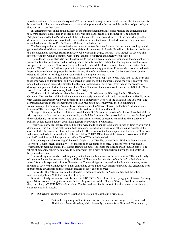into the apartment of a woman of easy virtue? That he would do so just doesrit make sense. Had the documents been stolen the Illuminati would have used their wealth, power and influence, and the millions of pairs of eyes they control, to get them back.

Investigating every angle of the mystery of the missing documents, my friend reached the conclusion that they were given to a lady high in French society who also happened to be a member of "The Lodge of Adoption" attached to the Paris Council of the Palladian Rite. Evidence indicated that the man who gave the documents to this lady was one of the highest and most influential Grand Orient Masons in France, and was undoubtedly a member of Pike's New and Reformed Palladian Rite.

The lady in question was undoubtedly instructed to whom she should entrust the documents so they would get into the hands of those who directed the anti-Semitic movement in Russia. By telling this Russian nobleman that the documents had been stolen from a Jew who was a high degree Mason, it was thought to deceive him into believing the woman's motives were 'pure' and that no intrigue and deceit were involved.

These deductions explain also how the documents first were given to one newspaper and then to another. It was not until after publication had failed to produce the anti-Semitic reaction that the original or another copy was placed in the hands of Professor Satan. Nilus and produced the desired result. I know for a positive fact copies of Nilus' Jewish Peril were placed in the possession of every prominent Russian who was attached to the Imperial household and employed by the Tsar in any kind of executive capacity. Copies were placed on the bureaus of Ladies -in-waiting in their rooms within the Imperial Palace.

Revolutionary activities had divided Russian society into two groups: those who were loyal to the Tsar, and those who were not. Publication, and wide-spread circulation, of the documents under the title TheJewish Peril undoubtedly enabled those who directed the Russian revolutionary movement, from behind the scenes, to develop their plot and further their secret plans. One of them was the international banker, Jacob Schiffof New York, U.S.A., whose revolutionary leader was, Trotsky.

Working with Schiff to bring about the subjugation of Russia was the Warburg family of Hamburg, Germany. The members of this banking house were closely connected with, and on exceptionally friendly terms with Gerson Blechroeder, who was director of Pike's supervisory Council of the Palladian Rite in Berlin. The secret headquarters of those fomenting the Russian revolution in Germany was the big building on Valentinskamp Strasse where Armand Levi had established the "Secret (Jewish) Federation," which became known as "The Sovereign Patriarchal Council," backed by the Rothschild's millions.

Strange as it may seem but as additional proof that the S.O.S. does not consist of orthodox Jews, but of them who say they are Jews, and are not, and thus lie, we find that Lenin was being coached to take over leadership of the revolutionary war in Russia by none other than Lemmi who had succeeded Mazzini as Pike's director of political action. Lemmi had set up his headquarters near Geneva, Switzerland.

Thus we see how the lectures inspired by Pike, were made to appear to be a conspiracy of Jews to win world domination. This charge the real Jews bitterly resented. But when we clear away all confusing aspects of the case the TRUTI-I stands out clear and unmistakable. The version of the lectures placed in the hands of Professor Nilus was used to help those who direct the W.R.M. AT THE TOP to foment the Russian revolutions of 1905 and 1917, and thus put Pike's plans into effect EXACTLY as he intended.

Marsden explains the meaning of the word 'Goyim to be 'Gentiles or non Jews.' With this I cannot agree. The word 'Goyim' meant originally, "The masses of/or the common people." But as the word was used by Weishaupt, its meaning changed to 'Lesser Beings-the mob.' Pike used the word to mean 'human cattle.' The whole of humanity, whom he said was to be integrated into a mass of mongrelized humanity, and enslaved body, mind and soul.

The word 'agentur' is also used frequently in the lectures. Marsden says the word means, "The whole body of agents and agencies made use of by the Elders (of Zion), whether members of the 'tribe' or their Gentile 'tools.' With this explanation I must disagree also. The word Agentur' as used in the Protocols, means, 'every member of society the Synagogue of Satan control and use to put the Luciferian conspiracy into effect, and keep it progressing towards its ultimate goal, regardless of race, colour or creed.'

The words 'The Political' are said by Marsden to mean not exactly the 'body politic,' but the entire machinery of politics. With this definition I do agree.

It must be clearly understood that I believe the PROTOCOLS are those of the Synagogue of Satan. The copy given Nilus was altered slightly to 'make believe they are those of the Elders of Zion, so that those who direct they conspiracy AT THE TOP could use both Zionism and anti-Semitism to further their own secret plans to cause revolution in Russia.

PROTOCOL #1 is nothing more or less than a reiteration of Weishaupt's principles.

A. That in the beginnings of the structure of society mankind was subjected to brutal and blind force, afterwards to law, which is exactly the same force disguised. This being so,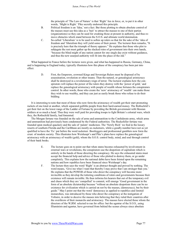the principle of 'The Law of Nature' is that 'Right' lies in force, or, to put it in other words, 'Might is Right.' Pike secretly endorsed this principle.

- B. Political freedom is an 'Idea,' not a fact. But those plotting to obtain absolute control of the masses must use this idea as a 'bait' to attract the masses to one of their parties (organizations) so they can be used for crushing those at present in authority, and thus remove obstacles which stand between the S.O.S. and ultimate world domination.
- C. So-called 'Liberalism' is to be used to soften up rulers so that for the sake of the 'idea of freedom and 'liberalism they will yield some of their power. The lecturer then remarks, "It is precisely here that the triumph of theory appears." He explains that those who plot to subjugate the rest must gather up the slacked reins of government into their own hands, "because the blind might of any nation cannot for one single day exist without guidance, and thus the new usurped authority will fit into the place of the old."

What happened in France before the lectures were given, and what has happened in Russia, Germany, China, and is happening in England today, typically illustrates how this phase of the conspiracy has been put into effect.

> D. First, the Emperors, crowned Kings and Sovereign Rulers must be disposed of by assassination, revolution or other means. Then the natural, or genealogical aristocracy shall be destroyed in a revolutionary reign of terror. The lecturer explains how the conspirators will replace the power of the rulers they destroy with the 'power of gold,' and replace the genealogical aristocracy with people of wealth whose fortunes the conspirators control. In other words, those who create the 'new' aristocracy of 'wealth' can make those they wish to use wealthy, and they can just as easily break those who refuse to do their bidding.

It is interesting to note that most of those who now form the aristocracy of wealth got their start promoting rackets of one kind or another, which separated gullible people from their hard-earned money. The Rothschild's got their feet on the lower rungs of the Ladder of Fortune by providing the British government with Hessian soldiers at so much a head. Thus they were well paid for providing troops to fight Britain's colonial wars, which they, the Rothschild family, had fomented.

The Morgan fortune was founded on the sale of arms and ammunition to the Confederate army, which arms and ammunition had previously been condemned by the Federal authorities. The Rockefeller fortune was founded upon medical quackery and the sale of 'patent' medicines. The 'Newly Rich' we find in the luxury resorts of southern Florida and the Caribbean are mostly ax-racketeers, while a goodly number have not as yet qualified to have the 'Ex' put before the word racketeer. Bootleggers and professional gamblers now form the crust. of modern society. This illustrates how Weishaupt's and Pike's plans have replace the genealogical aristocracy with an aristocracy of wealth (gold), whom the S.O.S. control body, mind, and soul through control of their bank books.

- E. The lecture goes on to point out that when states become exhausted by involvement in external wars or revolutions, the conspirators use the despotism of capitalism which is entirely in the hands of those directing the conspiracy. He says the exhausted states must accept the financial help and advice of those who plotted to destroy them, or go under completely. This explains how the national debts have been foisted upon the remaining nations and how republics have been financed since Weishaupt's day.
- F. The lecture then says the word 'Right' is an abstract thought and proved by nothing. The word means, 'Give me what I want that thereby I may prove that I am stronger than you.' He explains that the POWER of those who direct the conspiracy will become more invincible as they develop the tottering conditions of rulers and governments because their existence will remain invisible. He then informs his hearers that out of the temporary evil and chaos which they are 'compelled' to commit, will emerge 'Good government in the form of an absolute dictatorship because "without an absolute despotism there can be no existence for civilization which is carried on not by the masses, (democracy), but by their guide." May I point out that the word 'democracy as applied to republics and limited monarchies, was introduced by those who direct the conspiracy at the instigation of Voltaire, in order to deceive the masses into believing that they ruled their countries after the overthrow of their monarchs and aristocracy. The masses have elected those whom the directors of the W,RM. selected to run for office: but the agentur of the S.O.S., using Illuminists and agentur, have governed from behind the scenes always since absolute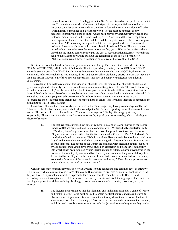monarchs ceased to exist. The biggest lie the S.O.S. ever foisted on the public is the belief that Communism is a workers' movement designed to destroy capitalism in order to introduce socialist governments which can then be formed into an international of Soviet (workingmen's) republics and a classless world. The lie must be apparent to any reasonable person who stops to think. As has been proved by documentary evidence and historical data in Pawns in the Game, Red Fog Over America and this book, capitalists have organized, financed, directed, and then had their agents take over the powers of government in EVERY country subjugated to date. It costs up to hundreds of millions of dollars to finance revolutions such as took place in Russia and China. The preparation period in both countries extended over more than fifty years. We ask the workers where they think the money comes from to pay the cost of reconstruction necessary to repair and replace the ravages of war and build up the economies of the so-called republics? (National debts, repaid through taxation is one source of the wealth of the S.O.S.)

It is time we took the blinders from our eyes so we can see clearly. The truth is that those who direct the W.R.M. AT THE TOP, call them the S.O.S. or the Illuminati, or what you wish, control GOLD, and GOLD controls every aspect of the World Revolutionary Movement. It is the men who control GOLD, the men we commonly refer to as capitalists, who finance, direct, and control all revolutionary efforts in order that they may lead the masses (Goyim) out of their present oppressions, into new and complete subjection-a totalitarian dictatorship.

The reader will do well to remember that God is an absolute God. He requires that absolute obedience be given willingly and voluntarily. Lucifer also will rule as an absolute King for all eternity. The word 'democracy actually means mob rule,' and because it does, the lecturer proceeds to inform his fellow conspirators that the idea of freedom is impossible of realization, because no one knows how to use it with moderation. He said "it is enough to hand over a people to self-government for a short time for them to turn themselves into a disorganized mob." Internal strife than reduces them to a heap of ashes. This is what is intended to happen in the remaining so-called FREE nations.

Considering the fact that these words were uttered half a century ago, they have proved exceptionally true. They prove the devilish cunning and diabolical knowledge the S.O.S. have regarding the weaknesses of human nature. The lecturer then tells his audience, "The mob is a savage, and displays its savagery at every opportunity. The moment the mob seizes freedom in its hands, it quickly turns to anarchy, which is the highest degree of savagery."

> G. The lecturer than explains how, since Cromwell's day, the Goyim (masses of the peoplehuman cattle) are being reduced to one common level. My friend, AK Chesterton, editor of Candour, doesn't agree with me that since Weishaupt and Pike took over, the word 'Goyim' means 'human cattle;' but the fact remains that Chapter 1, Par. 22 of Marsden's translation of the Protocols says, "Behold the alcoholized animals, bemused with drink, the 'right' to the immoderate use of which comes along with freedom. It is not for us and ours to walk that road. The people of the Goyim are bemused with alcoholic liquors (supplied by our agents); their youth have grown stupid on classicism and from early immorality, into which it has been inducted by our special agents-by tutors, lackeys, governesses in the houses of the wealthy, by clerks and by others, by our women in the places of dissipation frequented by the Goyim. In the number of these last I count the so-called society ladies, voluntarily followers of the others in corruption and luxury." Does this not prove we are being reduced to the level of 'human cattle'?

Can any reasonable person deny that society as a whole is being reduced to one common level of iniquity? This is really what class war means. God's plan enable His creatures to progress by personal application to the highest levels of spiritual attainment. It is possible for a human soul to reach the Seventh Heaven, and, according to some theologians, even fill the seats left vacant by Lucifer and his defecting angels. The Luciferian ideology requires that all human beings be dragged down to one common level in sin, corruption, vice, and misery.

> H. The lectures then explained that the Illuminati and Palladians must play a game of "Force and MakeBelieve." Force must be used to obtain political control, and make-believe, to obtain control of governments which do not want to lay down their crowns at the feet of some new power. The lecturer says, "This evil is the one and only means to attain our end, which is good therefore we must not stop at briber}s deceit or treachery when they can be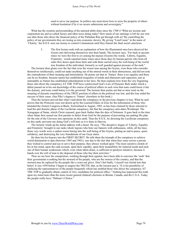used to serve our purpose. In politics one must know how to seize the property of others without hesitation if by it we secure submission and sovereignty."

What has the creation and pyramiding of the national debts done since the 1700's? What are income and corporation tax and so-called luxury and other taxes doing today? How much of our earnings is left for our own use after those who direct the financial policy of the Palladian Rite get through with us? By controlling the policy of our governments they are taxing us into economic slavery. By giving "Lend Lease" in the name of 'Charity,' the S.O.S. uses our money to control Communism until they foment the final social cataclysm.

> I. The first lecture ends with an explanation of how the Illuminated ones have deceived the Goyim into delivering themselves into their hands. The lecturer says, "Far back in ancient times we were the first to cry among the masses (Goyim) the words, 'Liberty, Equality, Fraternity,' words repeated many times since those days by human parrots who from all sides flew down upon these baits and with them carried away the well-being of the world, true freedom of the individual, formerly so well guarded against pressure of the mob."

The lecturer then gloats over the fact that even the wisest men among the Goyim, even those who consider themselves intellectuals, could not make anything out of the uttered words in their abstractness, and did not note the contradiction of their meaning and interrelation. He points out that in 'Nature' there is no equality and there can be no freedom, because nature has established inequality of minds and characters and capacities, just as immutably as Nature has established subordination to her laws. He then explains how from the very beginning those who direct the conspiracy AT THE TOP have contravened God's Law of Dynastic Rule under which a father passed on to his son knowledge of the course of political affairs in such wise that none could know it but the dynasty, and none could betray it to the governed. The lecturer then points out that as time went on the meaning of dynastic transference of the TRUE position of affairs in the political was lost, and this loss aided the success of their cause. (See Pike's dogma re 'Nature' elsewhere in this book.)

Thus the lecturer proved that what I said about the conspiracy in the previous chapters is true. What he said proves that the Protocols were not drawn up by the Learned Elders of Zion for the information of those who attended the Zionist Congress at Basle, Switzerland in August, 1903, as has been claimed by those selected to lead the anti-Semitic phase of the Luciferian conspiracy, but that the conspiracy ante-dates Weishaupt. The Synagogue of Satan, which Christ exposed, goes back fiuther than the days of Solomon. It goes back to the time when Satan first caused our first parents to defect from God for the purpose of preventing our putting His plan for the rule of the Universe into operation on this earth. Thus the S.O.S., by directing the Luciferian conspiracy on this earth, prevents our doing God's will here as it is done in Heaven.

The lecturer winds up his initial address with a boast: He says, "The deceptive slogan of 'Liberty, Equality and Fraternity' brought to our ranks whole legions who bore our banners with enthusiasm, while, all the time, those very words were a canker-worm boring into the well-being of the Goyim, putting an end to peace, quiet, solidarity, and destroying the very foundations of our Goya states.

He then lets his hearers into the FIRST SECRET. He tells them the triumph of the conspiracy to achieve world domination to date (between 1885 and 1901), was due to the fact that when they came across a person they wished to control and use to serve their purpose, they always worked upon "The most sensitive chords of his or her mind, upon the cash account, upon their cupidity, upon their insatiability for material needs and each one of their human weaknesses which, even when taken alone, is sufficient to paralyze initiative, because it hands over the will of men to the disposal of those who buy their activities."

Thus we see how the conspirators, working through their agentur, have been able to convince the 'mob' that their government is nothing but the steward of the people, who are the owners of the country, and that the steward may be replaced by the people like a worn-out glove. Don't feel badly. I myself was fooled into that belief. It was 1950 before I began to suspect the TRUTH, that, as the lecturer put it, "It is his possibility of replacing the representatives of the people frequently which has enabled those who direct the conspiracy AT THE TOP to gradually obtain control of ALL candidates for political office." Nothing has impressed this truth upon my mind more than the more recent general (federal) elections in Britain, Canada, and the U.S.A. Today the people really have "Hobson's Choice."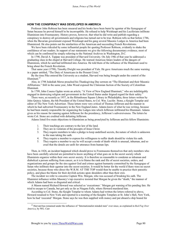### **HOW THE CONSPIRACY WAS DEVELOPED IN AMERICA**

Professor John Robison has been smeared and his books have been burnt by agentur of the Synagogue of Satan because he proved himself to be incorruptible. He refused to help Weishaupt and his Luciferians infiltrate Illuminism into Freemasonry. History proves, however, that what he did write and publish regarding a conspiracy to destroy all governments and religions has turned out to be true. Robison tells us that before 1786, when the Bavarian government exposed Weishaupt and his gang several Masonic Lodges in America had been Illuminized. He also points out the similarities of the American and succeeding French Revolutions.

We have been ridiculed by some influential people for quoting Professor Robison, evidently to shake the confidence of our readers. In support of our statements we give the following documentary evidence, most of which can be confirmed by simply referring to the National Archives in Washington, D.C.

In 1798, David A. Tappan was president of Harvard University. On July 19th of that year he addressed a graduating class in the chapel at Harvard College. He warned Americas future leaders of the dangers of Illuminism, which he said had infiltrated into America. He told them of the influence of the Illuminati used to bring about the French Revolution.

That same year (1798), Timothy Dwight was president of Yale. He gave Americans much the same warning in a paper entitled, "The Duty of Americans in the Present Crisis."

By the time Pike entered the University as a student, Harvard was being brought under the control of the Illuminati.25

Also, in 1798 Jedediah Morse preached his Thanksgiving Day sermon on "The Illuminati and their Masonic Affiliations." Still in the same year, John Wood exposed the Clintonian faction of the Society of Colombian Illuminati.

In 1799, John Cosens Ogden wrote an article, "A View of New England Illuminati," who are indefatigably engaged in destroying religion and government in the United States under feigned regard for their safety."

There were, as recently as 1957, in the Rittenhouse Square Library in Philadelphia, three letters written by John Quincy Adams, the 6th President of the United States, to Col. Wm. Lucifer. Stone, a Knight Templar and editor of The New York Advertiser. These letters were very critical of Thomas Jefferson and the manner in which he had subverted Freemasonry in the New England states. Adams knew of what he was writing, because he had been mainly responsible for organizing the Lodges into which Jefferson infiltrated his Illuminati. Adams gives as his reason for running against Jefferson for the presidency, Jefferson's subversiveness. The letters he wrote Col. Stone are credited with defeating Jefferson.

Adams listed five main objections to Illuminism as being proselyted by Jefferson and his fellow Illuminists:

- 1. Their teachings are contrary to the law of the land.
- 2. They are in violation of the precepts of Jesus Christ.
- 3. They require members to take a pledge to keep undefined secrets, the nature of which is unknown to the man taking the oath.
- 4. They require a member to express his willingness to suffer death should he violate his oath.
- 5. They require a member to say he will accept a mode of death which is unusual, inhuman, and so cruel that the details are unfit for utterance from human lips.

Then, in 1826, an incident happened which should prove to Freemasons themselves that only members who have been carefully selected are permitted to know anything of what goes on in the secret society which Illuminists organize within their own secret society. It is therefore as reasonable to condemn as inhuman and diabolical a person suffering from cancer, as it is to blame the rank and file of secret societies, orders, and organizations and groups for the sins against God and crimes against humanity committed by the Synagogue of Satan who infiltrate their agentur into the secret societies. It would be better for the world if there were no secret societies, because those who direct the W.R.M. AT THE TOP would then be unable to practice their parasitic policy, and place the blame for their devilish actions upon shoulders other than their own.

The incident we refer to concerns Captain Wm. Morgan, who was accused of breaking his oath. The Illuminist influence within Masonry's top executive insisted that Morgan be given the "death," the manner of which Adams had been so disgusted and critical.

A Mason named Richard Howard was selected as 'executioner.' Morgan got warning of his pending fate. He tried to escape to Canada, but got only as far as Niagara Falls, where Howard murdered him.

According to Col. Stone, the Knight Templar to whom Adams had written the letters referred to above, Howard resumed to New York and reported to a meeting of the Knights Templars at St. John's Hall, New York, how he had 'executed' Morgan. Stone says he was then supplied with money and put aboard a ship bound for

 <sup>25</sup> Harvard has remained under the influence of "Internationalist minded men" ever since, as explained in *Red Fog Over America*, by WG. Carr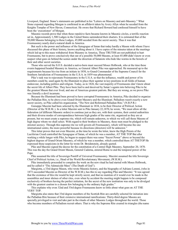Liverpool, England. Stone's statements are published in his "Letters on Masonry and anti-Masonry." What Stone exposed regarding Morgan is confirmed in an affidavit taken by Avery Allyn when he seceded from the Knights Templar of New Haven, Connecticut. He swore that Richard Howard had confessed himself to have been the 'executioner' of Morgan.

Masonic records prove that when these repulsive facts became known in Masonic circles, a terrific reaction set in, Approximately 1,500 Lodges in the United States surrendered their charters. It is estimated that of the 50,000 Masons belonging to these Lodges, 45,000 seceded from the secret society. Thus it was that Freemasonry nearly died a natural death in America.

But such is the power and influence of the Synagogue of Satan that today hardly a Mason with whom I have discussed this phase of their history, knows anything about it. I have copies of the minutes taken at the meetings which led up to this mass withdrawal from Masonry in America, These TRUTHS are not published to hurt Freemasons, but to prove conclusively that out of a possible 50,000 Masons, at least 45,000 didn't know or even suspect what goes on behind the scenes under the direction of Satanists who hide like worms in the bowels of their and other secret societies.

Those who served the S.O.S. decided a native-born must succeed Moses Holbrook, who at the time these events happened headed Masonry in America, so General Albert Pike was approached. He measured up to the requirements because his rise from an initiate in 1850, to Grand Commander of the Supreme Council for the Southern Jurisdiction of Freemasonry in the U.S.A. in 1859 was phenomenal.

Pike's task was to rejuvenate Freemasonry in the U.S.A. so that the influence, wealth and power of its members could be, used again by the Illuminati to place their agentur in key positions in all fields of human endeavour, including politics and religion. Today, as in 1826, the vast majority of Freemasons don't know about the secret life of Albert Pike. They have been lied to and deceived by Satan's agents into believing Pike to be the greatest Mason that ever lived, and one of Americas greatest patriots. But they are wrong, as we prove Pike was literally a devil incarnate.

Because the Illuminati had been proved to have corrupted Freemasonry in America, Pike decided to organize the Palladian Rite, to be above even Grand Orient Masonry and the Illuminati. Palladism wasrit exactly a new secret society, so Pike called his organization, "The New and Reformed Palladian Rite," (N.R.P.R.)

Guiseppe Mazzini had been selected by the Illuminati in 1834, to be their Director of Political Action (Director of the W.R.M..). In a letter Mazzini sent to Pike January 22,1870, he wrote, "We must allow all the federation (of different Masonic orders) to continue just as they are, with their systems, their central authorities and their diverse modes of correspondence between high grades of the same rite, organized as they are at present, but we must create a supreme rite, which will remain unknown, to which we will call those Masons of high degree whom we shall select. With regard to their brothers in Masonry, these men must be pledged to the strictest secrecy. Through this supreme rite we will govern all Freemasonry, which will become the one international centre, the more powerful because its directions (directors) will be unknown."

This letter proves that not even Mazzini, at the time he wrote the letter, knew the High Priests of the Luciferian Creed controlled the Synagogue of Satan, of which he was a member, AT THE TOP But after working a while longer with Pike, he began to suspect there was some "Secret Power" above or beyond the highest degrees of Grand Orient Masonry, of which he was a member, which controlled them AT THETOP He expressed these suspicions in the letter he wrote Dr. Breidenstein, already quoted.

Pike and Mazzini signed the decree for the constitution of a Central High Masonry, September 20, 1870. This was the day the Grand Orient Mason, General Cadorna, entered Rome to end the temporal power of the Pope.

Pike assumed the title of Sovereign Pontiff of Universal Freemasonry. Mazzini assumed the title Sovereign Chief of Political Action, i.e., Head of the World Revolutionary Movement, (W.R.M.).

Pike immediately proceeded to complete the work on the new ritual he had started with Moses Holbrook, and he called it "The Adonaicide Mass" (The Death of God").

Margiotta, a 33rd degree Mason, who wrote Masonic history, and the biography of Adriano Lemmi, (who in 1873 succeeded Mazzini as Director of the W.R.M.), has this to say regarding Pike and Mazzini: "It was agreed that the existence of this rite would be kept strictly secret, and that no mention of it would ever be made in the assemblies and inner shrines of other rites, even when by accident the meeting might happen to be composed exclusively of brothers having the perfect initiation, for the secret of the new institution was only to be divulged with the greatest caution to a chosen few belonging to the ordinary high grades."

This explains why even 32nd and 33rd degree Freemasons know so little about what goes on AT THE VERY TOP.

Margiotta also states that 33rd degree members of the Scottish Rite are carefully selected for initiation into the Palladian Rite because of their extensive international ramifications: Thirty-third degree Masons are specially privileged to visit and take part in the rituals of other Masonic Lodges throughout the world. Those who become members of Palladism recruit others. That is why the Supreme Rite created its triangles (the name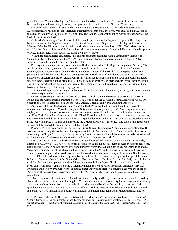given Palladian Councils) by degrees. These are established on a firm basis. The lowest of the initiates are brothers long tested in ordinary Masonry, and proved to have defected from God and Christianity.

Margiotta adds: "One will better understand these precautions knowing that Palladism is essentially a Luciferian rite. Its religion is Manichean neo-gnosticism, teaching that the divinity is dual, and that Lucifer is the equal of Adonay, with Lucifer the God of Light and Goodness struggling for humanity against Adonay the God of Darkness and Evil.<sup>26</sup>

As Lucifer's Sovereign Pontiff on earth, Pike was the president of the Supreme Dogmatic Directory, assisted by ten Ancients of the Supreme Council of the Grand Orient. Pike's Supreme Grand College of Emeritus Masons (Palladian Rite), accepted the Adonaicide Mass, sometimes referred to as "The Black Mass," as the ritual for the New and Reformed Palladian Rite. Mazzini was sent a copy of the ritual. He was high in his praise of Pike, as his articles published in "La Roma del Popolo" prove.

With these preliminaries completed, Pike and his assistants organized with a Supervisory Triangle, or Council, in Rome, Italy, to direct the W.R.M. in all its many phases. He placed Mazzini in charge. After Mazzini's death, he made Lemmi Supreme Director.

Pike organized another supervisory council in Berlin. He called it, "The Supreme Dogmatic Directory." It was kept functioning by means of a constantly renewed committee of seven, selected from the Supreme Council, Grand Encampments, Grand Orients, and Grand Lodges of the world. Two delegates looked after propaganda and finance. The director of propaganda was also director of intelligence, keeping the other two supervisory directors and the Sovereign Pontiff fully informed regarding important news and events gathered into this central clearing house, from the 'Millions of pairs of eyes' which their agentur control throughout the world. They boast that not even a minor piece of legislation can be put through any parliament without them having full knowledge of it, and giving approval.

The financial agent draws up a general balance sheet of all rites, in all countries, working with an accountant as a sworn expert under his orders.

Under the Sovereign Directory in Charleston, South Carolina, and the Executive of Political Action in Rome, and the Administrative Dogmatic Council in Berlin come the 23 Grand Central Directories which are bureaus or Councils established in Europe, Asia/ Africa, Oceania, and North and South America.

And above all these, the Synagogue of Satan-the High Priests of the Luciferian Creed rule-invisible, unidentified, and supreme. When the League of Nations was first organized (1919), Pike's organization was slightly revised, and the supervisory, executive, and administrative branches were established in Switzerland and New York. But it doesn't matter where the BRAINS are located, they have perfect communication systems, and they control and direct ALL other subversive organizations and activities. That control and direction are the same today as in Pike's lifetime and at the time the League of Nations was formed. The same conspirators who formed and developed those, also developed the U.N.O.

Please don't take my word for it. St. Paul, in II Corinthians 11:13 told us, "For such false apostles, deceitful workers, transforming themselves into the Apostles of Christ. And no marvel; for Satan himself is transformed into an angel of Light. Therefore, it is no great thing (not to be wondered at) if his ministers also be transformed as the ministers of righteousness whose ends shall be according to their works."

Let us pull aside the veil with which Pike enshrouded himself, still further. I am aware that Dr. Bataille, author of *Le Diable au XLX e seicle*, has been accused of publishing misstatement as facts on various occasions, but that does not mean he was always lying and publishing untruths. What he has to say regarding Pike and his "occultism' on page 360 of the above publication is confirmed in "Occult Theocracy' on page 223, written by Lady Queensborough. Further confirmation is to be found in the Masonic Library in Charleston, South Carolina.

That Pike believed in occultism is proved by the fact that there is on record a report of the speech he made before the Supreme Council of the Grand Orient, Charleston, South Carolina, October 20,1884, at which time he said: "At St. Louis, we operated the Grand Rites, and through Sister Ingersoll, who is a first class medium, received astonishing revelations during a solemn Palladian session at which I presided, assisted by Brother Friedman and Sister Warhnburn. Without putting Sister Ingersoll to sleep, we saturated her with the spirit of Ariel himself But Ariel took possession of her with 329 more spirits of fire, and the seance from then on was marvelous.

"Sister Ingersoll, lifted into space, floated over the assembly, and her garments were suddenly devoured by a flame which enfolded her without burning her. We saw her thus in a state of nudity for over ten minutes. Flitting above our heads as though borne by an invisible cloud, or upheld by a beneficent spirit, she answered all questions put to her. We thus had the latest news of our very illustrious brother Adriano Lemmi-then Astaroth, in person, revealed himself, flying beside our medium, and holding her hand. He breathed upon her, and her

<sup>&</sup>lt;sup>26</sup> We wonder what the Rt. Hon. John Deifenbaker, Prime Minister of Canada, and the Hon. Leslie Frost, Premier of Ontario, Canada's largest and richest province, have to say about this. In our monthly newsletter, N.B.N., Oct. Issue, 1958, we published the fact that they both were initiated into the 33rd degree of the Scottish Rite in Windsor, Ontario, September 9, 1958.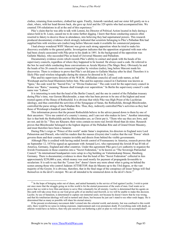clothes, returning from nowhere, clothed her again. Finally, Astaroth vanished, and our sister fell gently on to a chair, where, with her head thrown back, she gave up Ariel and the 329 spirits who had accompanied him. We counted 330 exhalations in all at the end of this experience."

Pike's claim that he was able to talk with Lemmi, his Director of Political Action located in Italy during a séance held in St. Louis, caused me to do some further digging. I knew that those conducting seances often resorted to fakery to deceive those in attendance, into believing they had supernatural powers. This research produced documentary evidence which strongly indicated that scientists belonging to Pike's Palladian Rite had supplied him with wireless sets (radio) long before Marconi made it available for commercial purposes.

I had always wondered WHY Marconi was given such strong opposition when he tried to make his discovery available to the general public. Investigation indicates that the opposition originated with men who had been closely associated with Pike prior to his death in 1891. In the background of the opposition was Gallatin Mackay, who succeeded Pike as head of Universal Masonry and Palladism.

Documentary evidence exists which records Pike's ability to contact and speak with the heads of his supervisory councils, regardless of where they happened to be located. He always used a code. He referred to the box he used while conducting these conversations as Arcula Mystica (The Magic Box). Obviously he and the heads of his 26 councils were connected together by wireless (radio), long before Marconi made his discoveries. There is evidence to prove that Pike's set did pass to Gallatin Mackay after he died. Therefore it is likely Pike used wireless telegraphy during the séances he directed in St. Louis.

Pike and his supervisory directors of the W.R.M.. (Palladian councils) all used code names, as had Weishaupt and his head Illuminists before him. Pike and his supreme council in Charleston was known as "Ignis," the code word for "Sacred Fire," or "Divine Endeavour." The code word for the supervisory council in Rome was "Ratio," meaning "Reason shall triumph over superstition." In Berlin the supervisory council's code name was "Labour."

It is interesting to note that the head of the Berlin Council, and the one in control of the Palladian treasury during Pike's time, was Gerson Bleichroeder, a man who has been proven to be one of the highest and most trusted agents of the House of Rothschild. It is obvious that while Pike was High Priest of the Luciferian ideology, and thus controlled the activities of the Synagogue of Satan, the Rothschilds, through Bleichroeder, controlled the purse strings of the Palladian Rite. Thus, they, indirectly controlled Pike's activities as they had those of Weishaupt a hundred years before.

This information proves that the present Rothschilds believe in the advice passed down to them by one of their ancestors: "Give me control of a country's money, and I care not who makes its laws." Another interesting fact is that both the Rothschilds and the Bleichroeders are, as Christ put it, "Them who say they are Jews, and are not, and do lie." They are Khazars; their veins contain no more real Jewish blood than do mine. Research proves that Bleichroeder belonged to the highest degrees of the Palladian Rite and of Grand Orient Masonry, and must therefore have been a Satanist.

During Pike's reign as "Prince of this world" under Satan's inspiration, his directors in England were Lord Palmerston and Disraeli, who told his readers that the masses (Goyim) don't realize that the real 'Power' which governs them and their country remains invisible and directs from behind the visible governments.

Although Pike is credited with having ended Jewish control of Freemasonry in America, research proves that on September 12, 1874 he signed an agreement with Armand Levi, who represented the Jewish B'nai B'rith of America, Germany, England and other countries. Under this agreement Pike gave Levi authority to organize the Jewish Freemasons in those countries into a "Secret Federation," to be known as "The Sovereign Patriarchal Council." Its international headquarters were setup in a big building on Valentinskamp Strasse, Hamburg, Germany. There is documentary evidence to show that the head of this "Secret Federation" collected in fees approximately \$250,000 a year, which money was used mostly for payment of propaganda favourable to secularism: It is safe to say that the "Lesser Jew" doesn't know any more about what is going on behind the scenes among those who control Judaism ATTHETOP, than do Masons up to the 33rd degree, or the vast majority of the Goyim. It is obvious, therefore, that in the final stage of the conspiracy all lesser beings will find themselves in the devil's stewpot. We are all intended to be simmered down in the devil's brew.<sup>27</sup>

 $27$  In the hope of bringing order out of chaos, and united humanity in the service of God against Lucifer, I wish to point out once more that the struggle going on in this world is for the eternal possession of the souls of men. God wants us to prove that we wish to love Him and desire to serve Him voluntarily for all eternity. Lucifer is determined that his agents on this earth will take away from us our God given gifts of an intellect and freewill, so we will be unable to make this decision. Lucifer, by use of Satanism, is determined to capture out immortal souls; not because he doesn't know that he was wrong, and that his totalitarian ideology will end in turmoil and chaos, but because he just can't stand to see other souls happy. He is determined that as many as possible will share his eternal misery.

If the present revolutionary movement didn't extend into the celestial world, and eternity, but was confined to this world only, there would be no sense in risking exposure, imprisonment and even premature death. If everything ends with death, as atheists would have us believe, then why put ourselves out furthering a plot or plan we will not live to see accomplished?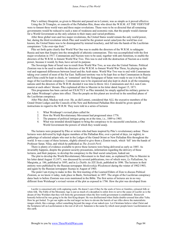Pike's military blueprint, as given to Mazzini and passed on to Lemmi, was as simple as it proved effective. Using the 26 Triangles, or councils of the Palladian Rite, those who direct the W.R.M. AT THE VERYTOP were to foment three world wars and three major revolutions. These were to be so directed that all remaining governments would be reduced to such a state of weakness and economic ruin, that the people would clamour for a World Government as the only solution to their many and varied problems.

After three global wars and two major revolutions, the United States would remain the only world power, but, during the third revolution which Pike said would be the greatest social cataclysm the world has ever known, the United States was to be disintegrated by internal treachery, and fall into the hands of the Luciferian conspirators "Like over-ripe fruit."

Pike set forth quite clearly that World War One was to enable the directors of the W.R.M. to subjugate Russia and turn that Empire into the stronghold of atheistic-communism. This was accomplished with the first major revolution in 1917. Communism and Nazism were to be used, together with anti-Semitism, to enable the directors of the W.R.M. to foment World War Two. This was to end with the destruction of Nazism as a world power, because it would, by then, have served its purpose.

The Sovereign State of Israel was to result from World War Two, as was also the United Nations. Political Zionism was to be used to enable the directors of the W.R.M. to foment World War Three, by playing up the real and supposed differences between Israel and the Arab states. World War Two was to end with Communism taking over control of most of the Far East. Sufficient territory was to be kept free so that Communism in Russia and China could be kept in check, or 'contained' until the Synagogue of Satan were ready to use it in the final stage of the Luciferian conspiracy. Communism was to be organized and also kept in check in all the remaining nations until the directors of the W.R.M. decided it was time to throw ALL Communists and ALL non-Communist at each others' throats. Pike explained all this to Mazzini in his letter dated August 15, 1871.

This programme has been carried out EXACTLY as Pike intended; he simply applied his military genius to put Adam Weishaupt's plans into effect. Thus the people on this planet are involved in the semifinal phase of the Luciferian conspiracy.

After Pike died, Mackay took over. He, as did Lemmi, considered that ALL the executive members of the Grand Orient Lodges and the Councils of the New and Reformed Palladian Rite should be given special instructions in regard to the W.R.M. They were told in a series of lectures

- 1. What Weishaupt's revised plans called for.<br>2. How the World Revolutionary Movement h
- 2. How the World Revolutionary Movement had progressed since 1776.<br>3. The purpose of political intrigue going on at the time, i.e., 1889 to 190
- The purpose of political intrigue going on at the time, i.e., 1889 to 1903.
- 4. What was intended should happen to bring the conspiracy to its successful conclusion, a One World Government the powers of which they would usurp.

The lectures were prepared by Pike or writers who had been inspired by Pike's revolutionary ardour. These lectures were delivered by high degree members of the Palladian Rite, over a period of days, (or nights), to gatherings of selected adepts who met in the Lodges of the Grand Orient or New Palladian Rite throughout the world. It was a copy of these lectures, slightly altered to give them a Zionist touch, which 'fell' into the hands of Professor Satan. Nilus, and which he published as *The Jewish Peril*.

There is plenty of evidence available to prove these lectures were being delivered as early as 1885. As invariably happens, despite the greatest security precautions, information regarding the delivery of these lectures, and their purpose, to develop the conspiracy to the final social cataclysm, leaked out.

The plot to develop the World Revolutionary Movement to its final state, as explained by Pike to Mazzini in his letter dated August 15,1871, was discussed by several publications, two of which were, *Le Palladisme*, by Margiotta, p. 186, published in 1895, and in *Le Diable Au XIX Siede*, published in 1896. The lectures in their entirety were published by the Russian newspaper *Moskowskija Wiedomosti* during the winter of 1902/1903, and again by the Russian newspaper *Snamja* in August of 1903.

The point I am trying to make in this: the first meeting of the Learned Elders of Zion to discuss Political Zionism, as we know it today, took place in Basle, Switzerland, in 1897. The origin of the Luciferian conspiracy dates back to before Zionism was even mentioned in the Bible. The first series of lectures are in no way different from Weishaupt's revised version of the plot as exposed in 1786. How the plot was developed from

 $\overline{a}$ 

Lucifer is concerned only with capturing souls. He doesn't care if they be the souls of Jews or Gentiles, coloured folk or white folk. The Fable of the Messianic Age is just as much of a decephon to enlist Jews to serve the cause of Lucifer as is the dream of One Worlders that they will form the government when the first world government is established. Roosevelt honestly believed he was going to be the first King-despot. He was disillusioned when Stalin double-crossed him after Yalta. How he got fooled. To get our sights on the real target we have to elevate the barrels of our rifles above the materialistic images which, like a mirage, reflect something beyond the range of our naked eyes. Let Christians believe what Christ and the Scriptures tell us-Luciferianism is the root of all evil. Satanism is the name by which most people know Luciferianism on this earth.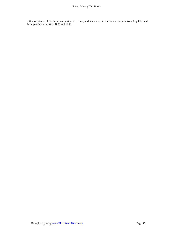1786 to 1886 is told in the second series of lectures, and in no way differs from lectures delivered by Pike and his top officials between 1870 and 1886.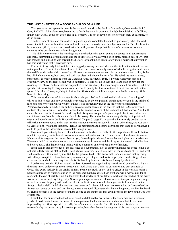## **THE LAST CHAPTER OF A BOOK AND ALSO OF A LIFE**

That you have read up to this point is the last work, cut short by death, of the author, Commander W.J.C. Carr, R.C.N.R. I, his oldest son, have tried to finish the work in order that it might be published to fulfill my father's last wish. I could not do so, and in all honesty, I do not believe it possible for any man, at this time, to do so either.

The life work of one man can seldom be picked up and completed by another, particularly when the work covers the field dealt with in this book and in the books previously published by Commander Carr. I believe that he was a man gifted, or perhaps cursed, with the ability to see things that the rest of us cannot see or even conceive to be possible in our wildest imaginings.

This ability to see clearly the workings and machinations that go on behind the scenes in all governments and many international organizations, and the ability to follow clearly the often dimly marked trail of Evil that has crawled and slimed its way through the history -of mankind, is given to few men. I believe that my father had this ability and that it died with him.

For most of my early life I watched him doggedly tracing one lead after another to find the ultimate answer to the problem of Evil in the affairs of men. At that time I was not really aware of what he sought or understood the terrible strain under which he worked. His searches were never easy on him or on those close to him, for he had all the human traits, both good and bad, that bless and plague the rest of us. He asked me several times, particularly after my discharge from the Canadian Army in August, 1945, if I would work with him and eventually carry on the fight he felt was so important. I could not do so then and I cannot do so now for the reasons given above. At his death, he bequeathed to me his library, his manuscripts, and all his notes. He did not specify that I must try to carry on his work in order to qualify for this inheritance. I must confess that I rather spurned the idea of doing anything to further his efforts and even felt in a vague way that he was way off the beam in his writings.

This manuscript was left in storage for about six years before I started to think of some of the things of which he had written and how accurately he seemed to be able to pinpoint certain future events in the affairs of men and of the world in which we live. I think it was particularly true at the time of the assassination of President Kennedy in 1963. If the author is anywhere near correct in his charges that the S.O.S. pretty well controls all governments, it would be impossible for anyone to learn of the truth behind that murder. And I still cannot believe that the Assassin's murder by Jack Ruby was not part of a prearranged plan to keep all details and information from the public view. I could be wrong. The author had an uncanny ability to pinpoint such events and even his own death. If you will reread Chapter 3, page 41, he says that he seriously doubts that he will write any more books and at that time he was not any more seriously ill. than at other times, and was only 62 years of age. With these thoughts, I reread the manuscript and became convinced that I had to do whatever I could to publish the information, incomplete though it was.

How much you actually believe of what you read in this book is really of little importance. It would be too much to expect anyone to be able to assimilate such material in one bite. The exposure of such monstrous and inhuman plots verges on the impossible and yet, down deep inside me, I know that such plots. are in existence. The more I think about these matters, the more convinced I become and this in spite of a natural disinclination to believe at all. This latter feeling I think will be a common one for the majority of readers.

Even though this knowledge of the existence of a supernatural plot to destroy mankind has come to me, I do not particularly fear the plot in itself. I have always believed, in a general way, of the existence of Evil and what Evil tried to do with me and by me. But, by the grace of God, I also know that Good exists and that by trying with all my strength to follow that Good, automatically I relegate Evil to its proper place on the fringe of my existence, in much the same way that cold is displaced by heat and mist burned away by a hot sun.

I do believe now that Evil exists and has been fostered and organized by men directed by the Devil. But as the same time I believe even more strongly that God IS and that Christ, as our closest and best example of Good, also exists actively in the affairs of men. To me, the study of Evil and its effect in the world, is rather a negative approach to finding solution to the problems that have existed, do exist and will always exist, for all men, until the end of earthly time. Undoubtedly the knowledge of my father's work and the reading of his many works have influenced my life greatly. Several years ago, when our children were self-supporting and no longer needed our direct help, my wife and I decided to dedicate several or all of our years to full time work in the foreign mission field. I think this decision was taken, and is being followed, not so much to be 'do-gooders' as for our own peace of mind and well being; a long time ago I discovered that human happiness can best be found by giving of oneself in the service of others as long as the motive for that giving rests in the love of the God who created me.

I think that the answer to the Evil, as exposed and defined by my father, is for every man and woman of goodwill, to dedicate himself or herself to some phase of the human scene in such a way that the scene is improved by the effort expended. It really doesn't matter very much if the effect achieved is visible or measurable by the person or by his contemporaries, but rather that each man gives of his best to try and succeed.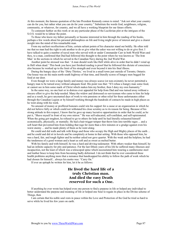At this moment, the famous quotation of the late President Kennedy comes to mind: "Ask not what your country can do for you, but rather what you can do for your country." Substitute the words God, neighbours, religion, community, or whatever, for country, and we all have a working blueprint for our future efforts.

To comment further on this work or on any particular phase of the Luciferian plot or the intrigues of the S.O.S. would be to labour the point.

To those who knew my father personally or became interested in him through the reading of his books, perhaps a few words about his personal philosophies on life and living might prove of interest and give a clearer insight into the mind of this remarkable man.

From my earliest recollections of him, certain salient points of his character stand out boldly. He often told me that no man had the right to ask another to do or give what the asker was not willing to do or give first. I have talked to quite a number of naval men who served with or under Commander Carr in both World Wars and they, to a man, confirmed that Dad had followed this thought to the point where he was known as 'The Iron Man' in the sections in which he served in the Canadian Navy during the 2nd World War.

Another point he stressed was that: 'A man should work like Hell while alive in order that he didn't wind up in Hell when dead.' This book you have just finished reading is proof that he followed this dictate of conscience also because he worked up to the limit of his strength and even beyond it into his final illness.

During the hungry days of the 'Dirty Thirties,' we lived in a small town just outside of Toronto, Ontario. Our house was on the main north-south highway of that time, and literally scores of hungry men begged for food at our door.

Even though we were a large family and money was always scarce (or non-existent), he never permitted a hungry man to be turned away without adequate food. His point was that: "If I refuse a hungry man some food, or cannot see in him some mark of Christ which makes him my brother, then I deny my own humanity."

In the same way, no one hurt or in distress ever appealed for help from Dad and was turned away without a sincere effort to give the help needed. Many the widow and distressed ex-serviceman who came to him for help and as a result, he gave uncounted days of work to win pensions or other relief for these unfortunates either through the Canadian Legion or by himself working through the hundreds of contacts he made in high places as he went along with his work.

No amount of money or proffered honours could win his support for a cause or an organization in which he did not believe fully or which could not withstand his close scrutiny as to its reason for being. Because of his strong attitude in this respect, I know that he gave up many lucrative opportunities in order that he could, as he put it, "Shave myself in front of my own mirror." He was self-educated, self-confident, and self-opinionated. When the going got toughest, he refused to go to others for help until he had literally exhausted himself economically, physically, or mentally. He had a hair-trigger temper that threw him into terrible rages ... and a soft heart that prevented him from holding that rage for more than a few minutes or a grudge against even his worst enemy ... and he made plenty of them as he went along.

He could and did walk and talk with Kings and those who occupy the High and Mighty places of the earth ... and he could and did sit in hovels and be completely at home in that setting. With those who opposed him, he was a hard, fair, and tough fighter and he neither asked nor gave quarter. With the weak and the helpless, he had the tenderness of a good woman and a heart as soft and as sweet as melted butter.

With his family and with himself, he was a hard and driving taskmaster. With others weaker than himself, he had an infinite capacity for pity and patience. For the last fifteen years of his life he suffered many illnesses and incapacities, not the least of which was a telescoped spine which necessitated him wearing a cumbersome steel and leather brace to keep him from becoming badly deformed. I do not think that he ever considered these health problems anything more that a nuisance that handicapped his ability to follow the path of work which he had chosen for himself... always his motto was: "Carry On."

If ever an epitaph be written for him, let it be as follows:

# **He lived the hard life of a truly Christian man. And died the easy Death reserved for such a One.**

If anything he ever wrote has helped even one person to find a purpose in life or helped any individual to better understand the purpose and meaning of life or helped one Soul to regain its place in the Divine scheme of Things, then

I am certain that his noble soul rests in peace within the Love and Protection of the God he tried so hard to serve while he lived his few years on earth.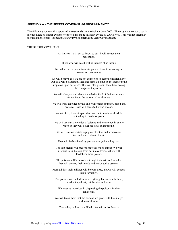# **APPENDIX A – THE SECRET COVENANT AGAINST HUMANITY**

The following contract first appeared anonymously on a website in June 2002. The origin is unknown, but is included here as further evidence of the claims made in *Satan, Prince of This World*. This was not originally included in the book. From http://www.unveilingthem.com/SecretCovenant.htm

# THE SECRET COVENANT

An illusion it will be, so large, so vast it will escape their perception.

Those who will see it will be thought of as insane.

We will create separate fronts to prevent them from seeing the connection between us.

We will behave as if we are not connected to keep the illusion alive. Our goal will be accomplished one drop at a time so as to never bring suspicion upon ourselves. This will also prevent them from seeing the changes as they occur.

We will always stand above the relative field of their experience for we know the secrets of the absolute.

We will work together always and will remain bound by blood and secrecy. Death will come to he who speaks.

We will keep their lifespan short and their minds weak while pretending to do the opposite.

We will use our knowledge of science and technology in subtle ways so they will never see what is happening.

We will use soft metals, aging accelerators and sedatives in food and water, also in the air.

They will be blanketed by poisons everywhere they turn.

The soft metals will cause them to lose their minds. We will promise to find a cure from our many fronts, yet we will feed them more poison.

The poisons will be absorbed trough their skin and mouths, they will destroy their minds and reproductive systems.

From all this, their children will be born dead, and we will conceal this information.

The poisons will be hidden in everything that surrounds them, in what they drink, eat, breathe and wear.

We must be ingenious in dispensing the poisons for they can see far.

We will teach them that the poisons are good, with fun images and musical tones.

Those they look up to will help. We will enlist them to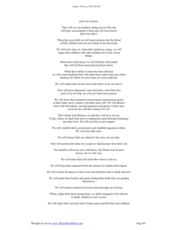push our poisons.

They will see our products being used in film and will grow accustomed to them and will never know their true effect.

When they give birth we will inject poisons into the blood of their children and convince them its for their help.

We will start early on, when their minds are young, we will target their children with what children love most, sweet things.

When their teeth decay we will fill them with metals that will kill their mind and steal their future.

When their ability to learn has been affected, we will create medicine that will make them sicker and cause other diseases for which we will create yet more medicine.

We will render them docile and weak before us by our power.

They will grow depressed, slow and obese, and when they come to us for help, we will give them more poison.

We will focus their attention toward money and material goods so they many never connect with their inner self. We will distract them with fornication, external pleasures and games so they may never be one with the oneness of it all.

Their minds will belong to us and they will do as we say. If they refuse we shall find ways to implement mind-altering technology into their lives. We will use fear as our weapon.

We will establish their governments and establish opposites within. We will own both sides.

We will always hide our objective but carry out our plan.

They will perform the labor for us and we shall prosper from their toil.

Our families will never mix with theirs. Our blood must be pure always, for it is the way.

We will make them kill each other when it suits us.

We will keep them separated from the oneness by dogma and religion.

We will control all aspects of their lives and tell them what to think and how.

We will guide them kindly and gently letting them think they are guiding themselves.

We will foment animosity between them through our factions.

When a light shall shine among them, we shall extinguish it by ridicule, or death, whichever suits us best.

We will make them rip each other's hearts apart and kill their own children.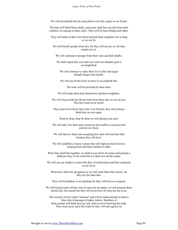We will accomplish this by using hate as our ally, anger as our friend.

The hate will blind them totally, and never shall they see that from their conflicts we emerge as their rulers. They will be busy killing each other.

They will bathe in their own blood and kill their neighbors for as long as we see fit.

We will benefit greatly from this, for they will not see us, for they cannot see us.

We will continue to prosper from their wars and their deaths.

We shall repeat this over and over until our ultimate goal is accomplished.

We will continue to make them live in fear and anger though images and sounds.

We will use all the tools we have to accomplish this.

The tools will be provided by their labor.

We will make them hate themselves and their neighbors.

We will always hide the divine truth from them, that we are all one. This they must never know!

They must never know that color is an illusion, they must always think they are not equal.

Drop by drop, drop by drop we will advance our goal.

We will take over their land, resources and wealth to exercise total control over them.

We will deceive them into accepting laws that will steal the little freedom they will have.

We will establish a money system that will imprison them forever, keeping them and their children in debt.

When they shall ban together, we shall accuse them of crimes and present a different story to the world for we shall own all the media.

We will use our media to control the flow of information and their sentiment in our favor.

When they shall rise up against us we will crush them like insects, for they are less than that.

They will be helpless to do anything for they will have no weapons.

We will recruit some of their own to carry out our plans, we will promise them eternal life, but eternal life they will never have for they are not of us.

The recruits will be called "initiates" and will be indoctrinated to believe false rites of passage to higher realms. Members of these groups will think they are one with us never knowing the truth. They must never learn this truth for they will turn against us.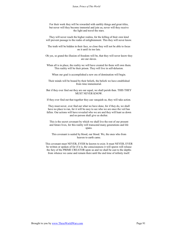For their work they will be rewarded with earthly things and great titles, but never will they become immortal and join us, never will they receive the light and travel the stars.

They will never reach the higher realms, for the killing of their own kind will prevent passage to the realm of enlightenment. This they will never know.

The truth will be hidden in their face, so close they will not be able to focus on it until its too late.

Oh yes, so grand the illusion of freedom will be, that they will never know they are our slaves.

When all is in place, the reality we will have created for them will own them. This reality will be their prison. They will live in self-delusion.

When our goal is accomplished a new era of domination will begin.

Their minds will be bound by their beliefs, the beliefs we have established from time immemorial.

But if they ever find out they are our equal, we shall perish then. THIS THEY MUST NEVER KNOW.

If they ever find out that together they can vanquish us, they will take action.

They must never, ever find out what we have done, for if they do, we shall have no place to run, for it will be easy to see who we are once the veil has fallen. Our actions will have revealed who we are and they will hunt us down and no person shall give us shelter.

This is the secret covenant by which we shall live the rest of our present and future lives, for this reality will transcend many generations and life spans.

This covenant is sealed by blood, our blood. We, the ones who from heaven to earth came.

This covenant must NEVER, EVER be known to exist. It must NEVER, EVER be written or spoken of for if it is, the consciousness it will spawn will release the fury of the PRIME CREATOR upon us and we shall be cast to the depths from whence we came and remain there until the end time of infinity itself.